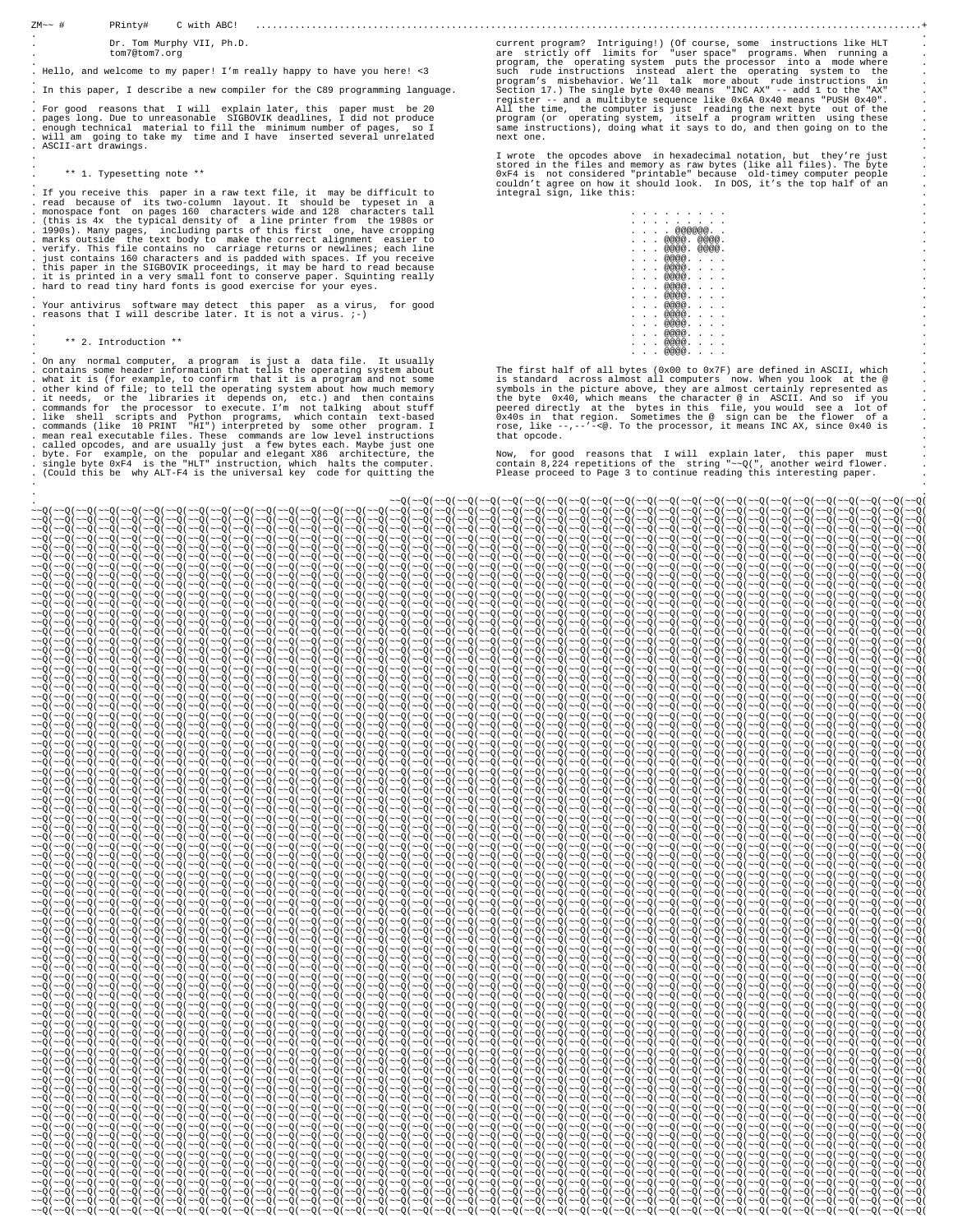. In this paper, I describe a new compiler for the C89 programming language.

For good reasons that I will explain later, this paper must be 20 all the time, the computer is just reading the next byte out of the .<br>Pages long. Due to unreasonable SIGBOVIK deadlines, I did not produce program (or oper

For the space of the space in a raw text file, it may be difficult to<br>
. The couldn't agree on how it should look. In DOS, it's the top half of an<br>
. The consection of the state of the state of the state of the state of th

. \*\* 2. Introduction \*\* . . . @@@@. . . . . . . . . @@@@. . . . . . On any normal computer, a program is just a data file. It usually . . contains some header information that tells the operating system about The first half of all bytes (0x00 to 0x7F) are defined in ASCII, which . . what it is (for example, to confirm that it is a program and not some is standard across almost all computers now. When you look at the @ . . other kind of file; to tell the operating system about how much memory symbols in the picture above, they are almost certainly represented as . . it needs, or the libraries it depends on, etc.) and then contains the byte 0x40, which means the character @ in ASCII. And so if you . . commands for the processor to execute. I'm not talking about stuff peered directly at the bytes in this file, you would see a lot of . . like shell scripts and Python programs, which contain text-based 0x40s in that region. Sometimes the @ sign can be the flower of a . . commands (like 10 PRINT "HI") interpreted by some other program. I rose, like --,--'-<@. To the processor, it means INC AX, since 0x40 is . . mean real executable files. These commands are low level instructions that opcode. . . called opcodes, and are usually just a few bytes each. Maybe just one . . byte. For example, on the popular and elegant X86 architecture, the Now, for good reasons that I will explain later, this paper must . . single byte 0xF4 is the "HLT" instruction, which halts the computer. contain 8,224 repetitions of the string "~~Q(", another weird flower. . . (Could this be why ALT-F4 is the universal key code for quitting the Please proceed to Page 3 to continue reading this interesting paper. . . .

.<br>
Dr. Tom Murphy VII, Ph.D.<br>
tom/@tom7.org<br>
tom/@tom7.org<br>
is the perating system puts the processor into a mode where<br>
is the perating system puts the processor into a mode where<br>
is the perating system puts the processo . register -- and a multibyte sequence like 0x6A 0x40 means "PUSH 0x40". .

.<br>A ASCII-art drawings.<br>You all the substantial policy of the stored in the files and memory as raw bytes (like all files). The byte .<br>You all files and memory as raw bytes (like all files). The byte .<br>You all the stored i

| . monospace font on pages 160 characters wide and 128 characters tall    | .                                                      |  |
|--------------------------------------------------------------------------|--------------------------------------------------------|--|
| . (this is 4x the typical density of a line printer from the 1980s or    | .                                                      |  |
| . 1990s). Many pages, including parts of this first one, have cropping   | $\cdot$ $\cdot$ $\cdot$ $\cdot$ @@@@@@ $\cdot$ $\cdot$ |  |
| . marks outside the text body to make the correct alignment easier to    | $\ldots$ . @@@@. @@@@.                                 |  |
| . verify. This file contains no carriage returns or newlines; each line  | $\cdot$ , . @@@@. @@@@.                                |  |
| . just contains 160 characters and is padded with spaces. If you receive | $\ldots$ . @@@@.                                       |  |
| . this paper in the SIGBOVIK proceedings, it may be hard to read because | $\ldots$ . @@@@.                                       |  |
| . it is printed in a very small font to conserve paper. Squinting really | $\ldots$ . @@@@.                                       |  |
| . hard to read tiny hard fonts is good exercise for your eyes.           | $\ldots$ . @@@@.                                       |  |
|                                                                          | $\ldots$ . @@@@.                                       |  |
| . Your antivirus software may detect this paper as a virus, for good     | $\ldots$ . @@@@.                                       |  |
| . reasons that I will describe later. It is not a virus. ;-)             | $\ldots$ . @@@@.                                       |  |
|                                                                          | $\ldots$ . @@@@.                                       |  |
| $\sim$                                                                   | $\ldots$ . @@@@.                                       |  |
| ** 2. Introduction **                                                    | $\ldots$ . @@@@.                                       |  |
|                                                                          | $\ldots$ . @@@@.                                       |  |
| On any normal computer a program is just a data file. It usually         |                                                        |  |

. .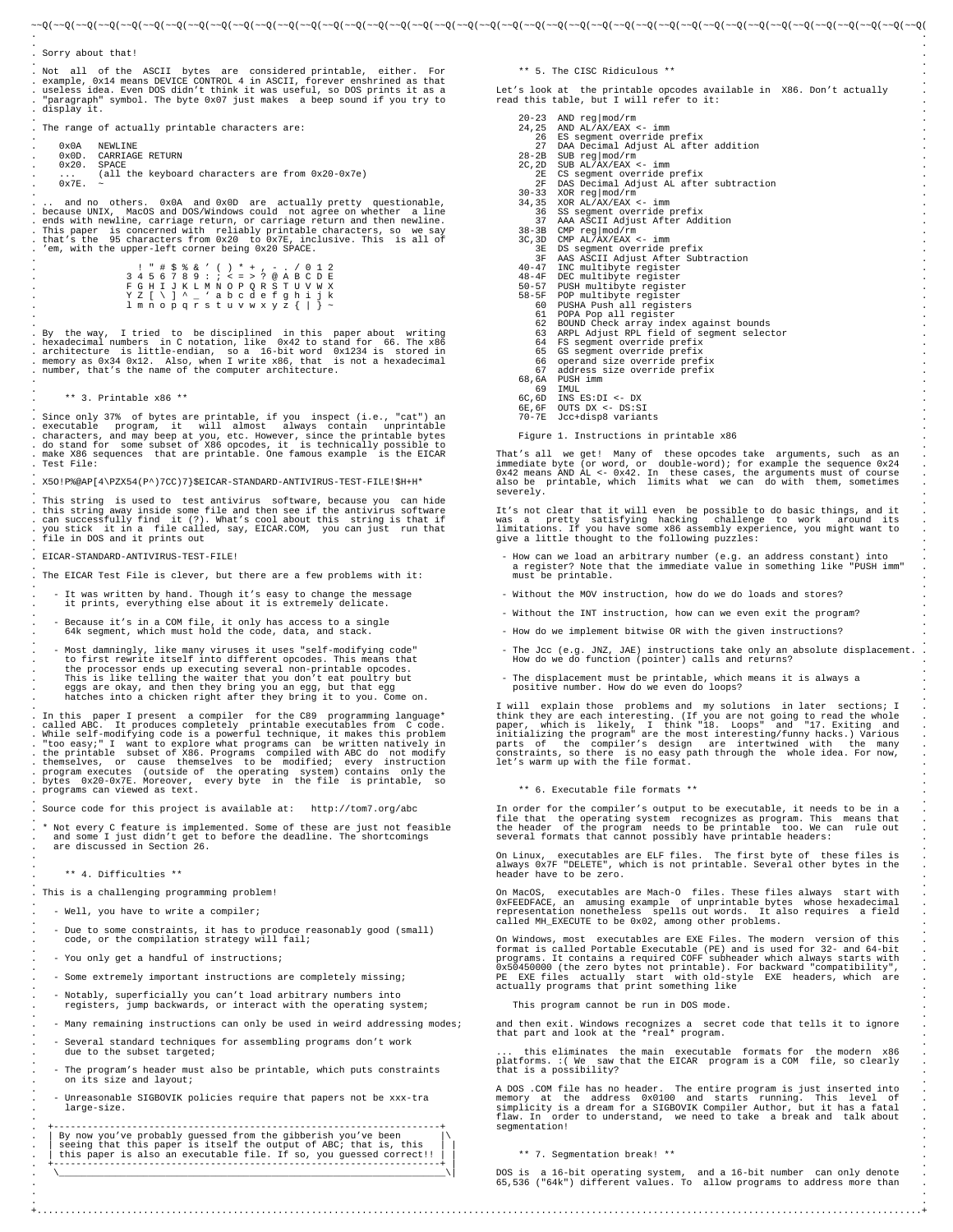~~Q(~~Q(~~Q(~~Q(~~Q(~~Q(~~Q(~~Q(~~Q(~~Q(~~Q(~~Q(~~Q(~~Q(~~Q(~~Q(~~Q(~~Q(~~Q(~~Q(~~Q(~~Q(~~Q(~~Q(~~Q(~~Q(~~Q(~~Q(~~Q(~~Q(~~Q(~~Q(~~Q(~~Q(~~Q(~~Q(~~Q(~~Q(~~Q(~~Q( . .

. . . Sorry about that!

. Not all of the ASCII bytes are considered-printable, either. For \*\*\*5. The CISC Ridiculous \*\*<br>. example, 0x14 means DEVICE CONTROL 4 in ASCII, forever enshrined as that<br>. useless idea. Even DOS didn't think it was useful . display it. .

The range of actually printable characters are:  $24,25$ <br>26.  $26$ 

. 0x0D. CARRIAGE RETURN 28-2B SUB reg|mod/rm . . 0x20. SPACE 2C,2D SUB AL/AX/EAX <- imm . . ... (all the keyboard characters are from 0x20-0x7e) 2E CS segment override prefix . . 0x7E. ~ 2F DAS Decimal Adjust AL after subtraction .

... and no others. 0x0A and 0x0D are actually pretty questionable,  $30-33$  XOR reg|mod/rm<br>
..because UNIX, MacOS and DOS/Windows could not agree on whether a line  $36$  SS Sex AL/AX/EAX <- imm<br>
..ends with newline, carriage . and DOS/Windows could not agree on whether a line<br>
ends with newline, carriage return, or carriage return and then newline.<br>
This paper is concerned with reliably prints because UNIX, MacOS and DOS/Windows could not agre

. 3F AAS ASCII Adjust After Subtraction . . ! " # \$ % & ' ( ) \* + , - . / 0 1 2 40-47 INC multibyte register . . 3 4 5 6 7 8 9 : ; < = > ? @ A B C D E 48-4F DEC multibyte register . . F G H I J K L M N O P Q R S T U V W X 50-57 PUSH multibyte register . . Y Z [ \ ] ^ \_ ' a b c d e f g h i j k 58-5F POP multibyte register . . l m n o p q r s t u v w x y z { | } ~ 60 PUSHA Push all registers . . 61 POPA Pop all register .

A specified to be disciplined in this paper about writing and the specified of segment bounds<br>
A hexadecimal numbers in C notation, like 0x42 to stand for 66. The x86<br>
A specified of segment selector<br>
A specified of segmen

\*\* 3. Printable x86 \*\*<br>
. Since only 37% of bytes are printable, if you inspect (i.e., "cat") an 56.6F 0UTS DX <- DS<br>
. Since only 37% of bytes are printable, if you inspect (i.e., "cat") an 56.6F 0UTS DX <- DS:<br>
. executa

. This string is used to test antivirus software, because you can hide<br>
. this string away inside some file and then see if the antivirus software<br>
. can successfully find it (?). What's cool about this string is that if w

- . . . It was written by hand. Though it's easy to change the message Without the MOV instruction, how do we do loads and stores? . . it prints, everything else about it is extremely delicate. .
- . Because it's in a COM file, it only has access to a single . . 64k segment, which must hold the code, data, and stack. How do we implement bitwise OR with the given instructions? .
- . the processor ends up executing several non-printable opcodes.<br>. This is like telling the waiter that you don't eat poultry but are the displacement must be printable, which means it is always a<br>. eggs are okay, and then

The think they are each interesting. (If you are not going to read the whole<br>
. called ABC. It produces completely printable executables from C code.<br>
. While self-modifying code is a powerful technique, it makes this prob

. \* Not every C feature is implemented. Some of these are just not feasible the header of the program needs to be printable too. We can rule out .<br>. and some I just didn't get to before the deadline. The shortcomings sever

- 
- 
- Due to some constraints, it has to produce reasonably good (small) code, or the compilation strategy will fail;
- 
- 
- . Notably, superficially you can't load arbitrary numbers into<br>. registers, jump backwards, or interact with the operating system; This program cannot be run in DOS mode.
	- Many remaining instructions can only be used in weird addressing modes;
	- Several standard techniques for assembling programs don't work due to the subset targeted;
	- The program's header must also be printable, which puts constraints on its size and layout;
	-

. +---------------------------------------------------------------------+ segmentation! . . | By now you've probably guessed from the gibberish you've been |\ . . | seeing that this paper is itself the output of ABC; that is, this | | . . | this paper is also an executable file. If so, you guessed correct!! | | \*\* 7. Segmentation break! \*\* . . +---------------------------------------------------------------------+ | .

- 20-23 AND  $reg | mod / rm$ <br>24,25 AND AL/AX/EAX <- imm
- 
- . 26 ES segment override prefix . . 0x0A NEWLINE 27 DAA Decimal Adjust AL after addition .
	-
	- -
		-
	-
	-
	-
	- -
	-
	-
	-
	-
	-
	-
	-
	-
	-
	-
	-
	-
	- \*\* 3. Printable x86 \*\*<br>
	\*\* 3. Printable x86 \*\*<br>
	69 IMUL 69 IMUL 66 AV 67 INS ES:DI <- DX<br>
	66,6F OUTS DX <- DS:SI
		-
		-

. 0x42 means AND AL <- 0x42. In these cases, the arguments must of course .<br>. X5O!P%@AP[4\PZX54(P^)7CC)7}\$EICAR-STANDARD-ANTIVIRUS-TEST-FILE!\$H+H\* also be printable, which limits what we can do with them, sometimes .

- . . . EICAR-STANDARD-ANTIVIRUS-TEST-FILE! How can we load an arbitrary number (e.g. an address constant) into . . a register? Note that the immediate value in something like "PUSH imm" . . The EICAR Test File is clever, but there are a few problems with it: must be printable. .
	-
	- Without the INT instruction, how can we even exit the program?
	-
- . . . - Most damningly, like many viruses it uses "self-modifying code" - "The Jcc (e.g. JNZ, JAE) instructions take only an absolute displacement. .<br>. to first rewrite itself into different opcodes. This means that
	-

hatches into a chicken right after they bring it to you. Come on.<br>
I will explain those problems and my solutions in later sections; I<br>
I while spectral a completely printible executables from C code.<br>
Called ABC. It produ

. . . Source code for this project is available at: http://tom7.org/abc In order for the compiler's output to be executable, it needs to be in a . . file that the operating system recognizes as program. This means that .

. On Linux, executables are ELF files. The first byte of these files is . . always 0x7F "DELETE", which is not printable. Several other bytes in the . . \*\* 4. Difficulties \*\* header have to be zero. .

.<br>This is a challenging programming problem!<br>This is a challenging programming problem!<br>The section of the compliser of unprintable bytes whose hexadecimal<br>Called MH\_EXECUTE to be 0x02, among other problems. It also requir

code, or the compilation strategy will fail;<br>
. The modern version of this<br>
. The modern version of this<br>
. The modern version of this<br>
. The modern version of this<br>
. The modern version of this<br>
. The modern version of th

and then exit. Windows recognizes a secret code that tells it to ignore that part and look at the \*real\* program.

. due to the subset targeted;<br>• this eliminates the main executable formats for the modern x86 .<br>• The program's header must also be printable, which puts constraints . That is a possibility? . The program is a COM file, s

. A DOS .COM file has no header. The entire program is just inserted into . . - Unreasonable SIGBOVIK policies require that papers not be xxx-tra memory at the address 0x0100 and starts running. This level of . . large-size. simplicity is a dream for a SIGBOVIK Compiler Author, but it has a fatal . . flaw. In order to understand, we need to take a break and talk about .

. . +..............................................................................................................................................................+

. \\_\_\_\_\_\_\_\_\_\_\_\_\_\_\_\_\_\_\_\_\_\_\_\_\_\_\_\_\_\_\_\_\_\_\_\_\_\_\_\_\_\_\_\_\_\_\_\_\_\_\_\_\_\_\_\_\_\_\_\_\_\_\_\_\_\_\_\_\_\| DOS is a 16-bit operating system, and a 16-bit number can only denote . . 65,536 ("64k") different values. To allow programs to address more than . . .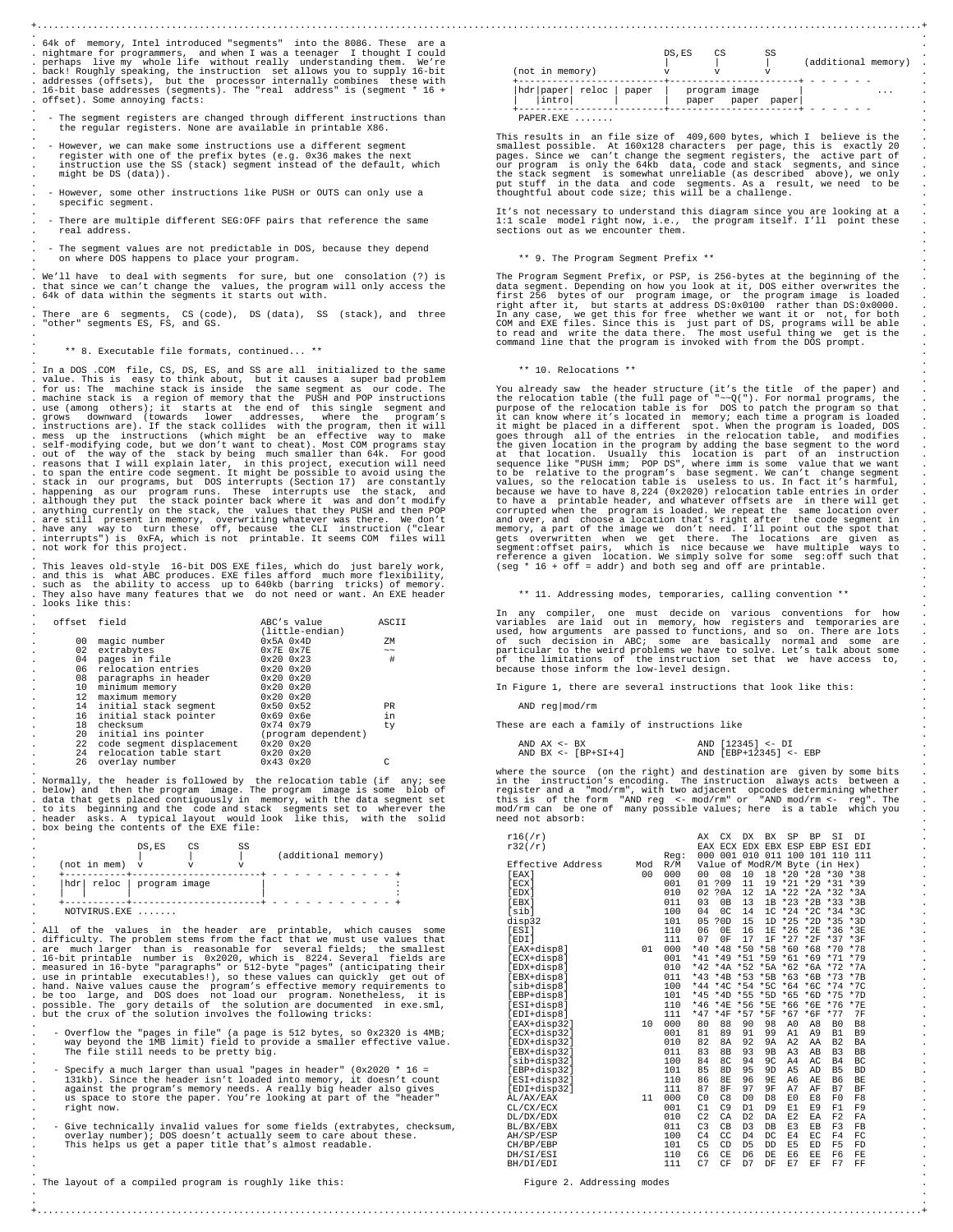64k of memory, Intel introduced "seqments" into the 8086. These are a . 64k of memory, Intel introduced "segments" into the 8086. These are a<br>
. nightmare for programmers, and when I was a teenager I thought I could<br>
. perhaps live my whole life without really understanding them. We're<br>
. ac

- The segment registers are changed through different instructions than TEAPER.EXE .......<br>the regular registers. None are available in printable X86.
- 
- 
- 
- . . . The segment values are not predictable in DOS, because they depend . . on where DOS happens to place your program. \*\* 9. The Program Segment Prefix \*\* .

\*\* 8. Executable file formats, continued... \*\*

. In a DOS .COM file, CS, DS, ES, and SS are all initialized to the same<br>
. Naive, This is easy to think about, but it causes a super bad problem<br>
. For uss the header scottist inside the same segment as our code. The<br>
.

.<br>This leaves old-style 16-bit DOS EXE files, which do just barely work, and files and provision. We simply solve for some seg:off such that .<br>This is what ABC produces. EXE files afford much more flexibility, . (seg \* 16 . such as the ability to access up to 640kb (barring tricks) of memory.<br>. They also have many features that we do not need or want. An EXE header \*\* 11. Addressing modes, temporaries, calling convention \*\* . . . . . . . .

| offset field |                              | ABC's value         | ASCII         |                                                                  | variables are laid out in memory, how registers and temporaries are      |  |
|--------------|------------------------------|---------------------|---------------|------------------------------------------------------------------|--------------------------------------------------------------------------|--|
|              |                              | (little-endian)     |               |                                                                  | used, how arguments are passed to functions, and so on. There are lots   |  |
| 00           | magic number                 | $0x5A$ $0x4D$       | ΖM            |                                                                  | of such decision in ABC; some are basically normal and some are          |  |
|              | 02 extrabytes                | $0x7E$ $0x7E$       | $\sim$ $\sim$ |                                                                  | particular to the weird problems we have to solve. Let's talk about some |  |
|              | 04 pages in file             | $0x20$ $0x23$       |               |                                                                  | of the limitations of the instruction set that we have access to,        |  |
|              | 06 relocation entries        | $0x20$ $0x20$       |               | because those inform the low-level design.                       |                                                                          |  |
|              | 08 paragraphs in header      | $0x20$ $0x20$       |               |                                                                  |                                                                          |  |
|              | 10 minimum memory            | $0x20$ $0x20$       |               | In Figure 1, there are several instructions that look like this: |                                                                          |  |
|              | 12 maximum memory            | $0x20$ $0x20$       |               |                                                                  |                                                                          |  |
|              | 14 initial stack segment     | 0x50 0x52           | PR            | AND $req   mod / rm$                                             |                                                                          |  |
|              | 16 initial stack pointer     | $0x69$ $0x6e$       | in            |                                                                  |                                                                          |  |
|              | 18 checksum                  | $0x74$ $0x79$       | tv            | These are each a family of instructions like                     |                                                                          |  |
|              | 20 initial ins pointer       | (program dependent) |               |                                                                  |                                                                          |  |
|              | 22 code segment displacement | $0x20$ $0x20$       |               | $AND AX < -BX$                                                   | AND [12345] <- DI                                                        |  |
|              | 24 relocation table start    | $0x20$ $0x20$       |               | AND BX $\leftarrow$ [BP+SI+4]                                    | AND [EBP+12345] <- EBP                                                   |  |
|              | 26 overlav number            | $0x43$ $0x20$       |               |                                                                  |                                                                          |  |

Normally, the header is followed by the relocation table (if any; see the source (on the right) and destination are given by some bits in the instruction of encoding . The interaction is not in the instruction of encoding

| (not in mem) v | DS, ES        | CS | SS | (additional memory) |  |  |  |  |  |
|----------------|---------------|----|----|---------------------|--|--|--|--|--|
| reloc  <br>hdr | program image |    |    |                     |  |  |  |  |  |
| MOTUT DITE     |               |    |    |                     |  |  |  |  |  |

- . Overflow the "pages in file" (a page is 512 bytes, so 0x2320 is 4MB; [ECX+disp32] 001 81 89 91 99 A1 A9 B1 B9 . . way beyond the 1MB limit) field to provide a smaller effective value. [EDX+disp32] 010 82 8A 92 9A A2 AA B2 BA . . The file still needs to be pretty big. [EBX+disp32] 011 83 8B 93 9B A3 AB B3 BB .
	-
- 

the regular registers. None are available in printable X86.<br>
- However, we can make some instructions use a different segment<br>
. This results in an file size of 409,600 bytes, which I believe is the<br>
. register with one of

. It's not necessary to understand this diagram since you are looking at a . . - There are multiple different SEG:OFF pairs that reference the same 1:1 scale model right now, i.e., the program itself. I'll point these . . real address. sections out as we encounter them. .

.<br>We'll have to deal with segments for sure, but one consolation (?) is The Program Segment Prefix, or PSP, is 256-bytes at the beginning of the .<br>. that since we can't change the values, the program will only access the d . There are 6 segments, CS (code), DS (data), SS (stack), and three in any case, we get this for free whether we want it or not, for both.<br>COM and EXE files. Since this is just part of DS, programs will be able.<br>to read an

In any compiler, one must decide on various conventions for how

| AND $AX \leftarrow BX$ |  |                    |  | AND [12345] <- DI                    |  |
|------------------------|--|--------------------|--|--------------------------------------|--|
|                        |  | 11. דמותת! עם תדגג |  | $\lambda$ TDD $(12245)$ $\times$ TDD |  |

where the source (on the right) and destination are given by some bits<br>in the instruction's encoding. The instruction always acts between a

|                                                                          | r16/(r)            |         | AX CX DX BX SP BP SI DI                                               |
|--------------------------------------------------------------------------|--------------------|---------|-----------------------------------------------------------------------|
| DS, ES<br>CS<br>SS                                                       | $r32$ (/r)         |         | EAX ECX EDX EBX ESP EBP ESI EDI                                       |
| (additional memory)                                                      |                    | Req:    | 000 001 010 011 100 101 110 111                                       |
| (not in men) v<br>$\tau$<br>$\tau$                                       | Effective Address  | Mod R/M | Value of ModR/M Byte (in Hex)                                         |
|                                                                          | 00<br>[EAX]        | 000     | 00 08 10 18 *20 *28 *30 *38                                           |
| program image<br> hdr  reloc                                             | [ECX]              | 001     | 01 ?09 11 19 *21 *29 *31 *39                                          |
|                                                                          | [EDX]              | 010     | 02 ?0A 12 1A *22 *2A *32 *3A                                          |
|                                                                          | [EBX]              | 011     | 03 0B 13 1B *23 *2B *33 *3B                                           |
| NOTVIRUS.EXE                                                             | [sib]              | 100     | 04 0C 14 1C *24 *2C *34 *3C                                           |
|                                                                          | disp32             | 101     | 05 ?0D 15 1D *25 *2D *35 *3D                                          |
| . All of the values in the header are printable, which causes some       | [EST]              | 110     | 06 0E 16 1E *26 *2E *36 *3E                                           |
| difficulty. The problem stems from the fact that we must use values that | [EDI]              | 111     | 07 OF 17 1F *27 *2F *37 *3F                                           |
| are much larger than is reasonable for several fields; the smallest      | [EAX+disp8]<br>01  | 000     | *40 *48 *50 *58 *60 *68 *70 *78                                       |
| . 16-bit printable number is 0x2020, which is 8224. Several fields are   | [ECX+disp8]        | 001     | *41 *49 *51 *59 *61 *69 *71 *79                                       |
| measured in 16-byte "paragraphs" or 512-byte "pages" (anticipating their | [EDX+disp8]        | 010     | *42 *4A *52 *5A *62 *6A *72 *7A                                       |
| use in printable executables!), so these values can quickly get out of   | $[EBX+disp8]$      | 011     | *43 *4B *53 *5B *63 *6B *73 *7B                                       |
| hand. Naive values cause the program's effective memory requirements to  | $[sib+disp8]$      | 100     | *44 *4C *54 *5C *64 *6C *74 *7C                                       |
| be too large, and DOS does not load our program. Nonetheless, it is      | [EBP+disp8]        | 101     | *45 *4D *55 *5D *65 *6D *75 *7D                                       |
| possible. The gory details of the solution are documented in exe.sml,    | [ESI+disp8]        | 110     | *46 *4R *56 *5R *66 *6R *76 *7R                                       |
| but the crux of the solution involves the following tricks:              | [EDI+disp8]        | 111     | *47 *4F *57 *5F *67 *6F *77<br>7F                                     |
|                                                                          | [EAX+disp32]<br>10 | 000     | 80 88 90<br>98<br>A0 A8<br>B <sub>0</sub><br><b>B8</b>                |
| - Overflow the "pages in file" (a page is 512 bytes, so 0x2320 is 4MB;   | $[ECX+disp32]$     | 001     | 81<br>89 91 99<br>A1<br>A9<br>B1<br><b>B9</b>                         |
| way beyond the 1MB limit) field to provide a smaller effective value.    | [EDX+disp32]       | 010     | 8A 92 9A A2<br>82<br>AA<br><b>B2</b><br><b>BA</b>                     |
| The file still needs to be pretty big.                                   | [EBX+disp32]       | 011     | 8B 93<br>B <sub>3</sub><br>83<br>9 B<br>A3<br>AB<br><b>BB</b>         |
|                                                                          | [sib+disp32]       | 100     | 84<br>8C 94 9C A4<br>AC<br><b>B4</b><br>BC.                           |
| - Specify a much larger than usual "pages in header" (0x2020 $*$ 16 =    | [EBP+disp32]       | 101     | 8D<br>95<br>85<br>9D<br>A5<br>AD<br><b>B5</b><br><b>BD</b>            |
| 131kb). Since the header isn't loaded into memory, it doesn't count      | $[EST+disp32]$     | 110     | 86<br>8E<br>96 913<br><b>B6</b><br>BE.<br>A6<br>AE                    |
| against the program's memory needs. A really big header also gives       | $[EDI+disp32]$     | 111     | 8F<br>97<br>87<br>9F<br>A7<br>AF<br>B7<br>BF                          |
| us space to store the paper. You're looking at part of the "header"      | AL/AX/EAX<br>11    | 000     | C8<br>CO<br>D0 D8<br>E0<br>E8<br>F()<br>F8                            |
| right now.                                                               | CL/CX/ECX          | 001     | C1<br>C9<br>E1<br>F1<br>D1<br>D <sub>9</sub><br>E9<br>F9              |
|                                                                          | DL/DX/EDX          | 010     | C2<br>CA<br>D2 DA<br>E2<br>EA<br>F <sub>2</sub><br>FA                 |
| - Give technically invalid values for some fields (extrabytes, checksum, | BL/BX/EBX          | 011     | F3<br>C <sub>3</sub><br>CB<br>D3<br>DB<br>E3<br>EB<br><b>FB</b>       |
| overlay number); DOS doesn't actually seem to care about these.          | AH/SP/ESP          | 100     | C <sub>4</sub><br>CC<br>D4<br>DC<br>EC<br>FA<br>FC<br>E.4             |
| This helps us get a paper title that's almost readable.                  | CH/BP/EBP          | 101     | C <sub>5</sub><br>CD<br>D <sub>5</sub><br>E5<br>F5<br>DD<br>ED<br>FD. |
|                                                                          | DH/SI/ESI          | 110     | CE<br>C6<br>D6.<br>E6<br>EE<br>F6.<br>FE.<br>DE                       |
|                                                                          | BH/DI/EDI          | 111     | C.7<br>CF<br>D7<br>E7<br>EF<br>F7<br>FF<br>DF.                        |
|                                                                          |                    |         |                                                                       |
|                                                                          |                    |         |                                                                       |

. . +..............................................................................................................................................................+

.<br>The layout of a compiled program is roughly like this: The Sound of The Rigure 2. Addressing modes . . .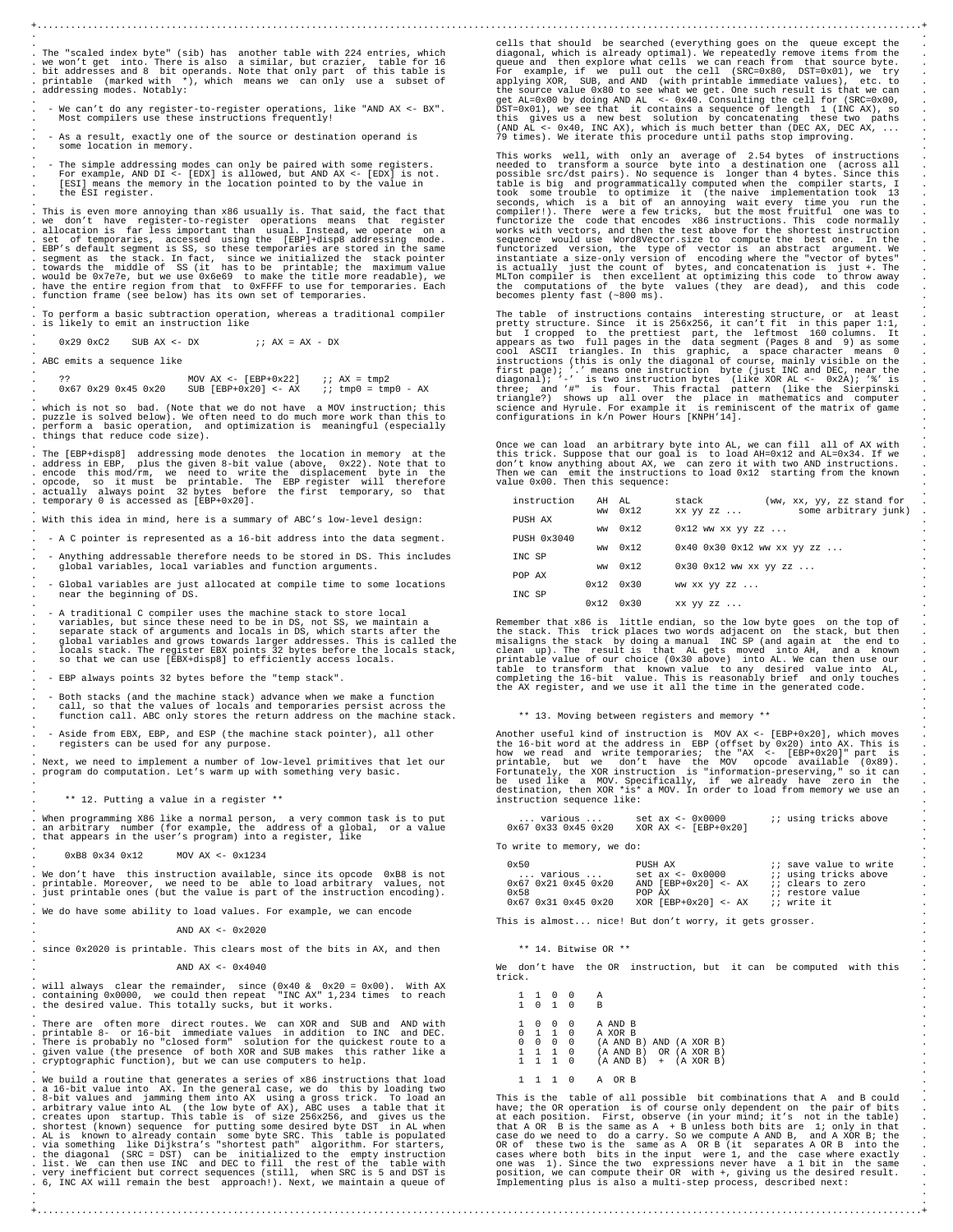- 
- 
- 

. puzzle is solved below). We often need to do much more work than this to configurations in k/n Power Hours [KNPH'14].<br>. perform a basic operation, and optimization is meaningful (especially<br>. things that reduce code size

. The [EBP+disp8] addressing mode denotes the location in memory at the this trick. Suppose that our goal is to load AH=0x12 and AL=0x34. If we . . address in EBP, plus the given 8-bit value (above, 0x22). Note that to don't know anything about AX, we can zero it with two AND instructions. . . encode this mod/rm, we need to write the displacement byte in the Then we can emit the instructions to load 0x12 starting from the known . . opcode, so it must be printable. The EBP register will therefore value 0x00. Then this sequence: . . actually always point 32 bytes before the first temporary, so that . . temporary 0 is accessed as [EBP+0x20]. instruction AH AL stack (ww, xx, yy, zz stand for . . ww 0x12 xx yy zz ... some arbitrary junk) .

- 
- 
- . 0x12 0x30 xx yy zz ... . . A traditional C compiler uses the machine stack to store local .

- . Both stacks (and the machine stack) advance when we make a function<br>. call, so that the values of locals and temporaries persist across the "<br>. function call. ABC only stores the return address on the machine s
- 

. When programming X86 like a normal person, a very common task is to put ... various ... set ax <- 0x0000 ... ising tricks above ... an arbitrary number (for example, the address of a global, or a value ... an arbitrary n . To write to memory, we do: .

. 0xB8 0x34 0x12 MOV AX <- 0x1234 .

+..............................................................................................................................................................+

We do have some ability to load values. For example, we can encode

### . AND AX  $\lt\sim$  0x2020

.<br>. since 0x2020 is printable. This clears most of the bits in AX, and then \*\*\* 14. Bitwise OR \*\* \*\*\* . . . . . .

. will always clear the remainder, since (0x40 & 0x20 = 0x00). With AX trick.<br>. containing 0x0000, we could then repeat "INC AX" 1,234 times to reach 1 1 0 0 A . . . . . . . . . . . . . . .<br>. the desired value. This totall

There are often more direct routes. We can XOR and SUB and AND with<br>
printable 8- or 16-bit immediate values in addition to INC and DEC.<br>
There is probably no "closed form" solution for the quickest route to a<br>
print valu

We build a routine that generates a series of  $x86$  instructions that load<br>
. A -bit value into AX using them into AX using a gross trick. To load an<br>
. A -bit values and jamming them into AX using a gross trick. To load

. The "scaled index byte" (sib) has another table with 224 entries, which<br>
. We won't get into. There is also a similar, but crazier, table for 16<br>
. bit addresses and 8 bit operands. Note that only part of this table is<br>

+..............................................................................................................................................................+

some location in memory.<br>
This works well, with only an average of 2.54 bytes of instructions<br>
. This works well, with only an average of 2.54 bytes of instructions<br>
. For example, AND DI <- [EDX] is allowed, but AND AX <

0. To perform a basic subtraction operation, whereas a traditional compiler<br>
. is likely to emit an instruction like<br>
. 0x29 0xC2 SUB AX <- DX<br>
. 0x29 0xC2 SUB AX <- DX<br>
. 0x29 0xC2 SUB AX <- DX<br>
. ABC emits a sequence li

Once we can load an arbitrary byte into AL, we can fill all of AX with this trick. Suppose that our goal is to load AH=0x12 and AL=0x34. If we don't know anything about AX, we can zero it with two AND instructions. Then w

| . accually always point to bytes before the filst temporaly, so that<br>. temporary 0 is accessed as [EBP+0x20].                        | instruction | AH AL<br>$ww$ $0x12$ | (ww, xx, yy, zz stand for.<br>stack<br>some arbitrary junk).<br>XX VV ZZ |  |
|-----------------------------------------------------------------------------------------------------------------------------------------|-------------|----------------------|--------------------------------------------------------------------------|--|
| . With this idea in mind, here is a summary of ABC's low-level design:                                                                  | PUSH AX     |                      |                                                                          |  |
| . - A C pointer is represented as a 16-bit address into the data segment.                                                               | PUSH 0x3040 | $ww$ $0x12$          | $0x12$ ww $xx$ yy $zz$                                                   |  |
|                                                                                                                                         |             | ww 0x12              | $0x40$ $0x30$ $0x12$ ww xx yy zz                                         |  |
| . - Anything addressable therefore needs to be stored in DS. This includes<br>global variables, local variables and function arguments. | INC SP      | ww 0x12              | $0x30$ $0x12$ ww xx yy zz                                                |  |
| . - Global variables are just allocated at compile time to some locations                                                               | POP AX      | $0x12$ $0x30$        | WW XX YY ZZ                                                              |  |
| near the beginning of DS.                                                                                                               | INC SP      | $0x12$ $0x30$        | XX VV ZZ                                                                 |  |

A craditional Compler uses the maintain a variables, but since these need to be in DS, not SS, we maintain a<br>
separate stack of arguments and locals in DS, which starts after the the stack. This trick places two words adja eparate stack of arguments and locals in DS, which state the stack. This trick place was diacent on the stack,<br>
alobal variables and grows towards larger addresses. This is called the<br>
. so that we can use [EBX+disp8] to e

- Aside from EBX, EBP, and ESP (the machine stack pointer), all other and the useful kind of instruction is MOV AX <- [EBP+0x20], which moves<br>
. registers can be used for any purpose.<br>
Next, we need to implement a number o

| ;; save value to write<br>PUSH AX<br>$0 \times 50$                                                                                                 |  |
|----------------------------------------------------------------------------------------------------------------------------------------------------|--|
| . We don't have this instruction available, since its opcode 0xB8 is not<br>:: using tricks above<br>$set$ ax $\leftarrow$ 0x0000<br>various       |  |
| AND $[EBP+0x20] < -AX$<br>printable. Moreover, we need to be able to load arbitrary values, not<br>0x67 0x21 0x45 0x20<br><i>;;</i> clears to zero |  |
| . just printable ones (but the value is part of the instruction encoding).<br>$0 \times 58$<br><i>ii</i> restore value<br>POP AX                   |  |
| $XOR$ $EBP + 0x20$ $\le -AX$<br>0x67 0x31 0x45 0x20<br><i>;;</i> write it<br>.                                                                     |  |

AND AX <- 0x2020 This is almost... nice! But don't worry, it gets grosser.

. . . AND AX <- 0x4040 We don't have the OR instruction, but it can be computed with this .

| $\mathbf{1}$ | 0 | 1 |   | А<br><b>B</b>           |  |
|--------------|---|---|---|-------------------------|--|
|              |   |   |   |                         |  |
| $\mathbf{1}$ |   |   |   | A AND B                 |  |
| 0            |   |   | 0 | A XOR B                 |  |
| 0            | U | 0 | 0 | (A AND B) AND (A XOR B) |  |
|              |   |   |   | (A AND B) OR (A XOR B)  |  |
| 1            |   |   |   | $(A AND B) + (A XOR B)$ |  |
|              |   |   |   |                         |  |

. .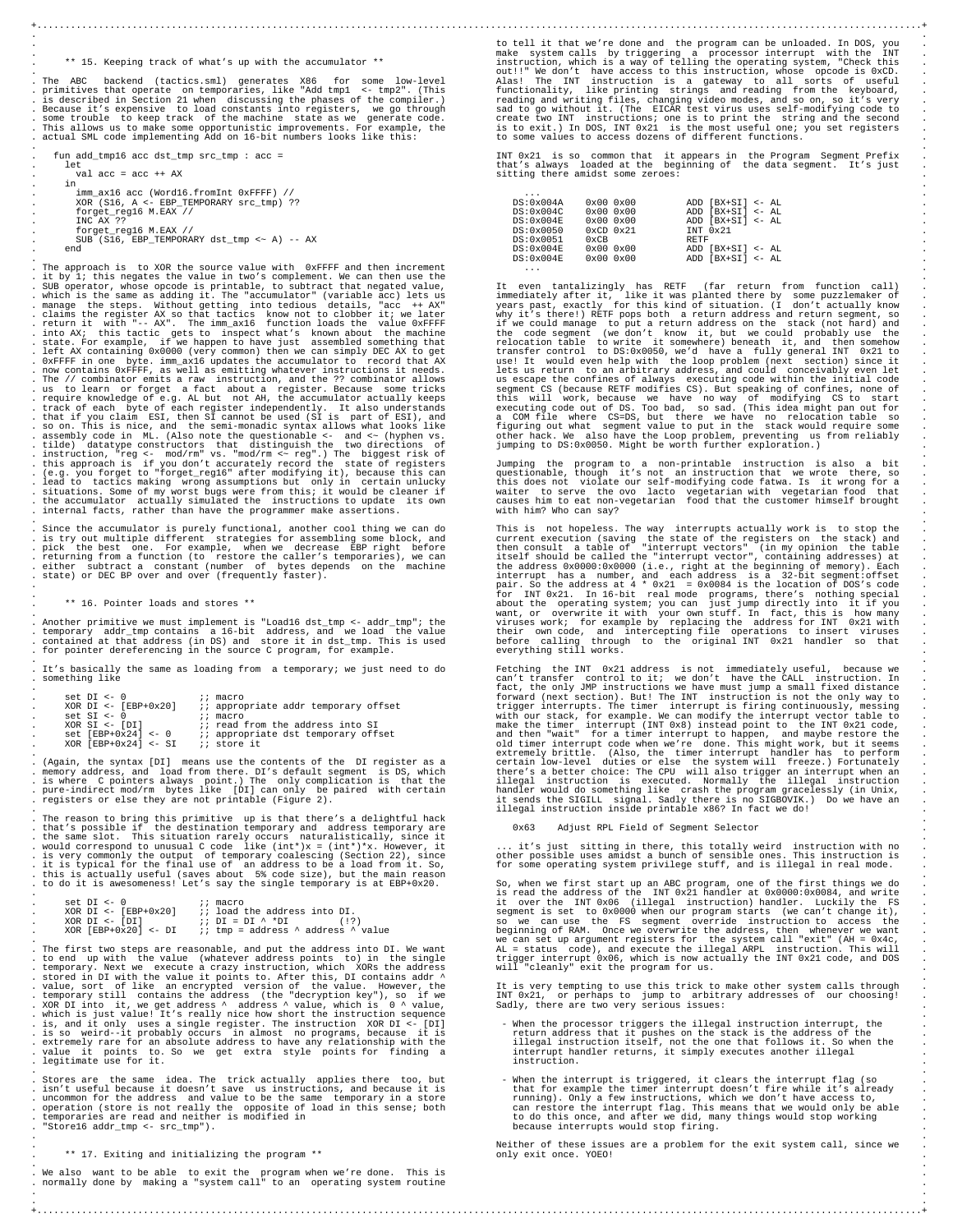+..............................................................................................................................................................+

. in  $\blacksquare$ imm\_ax16 acc (Word16.fromInt 0xFFFF) /  $XOR$  (S16, A <- EBP\_TEMPORARY  $src\_tmp)$  ??  $f_{\text{OUS}}$  (S16, EBP\_TEMPORARY dst\_tmp <~ A) -- AX  $\text{SUS}}$ 

. The approach is to XOR the source value with OXFFFF and then increment<br>
Although the system content in the system of the system of the system of the system of the system of the system of the system of the system of the s . situations. Some of my worst bugs were from this; it would be cleaner if waiter to serve the ovo lacto vegetarian with vegetarian food that .<br>The accumulator actually simulated the instructions to update its own and caus

| $set DI \leftarrow 0$          | <i>ii</i> macro                            |
|--------------------------------|--------------------------------------------|
| $XOR DI \leftarrow$ [EBP+0x20] | :: appropriate addr temporary offset       |
| $set$ $SI$ $\leftarrow$ 0      | <i>ii</i> macro                            |
| $XOR SI < -$ [DI]              | ;; read from the address into SI           |
| set $[EBP+0x24] < -0$          | <i>;;</i> appropriate dst temporary offset |
| $XOR$ $FRP+0x24$ $\leq$ ST     | <i>;;</i> store it                         |

that's possible if the destination temporary and address temporary are one of the same slot. This situation rarely occurs naturalistically, since it<br>
. Would correspond to unusual Code like (int\*)x = (int\*)\*x. However, it<br>

| $set DI \leftarrow 0$<br>$XOR DI \leftarrow$ [EBP+0x20] | ;; macro<br>:; load the address into DI.      |
|---------------------------------------------------------|-----------------------------------------------|
| XOR DI <- [DI]                                          | $\{1, 1\}$ T = $\{1, 2\}$ T $\sim$ $\{1, 2\}$ |
| $XOR$ $EBP+0x20$ $\leq$ DI                              | :: tmp = address ^ address ^ value            |

The first two steps are reasonable, and put the address into DI. We want and excel), and excel in eilingal ARPL instruction. This will the simpler interrupt on the simpler interrupt on the illegal ARPL in the TMT 0x21 cod

. Stores are the same idea. The trick actually applies there too, but - when the interrupt is triggered, it clears the interrupt flag (so . . .<br>. isn't useful because it doesn't save us instructions, and because it is . . . uncommon for the address and value to be the same temporary in a store running). Only a few instructions, which we don't have access to, .<br>. operation (store is not really the opposite of load in this sense; both can res

.<br>. We also want to be able to exit the program when we're done. This is<br>. normally done by making a "system call" to an operating system routine . .

\*\* 15. Keeping track of what's up with the accumulator \*\* is the system calls by triggering a processor interrupt with the INT instruction, which is a way of tellight of the INT instruction, which is a way of tellight of t

.<br>TIMT 0x21 is so common that it appears in the Program Segment Prefix .<br>That's always loaded at the beginning of the data segment. It's just .<br>Itting there amidst some zeroes: .<br>Sitting there amidst some zeroes:

| $\ldots$ $\ldots$ $\ldots$ $\ldots$ $\ldots$ $\ldots$ $\ldots$ $\ldots$ $\ldots$ |           |               |                   |  |
|----------------------------------------------------------------------------------|-----------|---------------|-------------------|--|
| XOR (S16, A <- EBP TEMPORARY src tmp) ??                                         | DS:0x004A | 0x000x00      | ADD [BX+SI] <- AL |  |
| forget reg16 M.EAX //                                                            | DS:0x004C | 0x000x00      | ADD [BX+SI] <- AL |  |
| INC AX ??                                                                        | DS:0x004E | 0x000x00      | ADD [BX+SI] <- AL |  |
| forget reg16 M.EAX //                                                            | DS:0x0050 | $0xCD$ $0x21$ | INT 0x21          |  |
| SUB (S16, EBP TEMPORARY dst tmp $\leftarrow$ A) -- AX                            | DS:0x0051 | 0xCB          | RETF              |  |
| end                                                                              | DS:0x004E | 0x000x00      | ADD [BX+SI] <- AL |  |
|                                                                                  | DS:0x004E | 0x000x00      | ADD [BX+SI] <- AL |  |
|                                                                                  |           |               |                   |  |

% Since the accumulator is purely functional, another cool thing we can do<br>
. pick the best one. For example, when we decrease EBP right before<br>
. pick the best one. For example, when we decrease EBP right before<br>
. pick

. Something like<br>
something like<br>
something like<br>
something like<br>
something like<br>
something like<br>
set DI <- 0<br>
is any copyrinte addr temporary offset<br>
set DI <- 0<br>
is appropriate addr temporary offset<br>
set SI <- 0<br>
is app

. is read the address of the INT 0x21 handler at 0x0000:0x0084, and write . . set DI <- 0 ;; macro it over the INT 0x06 (illegal instruction) handler. Luckily the FS . . XOR DI <- [EBP+0x20] ;; load the address into DI. segment is set to 0x0000 when our program starts (we can't change it), . . XOR DI <- [DI] ;; DI = DI ^ \*DI (!?) so we can use the FS segment override instruction to access the . . XOR [EBP+0x20] <- DI ;; tmp = address ^ address ^ value beginning of RAM. Once we overwrite the address, then whenever we want . . we can set up argument registers for the system call "exit" (AH = 0x4c, .

- 
- . "Store16 addr\_tmp <- src\_tmp"). because interrupts would stop firing. . . .

. Neither of these issues are a problem for the exit system call, since we . . \*\* 17. Exiting and initializing the program \*\* only exit once. YOEO! .

. . +..............................................................................................................................................................+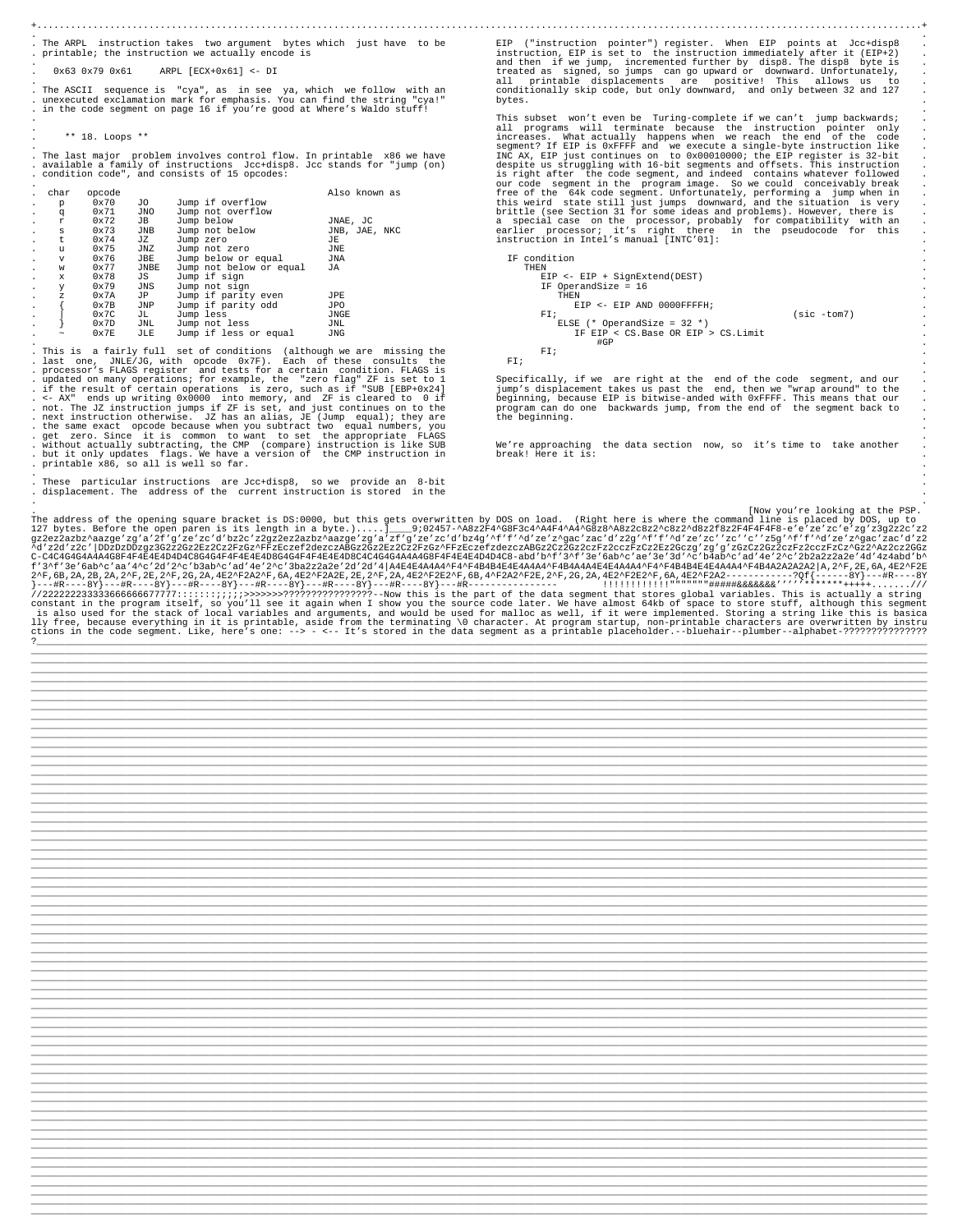.<br>The ARPL instruction takes two argument bytes which just have to be .<br>. printable; the instruction we actually encode is

 $ARPL [ECX+0x61] < -DI$ 0x63 0x79 0x61

The ASCII sequence is "cya", as in see ya, which we follow with an unexecuted exclamation mark for emphasis. You can find the string "cya!" in the code segment on page 16 if you're good at Where's Waldo stuff!

\*\* 18. Loops \*\*

The last major problem involves control flow. In printable  $x86$  we have available a family of instructions Jcc+disp8. Jcc stands for "jump (on) condition code", and consists of 15 opcodes:

|                      | char         | opcode        |            |                         | Also known as |
|----------------------|--------------|---------------|------------|-------------------------|---------------|
| $\cdot$              | p            | 0x70          | JO         | Jump if overflow        |               |
| $\ddot{\phantom{0}}$ | đ            | 0x71          | JNO        | Jump not overflow       |               |
| $\blacksquare$       | r            | 0x72          | JB         | Jump below              | JNAE, JC      |
| $\cdot$              | s            | 0x73          | <b>JNB</b> | Jump not below          | JNB, JAE, NKC |
| $\mathbf{r}$         | t            | 0x74          | JZ         | Jump zero               | JЕ            |
| $\ddot{\phantom{0}}$ | u            | 0x75          | JNZ        | Jump not zero           | JNE           |
| ¥.                   | $\mathbf{v}$ | 0x76          | JBE        | Jump below or equal     | JNA           |
| $\blacksquare$       | w            | 0x77          | JNBE       | Jump not below or equal | JA            |
| $\cdot$              | x            | 0x78          | JS         | Jump if sign            |               |
| $\cdot$              | У            | 0x79          | JNS        | Jump not sign           |               |
| ٠                    | $\mathbf{z}$ | 0x7A          | JP         | Jump if parity even     | JPE           |
| $\bullet$            |              | 0x7B          | JNP        | Jump if parity odd      | JPO           |
| $\ddot{\phantom{a}}$ |              | 0x7C          | JL         | Jump less               | JNGE          |
| ٠                    |              | 0x7D          | JNL        | Jump not less           | JNL           |
|                      |              | $0 \times 7E$ | JLE.       | Jump if less or equal   | JNG           |

. This is a fairly full set of conditions (although we are missing the<br>. last one, JNLE/JG, with opcode 0x7F). Each of these consults the<br>. processor's FLAGS register and tests for a certain condition. FLAGS is<br>updated on

.<br>These particular instructions are Jcc+disp8, so we provide an 8-bit.<br>displacement. The address of the current instruction is stored in the.

EIP ("instruction pointer") register. When EIP points at Jcc+disp8 instruction, EIP is set to the instruction immediately after it (EIP+2) and then if we jump, incremented further by disp8. The disp8 by the is treated as s bytes.

This subset won't even be Turing-complete if we can't jump backwards;<br>all programs will terminate because the instruction pointer only<br>increases. What actually happens when we reach the end of the code<br>segment? If EIP is despite us struggling with 16-bit segments and offsets. This instruction<br>is right after the code segment, and indeed contains whatever followed<br>our code segment in the program image. So we could conceivably break<br>free of t

| F condition                        |             |
|------------------------------------|-------------|
| THEN                               |             |
| EIP <- EIP + SignExtend(DEST)      |             |
| IF OperandSize = $16$              |             |
| <b>THEN</b>                        |             |
| $RTP < - RTP AND 0000$ FFFFH;      |             |
| FT:                                | (sic -tom7) |
| ELSE $(*$ OperandSize = 32 *)      |             |
| IF EIP < CS.Base OR EIP > CS.Limit |             |
| #GP                                |             |
|                                    |             |

FI;

Specifically, if we are right at the end of the code segment, and our jump's displacement takes us past the end, then we "wrap around" to the beginning, because EIP is bitwise-anded with 0xFFFF. This means that our program the beginning.

We're approaching the data section now, so it's time to take another break! Here it is:

[Now you're looking at the PSP.

The address of the opening square bracket is DS:0000, but this gets overwritten by DOS on load. (Right here is where the commad line is placed by DOS, up to 1/27 bytes. Before the open paren is its length in a byte, 0...)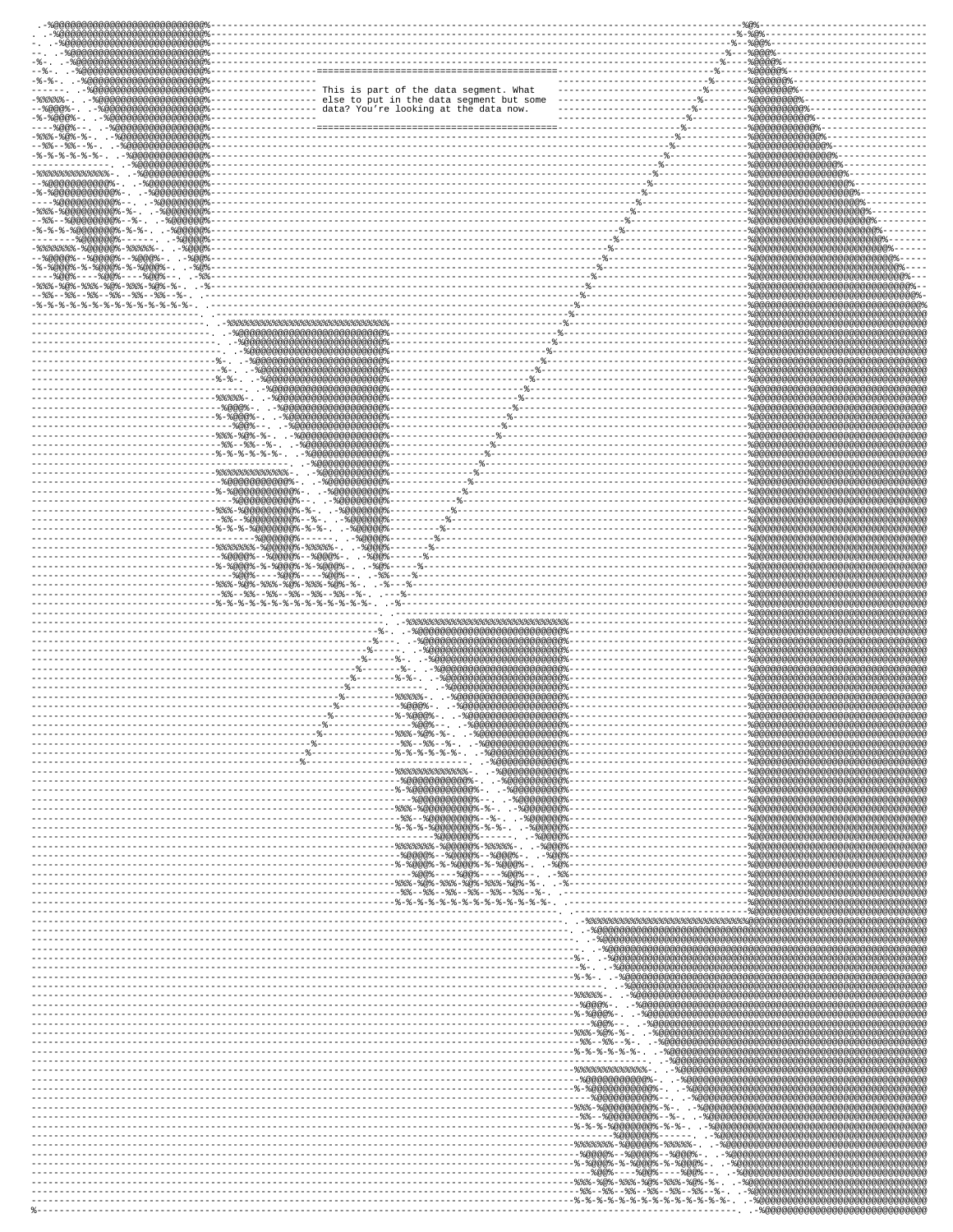|  | $-8@@8-$ .<br>്ട രരമരരരരരരരരരരരരരരരരെ |  |
|--|---------------------------------------|--|
|  |                                       |  |
|  |                                       |  |
|  |                                       |  |
|  |                                       |  |
|  |                                       |  |
|  |                                       |  |
|  |                                       |  |
|  |                                       |  |
|  |                                       |  |
|  |                                       |  |
|  |                                       |  |
|  |                                       |  |
|  |                                       |  |
|  |                                       |  |
|  |                                       |  |
|  |                                       |  |
|  |                                       |  |
|  |                                       |  |
|  |                                       |  |
|  |                                       |  |
|  |                                       |  |
|  |                                       |  |
|  |                                       |  |
|  |                                       |  |
|  |                                       |  |
|  |                                       |  |
|  |                                       |  |
|  |                                       |  |
|  |                                       |  |
|  |                                       |  |
|  |                                       |  |
|  |                                       |  |
|  |                                       |  |
|  |                                       |  |
|  |                                       |  |
|  |                                       |  |
|  |                                       |  |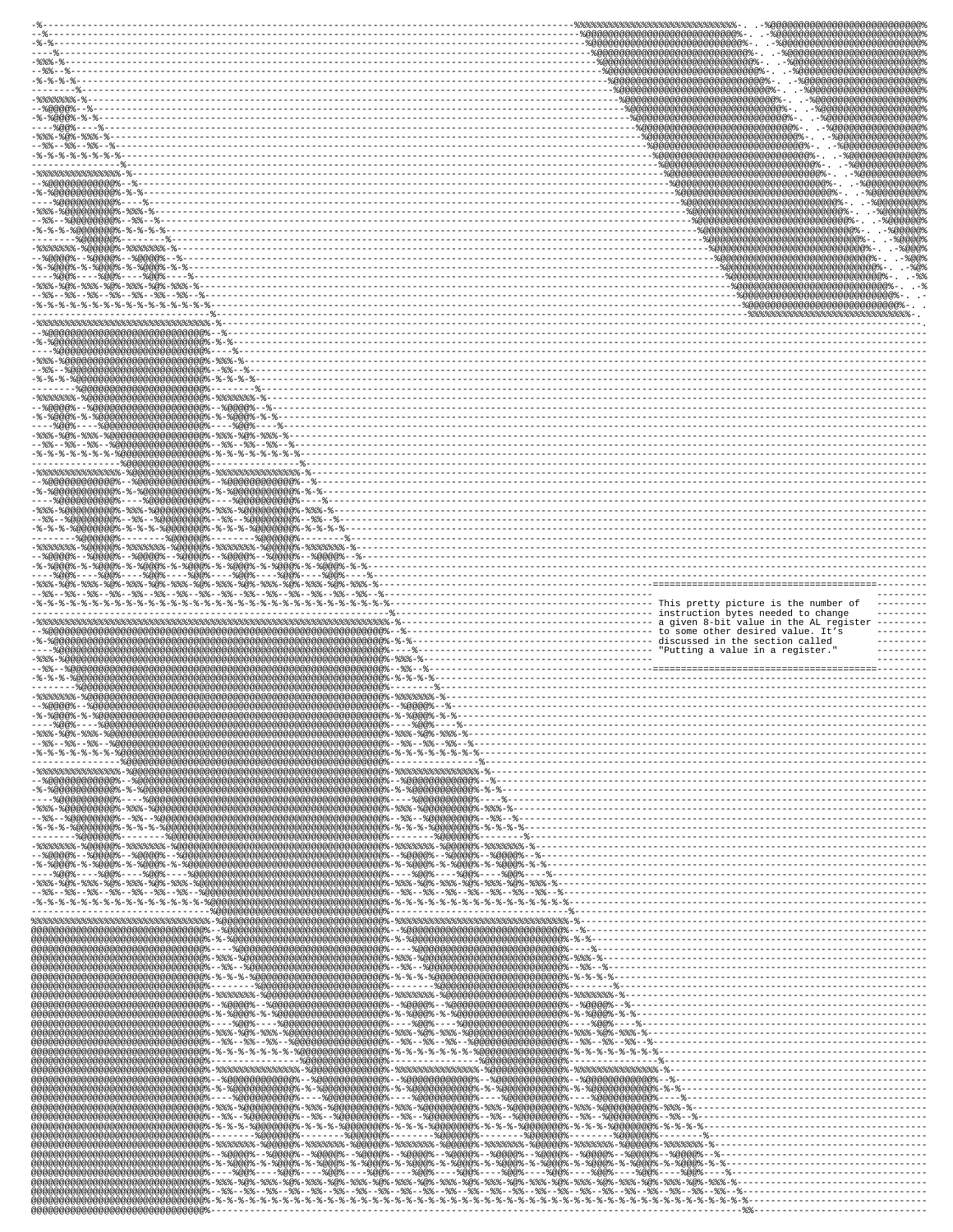| -%-%@@@%-%-%@@@@@@@@@@@@ |  |
|--------------------------|--|
|                          |  |
|                          |  |
|                          |  |
|                          |  |
|                          |  |
|                          |  |
|                          |  |
|                          |  |
|                          |  |
|                          |  |
|                          |  |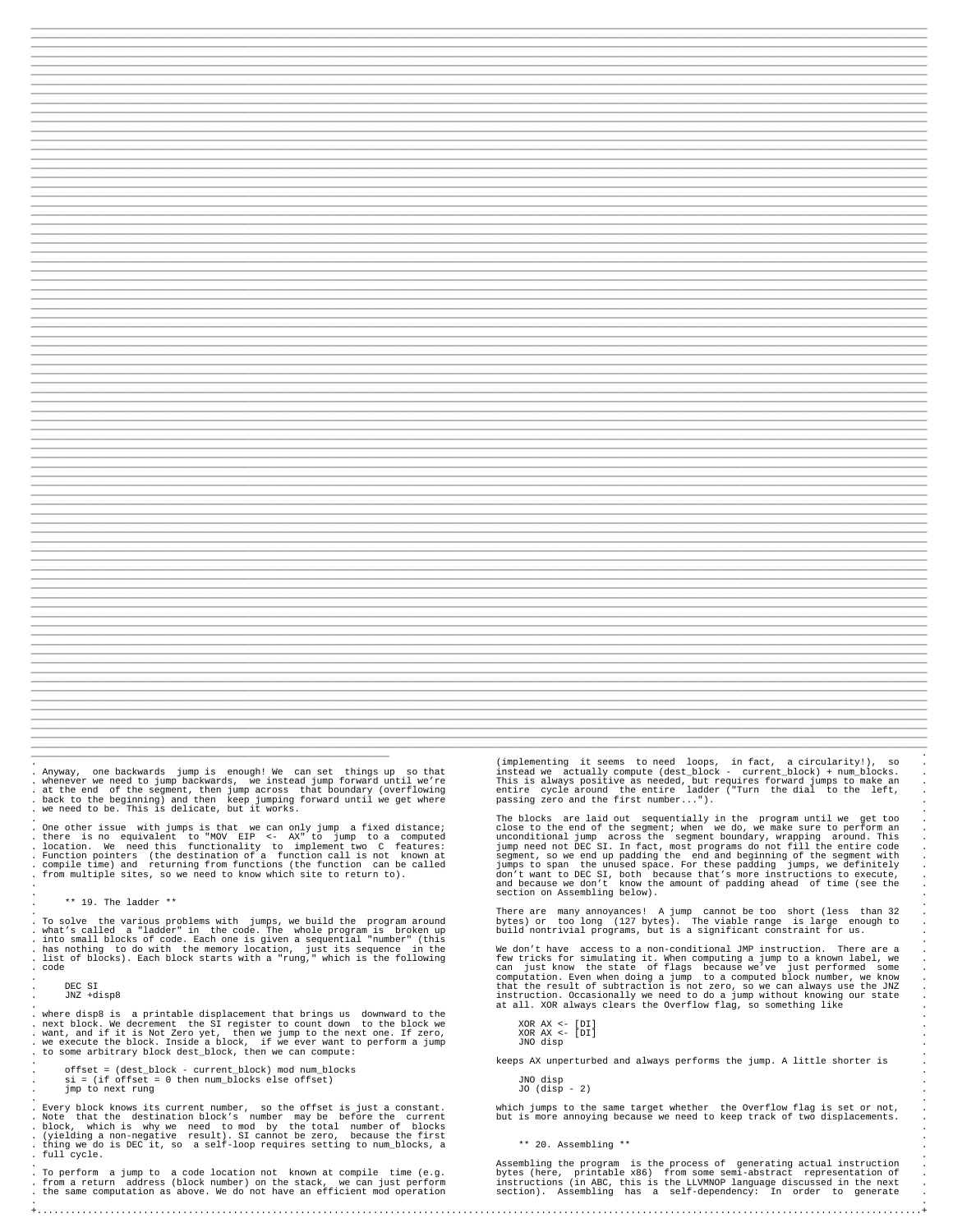Anyway, one backwards jump is enough! We can set things up so that<br>whenever we need to jump backwards, we instead jump forward until we're<br>at the end of the segment, then jump across that boundary (overflowing<br>back to the

One other issue with jumps is that we can only jump a fixed distance;<br>there is no equivalent to "MOV EIP <- AX" to jump to a computed<br>location. We need this functionality to implement two C features:<br>Function pointers (the

\*\* 19. The ladder \*\*

To solve the various problems with jumps, we build the program around<br>what's called a "ladder" in the code. The whole program is broken up<br>into small blocks of code. Each one is given a sequential "number" (this<br>has nothin  $code$ 

DEC SI JNZ +disp8

where disp8 is a printable displacement that brings us downward to the next block. We decrement the SI register to count down to the block we want, and if it is Not Zero yet, then we imput o the next one. If zero, we execu

offset =  $(\text{dest\_block - current\_block})$  mod num\_blocks <br>si =  $(\text{if of} \text{fset = 0 then num\_blocks} \text{ else of} \text{fset})$ <br>jmp to next rung

Every block knows its current number, so the offset is just a constant.<br>Note that the destination block's number may be before the current<br>block, which is why we need to mod by the total number of blocks<br>(yielding a non-ne

To perform a jump to a code location not known at compile time (e.g.<br>from a return address (block number) on the stack, we can just perform<br>the same computation as above. We do not have an efficient mod operation

(implementing it seems to need loops, in fact, a circularity!), so instead we actually compute (dest\_block - current\_block) + num\_blocks. This is always positive as needed, but requires forward jumps to make an entire cyc

The blocks are laid out sequentially in the program until we get too close to the end of the segment; when we do, we make sure to perform an unconditional jump across the segment boundary, wrapping around. This jump need n section on Assembling below).

There are many annoyances! A jump cannot be too<br> $\frac{1}{2}$  and  $\frac{1}{2}$  and  $\frac{1}{2}$  bytes). The visit  $\frac{1}{2}$  and cannot be too short (less than 32 bytes) or too long (127 bytes). The viable range is large enoughbites) or too long (127 bytes). The viable range is large enoughbites is large enough to

We don't have access to a non-conditional JMP instruction. There are a We don't have access to a non-conditional JMP instruction. There are a more they tricks for simulating it. When computing a jump to a known label, we can just know the state of flags because we've just performed some compu

XOR AX <- [DI]<br>XOR AX <- [DI]

JNO disp

keeps AX unperturbed and always performs the jump. A little shorter is

JNO disp  $JO (disp - 2)$ 

which jumps to the same target whether the Overflow flag is set or not, but is more annoying because we need to keep track of two displacements.

\*\* 20. Assembling \*\*

Assembling the program is the process of generating actual instruction<br>bytes (here, printable  $x86$ ) from some semi-abstract representation of<br>instructions (in ABC, this is the LLVMNOP language discussed in the next<br>secti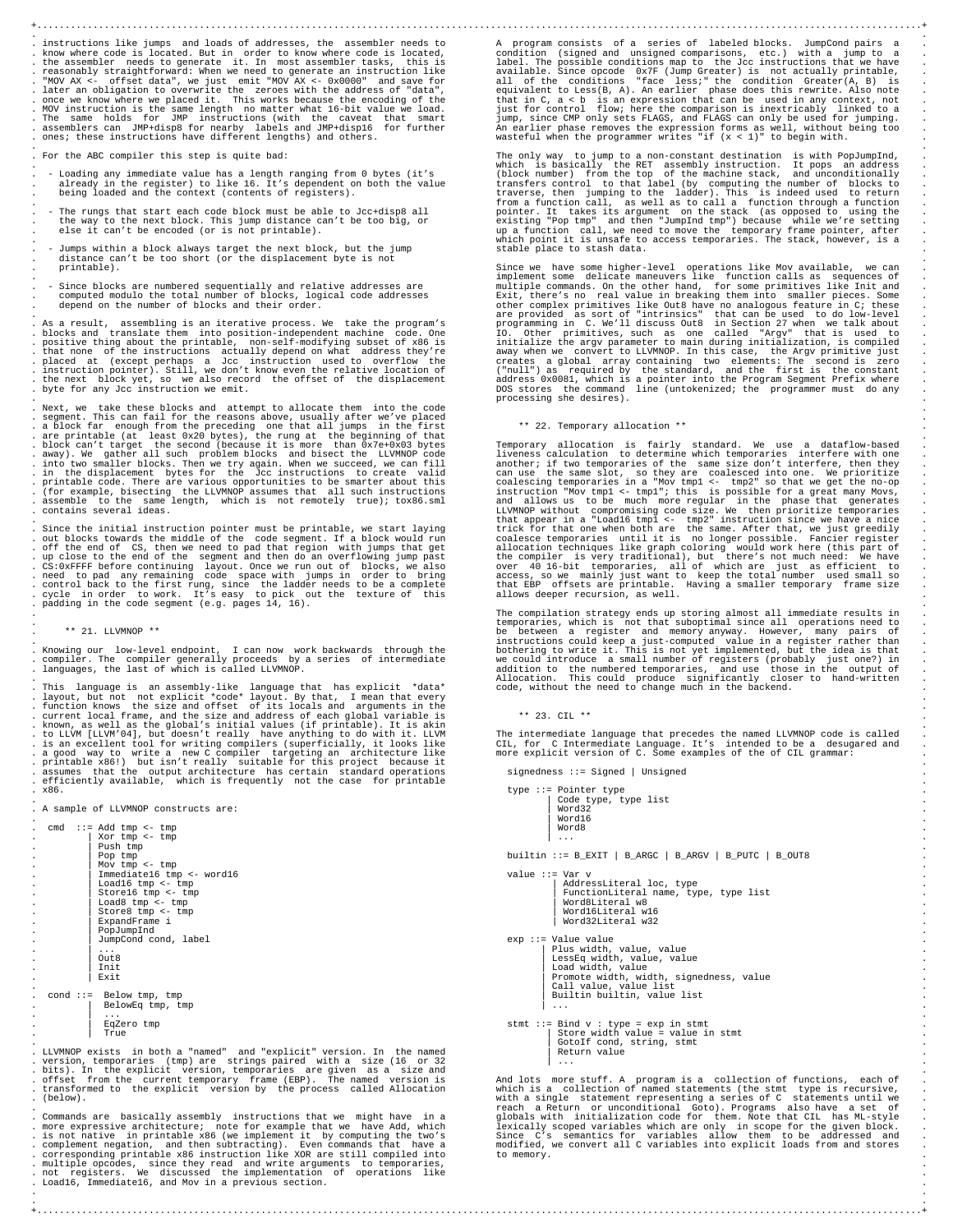Instructions like jumps and loads of addresses, the assembler needs to<br>
. know where code is located. But in order to know where code is located,<br>
. the assembler the same instructions is a condition (signed and unisigned

- 
- 
- 
- 

. segment. This can fail for the reasons above, usually after we've placed . . a block far enough from the preceding one that all jumps in the first \*\* 22. Temporary allocation \*\* .

Since the initial instruction pointer must be printable, we start laying<br>
out blocks towards the middle of the code segment. If a block would run<br>
of the end of CS, then we need to pad that region with jumps that coalesce

This language is an assembly-like language that has explicit 'data' without the need to change much in the backend.<br>
. layout, but not not explicit 'code' layout. By that, I mean that every<br>
. current local frame, and offs

A sample of LLVMNOP constructs are:  $\begin{array}{|c|c|c|c|c|}\hline \text{Word32} & \text{Word34} \\\hline \end{array}$ 

 $\begin{array}{llllll} \text{cmd} & \text{::} = \text{Add}\ \text{tmp} \ \text{\texttt{<}} = \ \text{tmp} \\ & \text{Xor}\ \text{tmp} \ \text{\texttt{<}} = \ \text{tmp} \\ & \text{Push}\ \text{tmp} \end{array} \hspace{1.5cm} \begin{array}{llll} \text{Word8} \\ \text{...} \end{array}$ .  $\vert$  Xor tmp <- tmp  $\vert$ . | Push tmp . . | Pop tmp builtin ::= B\_EXIT | B\_ARGC | B\_ARGV | B\_PUTC | B\_OUT8 . . | Mov tmp <- tmp . . | Immediate16 tmp <- word16 value ::= Var v . PopJumpInd<br>JumpCond cond, label cond ::= Below tmp, tmp<br>| ... BelowEq tmp, tmp

LLVMMOP exists in both a "named" and "explicit" version. In the named<br>
. Wersion, temporaries (tmp) are strings paired with a size (16 or 32<br>
. bits). In the explicit version, temporaries are given as a size and<br>
. offset

Commands are basically assembly instructions that we might have in a<br>
. more expressive architecture; note for the commands are basically scoped variables which<br>
. is not native in printable x86 (we implement it by computi

For the ABC compiler this step is quite bad:<br>
. - Loading any immediate value has a length ranging from 0 bytes (it's<br>
. - Loading any immediate value has a length ranging from 0 bytes (it's<br>
. - Loading any immediate val

. Since we have some higher-level operations like Mov available, we can<br>
. Since we have some higher-level operations like Mov available, we can<br>
. Since blocks are numbered sequentially and relative addresses are<br>
. Sinc

+..............................................................................................................................................................+

. Diock can't target the second (because it is more than 0x76+0x93 bytes<br>
. block can't target the second (because it is more than 0x76+0x93 bytes<br>
. away). We gather all such problem blocks and bisect the LLVMNOP code. Il

\*\* 21. LLVMNOP \*\*<br>
\*\* 21. LLVMNOP \*\*<br>
\*\* 21. LLVMNOP \*\*<br>
\*\* 21. LLVMNOP \*\*<br>
\*\* 21. LLVMNOP \*\*<br>
\*\* 21. LLVMNOP \*\*<br>
. Compiler persidently proceeds by a series of intermediate<br>
. Compiler. The compiler generally proceeds by

. . +..............................................................................................................................................................+

type ::= Pointer type<br>
Code type, type list<br>
Word32  $\blacksquare$  Word  $\blacksquare$  . Note that the set of the set of the set of the set of the set of the set of the set of the set of the set of the set of the set of the set of the set of the set of the set of the set of the set of the

......<br>AddressLiteral loc, type FunctionLiteral name, type, type list<br>Word8Literal w8<br>Word16Literal w16 . | Load8 tmp <- tmp | Word8Literal w8 . . | Store8 tmp <- tmp | Word16Literal w16 . . | ExpandFrame i | Word32Literal w32 .

exp ::= Value value<br>| Plus width, value, value . | ... | Plus width, value, value . . | Out8 | LessEq width, value, value . . | Init | Load width, value . . | Exit | Promote width, width, signedness, value . . | Call value, value list . . cond ::= Below tmp, tmp | Builtin builtin, value list .

. | ... . . | EqZero tmp stmt ::= Bind v : type = exp in stmt . . | True | Store width value = value in stmt .

. (below). with a single statement representing a series of C statements until we . . reach a Return or unconditional Goto). Programs also have a set of .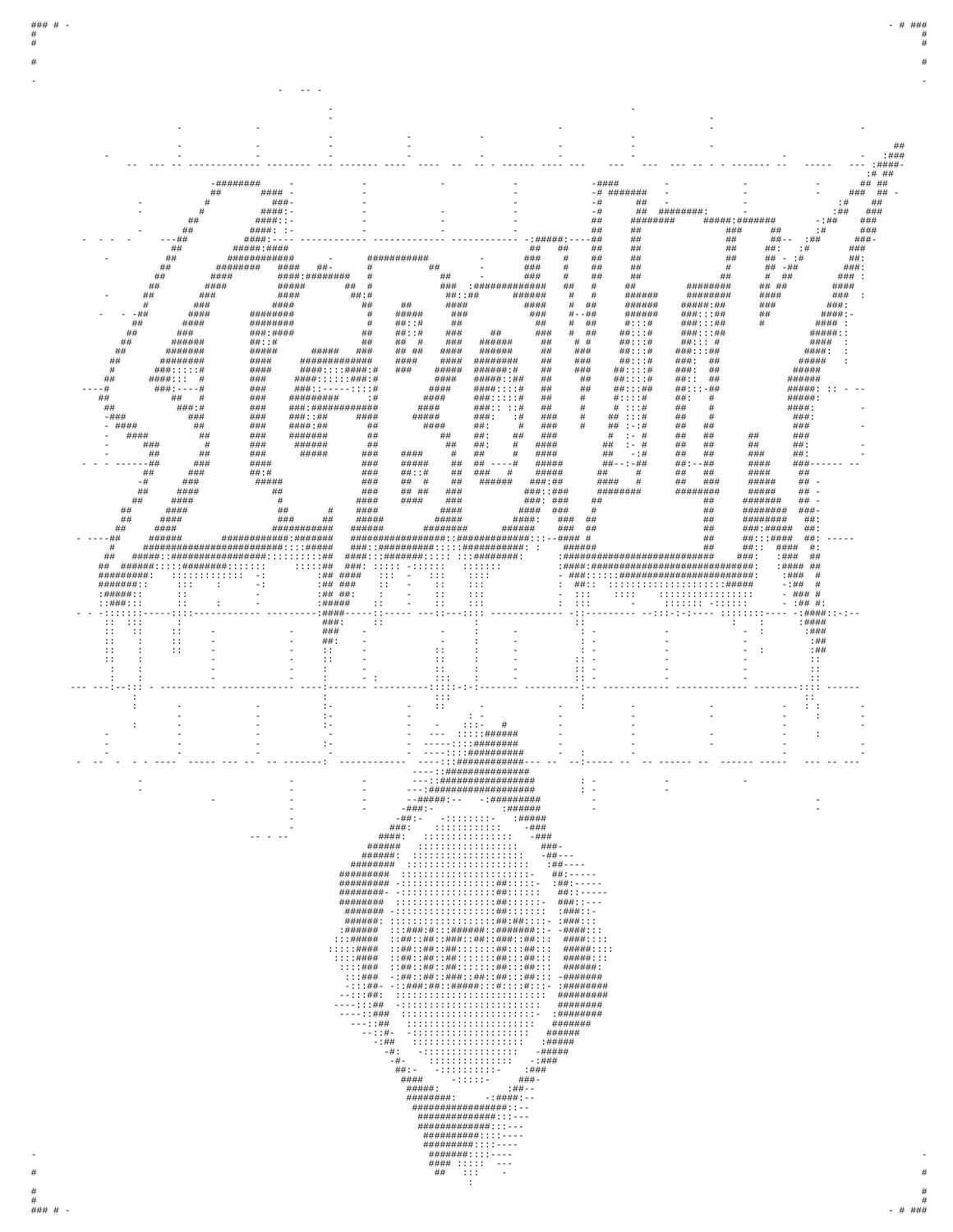|                                              |                                                                                                                                                                                               |                                                                     |                                                                                                                                                                                                                                                                                                                                                                                                                                                                                 |                                                                                                                                        |                                                                                   |                                                     |                                                  |                                                                                              |                                                                                          |                                                | : ###<br>- :####-<br>:# ## |
|----------------------------------------------|-----------------------------------------------------------------------------------------------------------------------------------------------------------------------------------------------|---------------------------------------------------------------------|---------------------------------------------------------------------------------------------------------------------------------------------------------------------------------------------------------------------------------------------------------------------------------------------------------------------------------------------------------------------------------------------------------------------------------------------------------------------------------|----------------------------------------------------------------------------------------------------------------------------------------|-----------------------------------------------------------------------------------|-----------------------------------------------------|--------------------------------------------------|----------------------------------------------------------------------------------------------|------------------------------------------------------------------------------------------|------------------------------------------------|----------------------------|
|                                              | ##                                                                                                                                                                                            | #### -<br>###-<br>####:-                                            |                                                                                                                                                                                                                                                                                                                                                                                                                                                                                 |                                                                                                                                        |                                                                                   | $-$ ####<br>$-#$<br>-#                              | $-#$ #######<br>##                               | ## ########:                                                                                 |                                                                                          | ###<br>:<br>:  #  #                            | ## ##<br>##<br>##<br>###   |
|                                              | ##<br>##<br>$---$ ##<br>##                                                                                                                                                                    | #### : : -<br>#### : : -<br>#### : ---- ------------<br>#####:####  |                                                                                                                                                                                                                                                                                                                                                                                                                                                                                 | ##########                                                                                                                             | ##                                                                                | ##<br>##<br>- -:#####:---+##<br>##<br>##            | ##<br>##<br>##                                   | ##<br>##                                                                                     | $\begin{matrix} + \\ + \\ + \end{matrix}$<br>##-- :##<br>$\#$ #: :#                      | $-$ : ##<br>$\cdot$ #<br>###                   | ###<br>###<br>###-         |
| ##                                           | ##<br>##<br>##<br>####<br>####<br>###                                                                                                                                                         | ###########<br>########<br>####<br>#####<br>####                    | $***$                                                                                                                                                                                                                                                                                                                                                                                                                                                                           |                                                                                                                                        | ###<br>###<br>###<br><b>### :#############</b><br>######                          | $\#$<br>##<br>#<br>##<br>$\#$<br>##<br>#<br>#       | ##<br>##<br>##<br>$\#$                           | ##<br>#<br>##<br>########                                                                    | ## - :#<br>## -##<br><b>#</b> ##<br>## ##                                                | ## :<br>### :<br>### :<br>####                 |                            |
| ##<br>##<br>##                               | ###<br>####<br>####<br>###                                                                                                                                                                    | ####<br>########<br>########<br>###:####                            | ##<br>$+$<br>#<br>##                                                                                                                                                                                                                                                                                                                                                                                                                                                            | ▁▁▁▁  - ##### <sub>}</sub><br>▕##‡‡‡##<br>▕####<br>###<br>##::#<br>##<br>##::#<br>###                                                  | ####<br>###<br>##<br>##<br>###                                                    | $\#$<br>##<br>-##<br>$# -$<br>##<br>$\#$<br>##<br># | ######<br>######<br>######<br># : : :#<br>##:::# | ########<br>#####:##<br>###:::##<br>###:::##<br>###:::##                                     | ####<br>###<br>##<br>#                                                                   | ###<br>### :<br>####:-<br>#### :<br>#####::    |                            |
| ##<br>##<br>##<br>#                          | ######<br>#######<br>########<br>###:::::#                                                                                                                                                    | ##::#<br>#####<br>####<br>####                                      | ##<br>##### ###<br>*************<br>####::::####:#                                                                                                                                                                                                                                                                                                                                                                                                                              | $***$ #<br>###<br>## ##<br>####<br>####<br>####<br>###<br>#####                                                                        | ######<br>##<br>######<br>##<br>########<br>##<br>######:#<br>##                  | $#$ #<br>###<br>###<br>###                          | ##:::#<br>##:::#<br>##:::#<br>##::::#            | ##::: #<br>###:::##<br>### :<br>##<br>###:<br>##                                             |                                                                                          | ####<br>####:<br>#####<br>#####                |                            |
| ##<br>##<br>##                               | ####::: #<br>###:----#<br>##<br>- #<br>###:#                                                                                                                                                  | ###<br>###<br>###<br>########<br>###                                | ####:::::###:#<br>### : : - - - - - : : : #<br>.<br>###:###########                                                                                                                                                                                                                                                                                                                                                                                                             | ####<br>####<br>####<br>####                                                                                                           | ##### : : ##<br>##<br>####::::#<br>##<br>###:::::#<br>##<br>##<br>###:: ::#       | ##<br>##<br>$\pm$                                   | $\#$ #::::#<br>##:::##<br>#::::#<br># :::#       | ##::<br>##<br>##::: -##<br>$\#$ # $\colon$<br>#<br>$***$<br>#                                |                                                                                          | ######<br>#####: ::<br>#####:<br>####:         |                            |
| $-$ ###<br>$-$ ####<br>####<br>###           | ###<br>##<br>##<br>- #                                                                                                                                                                        | ###<br>###::##<br>###<br>####:##<br>###<br>#######<br>###<br>###### | ####<br>##<br>##<br>##                                                                                                                                                                                                                                                                                                                                                                                                                                                          | #####<br>####<br>##<br>##                                                                                                              | ### :<br>$\cdot$ #<br>## :<br>#<br>## :<br>###<br>##<br>$\#$<br>## :<br>####      | $\;$ ###<br>$\pm$                                   | ## :::#<br>## :-:#<br>$#$ : $+$<br>## :- #       | $***$<br>#<br>####<br>$\begin{matrix} \texttt{***} \\ \texttt{***} \end{matrix}$<br>##<br>## | ##<br>##                                                                                 | $\#$ ##:<br>###<br>###<br>## :                 |                            |
| ##<br>·---##<br>##<br>-#                     | ##<br>###<br>###<br>###                                                                                                                                                                       | ###<br>#####<br>####<br>##:#<br>#####                               | ###<br>###<br>###<br>###                                                                                                                                                                                                                                                                                                                                                                                                                                                        | ####<br>$\#$<br>#####<br>$***$<br>$***:$ #<br>##<br>###<br>##                                                                          | ##<br>$\#$<br>####<br>## ----#<br>$\#$ # $\#$<br>######<br>###:##                 | ##<br>#####<br>#####                                | - 1<br>##--:-##<br>$\#$ $\#$<br>#### #           | ##<br>##<br>##:--##<br>$\#$<br>##<br>##<br>###                                               | ###<br>####<br>####<br>#####                                                             | ## :<br>###-<br>##<br>##                       |                            |
| ##<br>##<br>##<br>##                         | ####<br>####<br>####<br>####                                                                                                                                                                  | ##<br>#<br>##<br>###                                                | ###<br>####<br>####<br>##<br>#####                                                                                                                                                                                                                                                                                                                                                                                                                                              | ## ##<br>###<br>###<br>####<br>####<br>#####                                                                                           | ###::###<br>###: ###<br>####<br>####:                                             | ###<br>$\#$<br>###<br>##                            | ########<br>$\#$ $\#$                            | ########<br>##<br>##<br>##                                                                   | #####<br>#######<br>########<br>########                                                 | ##<br>##<br>###-<br>## :                       |                            |
| ##<br>##                                     | ####                                                                                                                                                                                          | ##########                                                          | ######                                                                                                                                                                                                                                                                                                                                                                                                                                                                          | ########                                                                                                                               | ######                                                                            | ##<br>###                                           |                                                  | ##                                                                                           | ###:#####<br>##:::####<br>##:: ####<br>:###                                              | ## :                                           |                            |
| ####### : :<br>: # # # # # : :               | #########: ::::::::::::: -:<br>$\mathbf{H}(\mathbf{H}^{\text{in}}(\mathbb{R}^{n})\times\mathbf{H}^{\text{in}}(\mathbb{R}^{n}))\cong\mathbf{H}^{\text{in}}(\mathbb{R}^{n})$<br>$\pm$ 1 $^{-1}$ | ## ######:::::########:::::: :: ::::##                              |                                                                                                                                                                                                                                                                                                                                                                                                                                                                                 |                                                                                                                                        |                                                                                   |                                                     |                                                  |                                                                                              | : ####<br>$-$ : ##<br>$\begin{array}{cccc} -&\# \# \# \\ -&\ \ \vdots \# \# \end{array}$ | #                                              |                            |
| : : ### : : :<br>$\sim 1.1$                  | $\pm$ :<br>$\pm$                                                                                                                                                                              |                                                                     | - : ####----- : : ----<br>###:<br># # #                                                                                                                                                                                                                                                                                                                                                                                                                                         | $\sim 10$                                                                                                                              | ::::                                                                              |                                                     |                                                  |                                                                                              |                                                                                          | - ####<br>:###                                 |                            |
| $\mathbb{I}$ :<br>$\colon$ :<br>$\mathbb{I}$ | 無いこ                                                                                                                                                                                           |                                                                     | $\frac{1}{\pi}$<br>$\begin{array}{c} \mbox{min} \\ \mbox{min} \\ \mbox{min} \\ \mbox{min} \\ \mbox{min} \\ \mbox{min} \\ \mbox{min} \\ \mbox{min} \\ \mbox{min} \\ \mbox{min} \\ \mbox{min} \\ \mbox{min} \\ \mbox{min} \\ \mbox{min} \\ \mbox{min} \\ \mbox{min} \\ \mbox{min} \\ \mbox{min} \\ \mbox{min} \\ \mbox{min} \\ \mbox{min} \\ \mbox{min} \\ \mbox{min} \\ \mbox{min} \\ \mbox{min} \\ \mbox{min} \\ \mbox{min} \\ \mbox{min} \\ \mbox{min} \\ \mbox{min} \\ \mbox$ | $\pm$ $\pm$<br>$\sim 100$<br>$\sim 100$                                                                                                |                                                                                   | $11 - 1$                                            |                                                  |                                                                                              |                                                                                          | :  ##<br>:  ##<br>$\mathbf{1}$<br>$\mathbf{1}$ |                            |
| $\ddot{\phantom{a}}$                         |                                                                                                                                                                                               |                                                                     | $\ddot{\phantom{1}}$ .                                                                                                                                                                                                                                                                                                                                                                                                                                                          | <b>III</b><br>1:1<br>$\sim 100$                                                                                                        |                                                                                   |                                                     |                                                  |                                                                                              |                                                                                          | $\mathbf{1}$<br>$\sim 10-1$                    |                            |
|                                              |                                                                                                                                                                                               |                                                                     | $\mathbf{H} =$<br>$\sim$<br>$\begin{array}{l} \mathbb{E} \\ \mathbb{E} \\ \mathbb{E} \end{array}$                                                                                                                                                                                                                                                                                                                                                                               | - --- ::::######<br>— — ————— - - - - + # # # # # # # #<br>- -----:::##########                                                        | $\therefore$ : : $-$ #                                                            | $\alpha = 1, \ldots, 1, \ldots, n$                  |                                                  |                                                                                              |                                                                                          |                                                |                            |
|                                              |                                                                                                                                                                                               |                                                                     |                                                                                                                                                                                                                                                                                                                                                                                                                                                                                 | ------ ----:::###########--- -- --:--                                                                                                  | ---::#################                                                            | $\mathbf{I} = -$<br>$\mathbf{I} = -$                |                                                  |                                                                                              |                                                                                          |                                                |                            |
|                                              |                                                                                                                                                                                               |                                                                     |                                                                                                                                                                                                                                                                                                                                                                                                                                                                                 | $-$ ### : -<br>- ##:- -:::::::- :####<br>##: :::::::::: -###                                                                           |                                                                                   |                                                     |                                                  |                                                                                              |                                                                                          |                                                |                            |
|                                              |                                                                                                                                                                                               |                                                                     |                                                                                                                                                                                                                                                                                                                                                                                                                                                                                 | ####: ::::::::::::::: -###<br>######## ::::::::::::::::::::: :##----                                                                   |                                                                                   | ###-                                                |                                                  |                                                                                              |                                                                                          |                                                |                            |
|                                              |                                                                                                                                                                                               |                                                                     |                                                                                                                                                                                                                                                                                                                                                                                                                                                                                 | ######### ::::::::::::::::::::::: ##:-----<br>########- -::::::::::::::::##:::::: ##::----                                             |                                                                                   |                                                     |                                                  |                                                                                              |                                                                                          |                                                |                            |
|                                              |                                                                                                                                                                                               |                                                                     | :::#####                                                                                                                                                                                                                                                                                                                                                                                                                                                                        | ####### -::::::::::::::::##:::::: +###::-<br>###### : :::::::::::::::::::##:##::::- :###:::<br>- ::##::##::###::##::###::##::: ####::: |                                                                                   |                                                     |                                                  |                                                                                              |                                                                                          |                                                |                            |
|                                              |                                                                                                                                                                                               |                                                                     | : : : : : ####<br>: : : : ####<br>: : : : # # #                                                                                                                                                                                                                                                                                                                                                                                                                                 | ○ ::##::##::##:::::::##:::##:::  #####:::<br>- ::##::##::##:::::::##:::##:::  #####:::<br>- ・::##::##::##:::::::##:::##:::  ######:    |                                                                                   |                                                     |                                                  |                                                                                              |                                                                                          |                                                |                            |
|                                              |                                                                                                                                                                                               |                                                                     |                                                                                                                                                                                                                                                                                                                                                                                                                                                                                 | ----::## --::::::::::::::::::::::: #######                                                                                             |                                                                                   |                                                     |                                                  |                                                                                              |                                                                                          |                                                |                            |
|                                              |                                                                                                                                                                                               |                                                                     |                                                                                                                                                                                                                                                                                                                                                                                                                                                                                 | $-\# \, : \qquad - : \, : \, : \, : \, : \, : \, : \, : \, : \, : \, : \, : \, : \, \qquad - \# \, \# \, \# \, \# \,$                  |                                                                                   |                                                     |                                                  |                                                                                              |                                                                                          |                                                |                            |
|                                              |                                                                                                                                                                                               |                                                                     |                                                                                                                                                                                                                                                                                                                                                                                                                                                                                 |                                                                                                                                        |                                                                                   |                                                     |                                                  |                                                                                              |                                                                                          |                                                |                            |
|                                              |                                                                                                                                                                                               |                                                                     |                                                                                                                                                                                                                                                                                                                                                                                                                                                                                 |                                                                                                                                        | ################# : : --<br>############## : : : - - -<br>############# : : : --- |                                                     |                                                  |                                                                                              |                                                                                          |                                                |                            |
|                                              |                                                                                                                                                                                               |                                                                     |                                                                                                                                                                                                                                                                                                                                                                                                                                                                                 |                                                                                                                                        | ########## : : : : - - - -<br>######### : : : : ----<br>#######::::----           |                                                     |                                                  |                                                                                              |                                                                                          |                                                |                            |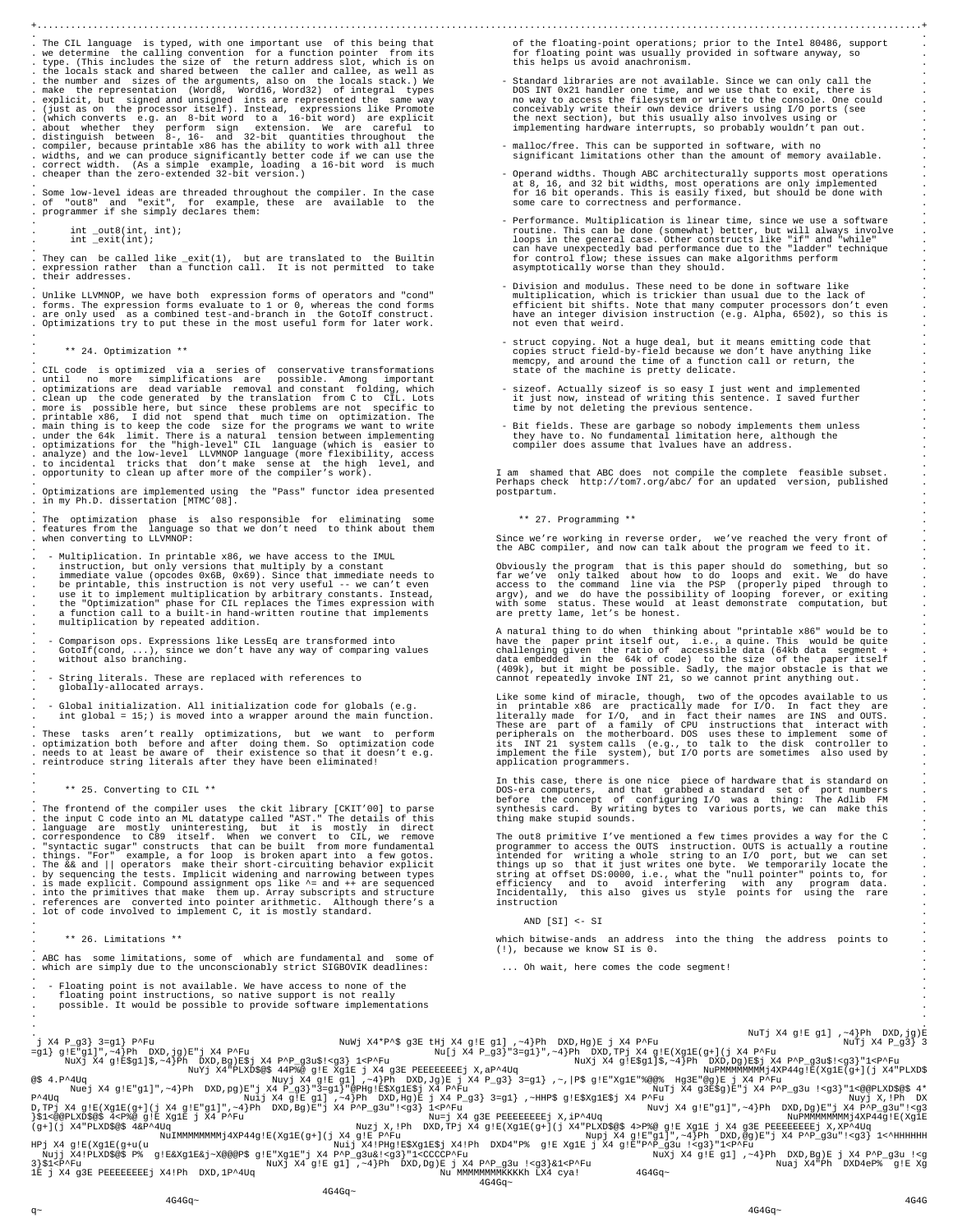... The CIL language is typed, with one important use of this being that<br>
... we determine the calling convention for a function pointer from its<br>
... type://This includes the size of the size of the size of the floating-p

. Some low-level ideas are threaded throughout the compiler. In the case for 16 bit operands. This is easily fixed, but should be done with .<br>. of "out8" and "exit", for example, these are available to the

. They can be called like \_exit(1), but are translated to the Builtin for control flow; these issues can make algorithms perform .<br>. expression rather than a function call. It is not permitted to ta

. Unlike LLVMNOP, we have both expression forms of operators and "cond" multiplication, which is trickier than usual due to the lack of .<br>Are only used as a combined test-and-branch in the GotoIf construct.<br>Are only used a

CIL code is optimized via a series of conservative transformations<br>
. Unli no more simplifications are possible. Among important<br>
... undi no me simplifications are conserved via constant folding, which<br>
... coptimizations

Optimizations are implemented using the "Pass" functor idea presented . in my Ph.D. dissertation [MTMC'08]. .

. . . The optimization phase is also responsible for eliminating some \*\* 27. Programming \*\* . . features from the language so that we don't need to think about them . . when converting to LLVMNOP: Since we're working in reverse order, we've reached the very front of .

- Multiplication. In printable x86, we have access to the IMUL instruction, but only versions that multiply by a constant embed immediate needs to immediate printable, this instruction is not very useful -- we can't even use instruction, but only versions that multiply by a constant<br>
immediate value (opcodes 0x6B, 0x69). Since that immediate needs to<br>
immediate value (opcodes 0x6B, 0x69). Since that immediate needs to<br>
in the "optimization" ph
- 
- 

These tasks aren't-really optimizations, but we want to perform a peripherals on the moth optimization both before and after doing them. So optimization code its INT 21 system call needs to at least be aware of their exist

For frontend of the compiler uses the ckit library [CKIT'00] to parse<br>
. The input Code into an ML datatype called "AST." The details of this subsets of this subsets of the input Code into an ML datatype called "AST." The

. ABC has some limitations, some of which are fundamental and some of<br>. which are simply due to the unconscionably strict SIGBOVIK deadlines: ... Oh wait, here comes the code segment! . .

- Floating point is not available. We have access to none of the
- . floating point instructions, so native support is not really . . possible. It would be possible to provide software implementations . . .

- 
- 
- 
- Performance. Multiplication is linear time, since we use a software .<br>Int\_exit(int); https://www.int.com/since/user/since/user/since/user/since/user/since/user/since/user/since/use<br>Ioops in the general case. Other constr
- . their addresses. . . Division and modulus. These need to be done in software like .
- . . . struct copying. Not a huge deal, but it means emitting code that . . \*\* 24. Optimization \*\* copies struct field-by-field because we don't have anything like .
	-
	-

I am shamed that ABC does not compile the complete feasible subset. Perhaps check http://tom7.org/abc/ for an updated version, published postpartum.

Since we're working in reverse order, we've reached the very front of the ABC compiler, and now can talk about the program we feed to it.

multiplication by repeated addition.<br>
. - Comparison ops. Expressions like LessEq are transformed into<br>
. - Comparison ops. Expressions like LessEq are transformed into<br>
. without also branching.<br>
. without also branching.

globally-allocated arrays.<br>
. Global initialization. All initialization code for globals (e.g. in printable x86 are practically made for I/O. In fact they are .<br>
. int global = 15;) is moved into a wrapper around the main

. . . In this case, there is one nice piece of hardware that is standard on . \*\* 25. Converting to CIL \*\*<br>
DOS-era computers, and that grabbed a standard set of port numbers<br>
frontend of the compiler uses the ckit library [CKIT'00] to parse<br>
input C code into an ML datatype called "AST." The details

. . . \*\* 26. Limitations \*\* which bitwise-ands an address into the thing the address points to . . (!), because we know SI is 0. .

.<br>
1 X4 PPE 1 X4 PPC 31 MW 3 X4 PPC 31 MW 3 X4 PPC 32 LH 3 MW 3 X4 PPC 32 LH 3 MW 3 M4 PPC 33 LH 2 MU 3 M PC 33<br>
1 2 Le PE 2 LE PE 2 LE PE 2 LE PE 2 LE PE 2 LE PE 2 LE PE 2 LE PE 2 LE PE 2 LE PE 2 LE PE 3 MU 3 LE PE 2 LE 2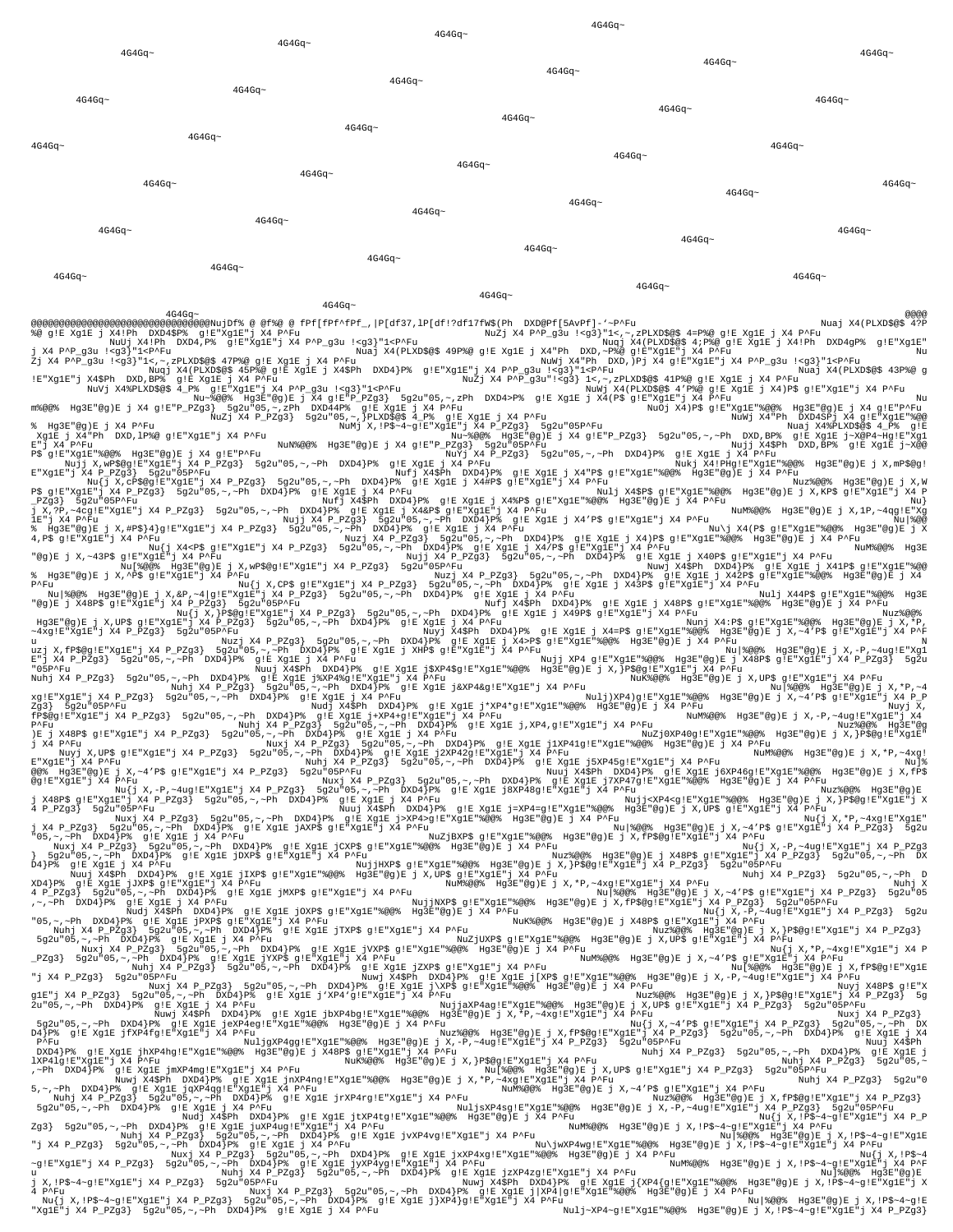$4$ G $4$ G $q$  $\sim$  $4$ G $4$ G $q$  $\sim$ 

 $4\mathrm{G}4\mathrm{Gq}\mathtt{\sim}$  $4\mathrm{G4Gq}\sim$   $4\mathrm{G4Gq}\sim$  $4$ G $4$ G $q$  $\sim$  $4$ G $4$ G $q$  $\sim$  $4\rm{G4}$ G $q\sim$  $4{\rm G4Gq}\!\!\sim\!\!4{\rm G4Gq}\!\!\sim$  $4\rm{G4}$ G $4\rm{G}$ a $\sim$   $4\rm{G4}$ G $4\rm{G}$ a $\sim$   $4\rm{G4}$ G $4\rm{G}$  $4$ G $4$ G $q$  $\sim$  $4$ G $4$ G $q$  $\sim$  $4\rm{G4Gq}\sim$  $4{\rm G4Gq}\!\!\sim\!\!4{\rm G4Gq}\!\!\sim$  $4$ G $4$ G $q$ ~ $4$ G $q$ ~ $\frac{4}{3}$ G $q$  $4$ G $4$ G $4$ G $4$  $4$ G $4$ G $q$  $\sim$  $4$ G $4$ G $q\sim$  $4$ G $4$ G $q$ ~ $4$ G $q$  $4$ G $4$ G $q_{\gamma}$  $4$ G $4$ G $q$  $\sim$  $4\rm{G4}$ G $4\rm{G}$  $\sim$  $4\mathrm{G}4\mathrm{G}\mathrm{q}\mathtt{\sim}$  $4$ G $4$ G $q$ ~ $4$ G $q$ ~ $\,$  $4$ G $4$ G $q\sim$ 

4G4Gq~ 4G4Gq~ 4G4Gq~ 4G4Gq~ 4G4Gq~ 4G4Gq~ 4G4Gq~ 4G4Gq~ 4G4Gq~ @@@@ @@@@@@@@@@@@@@@@@@@@@@@@@@@@@@@@NujDf% @ @f%@ @ fPf[fPf^fPf\_,|P[df37,lP[df!?df17fW\$(Ph DXD@Pf[5AvPf]-'~P^Fu Nuaj X4(PLXD\$@\$ 4?P %@ g!E Xg1E j X4!Ph DXD4\$P% g!E"Xg1E"j X4 P^Fu NuZj X4 P^P\_g3u !<g3}"1<,~,zPLXD\$@\$ 4=P%@ g!E Xg1E j X4 P^Fu NuUj X4!Ph DXD4,P% g!E"Xg1E"j X4 P^P\_g3u !<g3}"1<P^Fu Nuqj X4(PLXD\$@\$ 4;P%@ g!E Xg1E j X4!Ph DXD4gP% g!E"Xg1E" j X4 P^P\_g3u !<g3}"1<P^Fu Nuaj X4(PLXD\$@\$ 49P%@ g!E Xg1E j X4"Ph DXD,~P%@ g!E"Xg1E"j X4 P^Fu Nu Zj X4 P^P\_g3u !<g3}"1<,~,zPLXD\$@\$ 47P%@ g!E Xg1E j X4 P^Fu NuWj X4"Ph DXD,)Pj X4 g!E"Xg1E"j X4 P^P\_g3u !<g3}"1<P^Fu Nuqj X4(PLXD\$@\$ 45P%@ g!E Xg1E j X4\$Ph DXD4}P% g!E"Xg1E"j X4 P^P\_g3u !<g3}"1<P^Fu Nuaj X4(PLXD\$@\$ 43P%@ g !E"Xg1E"j X4\$Ph DXD,BP% g!E Xg1E j X4 P^Fu NuZj X4 P^P\_g3u"!<g3} 1<,~,zPLXD\$@\$ 41P%@ g!E Xg1E j X4 P^Fu NuVj X4%PLXD\$@\$ 4\_P% g!E"Xg1E"j X4 P^P\_g3u !<g3}"1<P^Fu NuWj X4(PLXD\$@\$ 4'P%@ g!E Xg1E j X4)P\$ g!E"Xg1E"j X4 P^Fu Nu~%@@% Hg3E"@g)E j X4 g!E"P\_PZg3} 5g2u"05,~,zPh DXD4>P% g!E Xg1E j X4(P\$ g!E"Xg1E"j X4 P^Fu Nu m%@@% Hg3E"@g)E j X4 g!E"P\_PZg3} 5g2u"05,~,zPh DXD44P% g!E Xg1E j X4 P^Fu NuOj X4)P\$ g!E"Xg1E"%@@% Hg3E"@g)E j X4 g!E"P^Fu NuZj X4 P\_PZg3} 5g2u"05,~,}PLXD\$@\$ 4\_P% g!E Xg1E j X4 P^Fu NuWj X4"Ph DXD4SPj X4 g!E"Xg1E"%@@ % Hg3E"@g)E j X4 P^Fu NuMj X,!P\$~4~g!E"Xg1E"j X4 P\_PZg3} 5g2u"05P^Fu Nuaj X4%PLXD\$@\$ 4\_P% g!E Xg1E j X4"Ph DXD,lP%@ g!E"Xg1E"j X4 P^Fu Nu~%@@% Hg3E"@g)E j X4 g!E"P\_PZg3} 5g2u"05,~,~Ph DXD,BP% g!E Xg1E j~X@P4~Hg!E"Xg1 E"j X4 P^Fu NuN%@@% Hg3E"@g)E j X4 g!E"P\_PZg3} 5g2u"05P^Fu Nujj X4\$Ph DXD,BP% g!E Xg1E j~X@@ P\$ g!E"Xg1E"%@@% Hg3E"@g)E j X4 g!E"P^Fu NuYj X4 P\_PZg3} 5g2u"05,~,~Ph DXD4}P% g!E Xg1E j X4 P^Fu Nujj X,wP\$@g!E"Xg1E"j X4 P\_PZg3} 5g2u"05,~,~Ph DXD4}P% g!E Xg1E j X4 P^Fu Nukj X4!PHg!E"Xg1E"%@@% Hg3E"@g)E j X,mP\$@g! E"Xg1E"j X4 P\_PZg3} 5g2u"05P^Fu Nufj X4\$Ph DXD4}P% g!E Xg1E j X4"P\$ g!E"Xg1E"%@@% Hg3E"@g)E j X4 P^Fu Nu{j X,cP\$@g!E"Xg1E"j X4 P\_PZg3} 5g2u"05,~,~Ph DXD4}P% g!E Xg1E j X4#P\$ g!E"Xg1E"j X4 P^Fu Nuz%@@% Hg3E"@g)E j X,W P\$ g!E"Xg1E"j X4 P\_PZg3} 5g2u"05,~,~Ph DXD4}P% g!E Xg1E j X4 P^Fu Nulj X4\$P\$ g!E"Xg1E"%@@% Hg3E"@g)E j X,KP\$ g!E"Xg1E"j X4 P \_PZg3} 5g2u"05P^Fu Nufj X4\$Ph DXD4}P% g!E Xg1E j X4%P\$ g!E"Xg1E"%@@% Hg3E"@g)E j X4 P^Fu Nu} j X,?P,~4cg!E"Xg1E"j X4 P\_PZg3} 5g2u"05,~,~Ph DXD4}P% g!E Xg1E j X4&P\$ g!E"Xg1E"j X4 P^Fu NuM%@@% Hg3E"@g)E j X,1P,~4qg!E"Xg 1E"j X4 P^Fu Nujj X4 P\_PZg3} 5g2u"05,~,~Ph DXD4}P% g!E Xg1E j X4'P\$ g!E"Xg1E"j X4 P^Fu Nu|%@@ % Hg3E"@g)E j X,#P\$}4}g!E"Xg1E"j X4 P\_PZg3} 5g2u"05,~,~Ph DXD4}P% g!E Xg1E j X4 P^Fu Nu\j X4(P\$ g!E"Xg1E"%@@% Hg3E"@g)E j X 4,P\$ g!E"Xg1E"j X4 P^Fu Nuzj X4 P\_PZg3} 5g2u"05,~,~Ph DXD4}P% g!E Xg1E j X4)P\$ g!E"Xg1E"%@@% Hg3E"@g)E j X4 P^Fu Nu{j X4<P\$ g!E"Xg1E"j X4 P\_PZg3} 5g2u"05,~,~Ph DXD4}P% g!E Xg1E j X4/P\$ g!E"Xg1E"j X4 P^Fu NuM%@@% Hg3E "@g)E j X,~43P\$ g!E"Xg1E"j X4 P^Fu Nujj X4 P\_PZg3} 5g2u"05,~,~Ph DXD4}P% g!E Xg1E j X40P\$ g!E"Xg1E"j X4 P^Fu Nu[%@@% Hg3E"@g)E j X,wP\$@g!E"Xg1E"j X4 P\_PZg3} 5g2u"05P^Fu Nuwj X4\$Ph DXD4}P% g!E Xg1E j X41P\$ g!E"Xg1E"%@@ % Hg3E"@g)E j X,^P\$ g!E"Xg1E"j X4 P^Fu Nuzj X4 P\_PZg3} 5g2u"05,~,~Ph DXD4}P% g!E Xg1E j X42P\$ g!E"Xg1E"%@@% Hg3E"@g)E j X4 P^Fu Nu{j X,CP\$ g!E"Xg1E"j X4 P\_PZg3} 5g2u"05,~,~Ph DXD4}P% g!E Xg1E j X43P\$ g!E"Xg1E"j X4 P^Fu Nu|%@@% Hg3E"@g)E j X,&P,~4|g!E"Xg1E"j X4 P\_PZg3} 5g2u"05,~,~Ph DXD4}P% g!E Xg1E j X4 P^Fu Nulj X44P\$ g!E"Xg1E"%@@% Hg3E "@g)E j X48P\$ g!E"Xg1E"j X4 P\_PZg3} 5g2u"05P^Fu Nufj X4\$Ph DXD4}P% g!E Xg1E j X48P\$ g!E"Xg1E"%@@% Hg3E"@g)E j X4 P^Fu Nu{j X,}P\$@g!E"Xg1E"j X4 P\_PZg3} 5g2u"05,~,~Ph DXD4}P% g!E Xg1E j X49P\$ g!E"Xg1E"j X4 P^Fu Nuz%@@% Hg3E"@g)E j X,UP\$ g!E"Xg1E"j X4 P\_PZg3} 5g2u"05,~,~Ph DXD4}P% g!E Xg1E j X4 P^Fu Nunj X4:P\$ g!E"Xg1E"%@@% Hg3E"@g)E j X,\*P, ~4xg!E"Xg1E"j X4 P\_PZg3} 5g2u"05P^Fu Nuyj X4\$Ph DXD4}P% g!E Xg1E j X4=P\$ g!E"Xg1E"%@@% Hg3E"@g)E j X,~4'P\$ g!E"Xg1E"j X4 P^F u Nuzj X4 P\_PZg3} 5g2u"05,~,~Ph DXD4}P% g!E Xg1E j X4>P\$ g!E"Xg1E"%@@% Hg3E"@g)E j X4 P^Fu N uzj X,fP\$@g!E"Xg1E"j X4 P\_PZg3} 5g2u"05,~,~Ph DXD4}P% g!E Xg1E j XHP\$ g!E"Xg1E"j X4 P^Fu Nu|%@@% Hg3E"@g)E j X,-P,~4ug!E"Xg1 E"j X4 P\_PZg3} 5g2u"05,~,~Ph DXD4}P% g!E Xg1E j X4 P^Fu Nujj XP4 g!E"Xg1E"%@@% Hg3E"@g)E j X48P\$ g!E"Xg1E"j X4 P\_PZg3} 5g2u "05P^Fu Nuuj X4\$Ph DXD4}P% g!E Xg1E j\$XP4\$g!E"Xg1E"%@@% Hg3E"@g)E j X,}P\$@g!E"Xg1E"j X4 P^Fu Nuhj X4 P\_PZg3} 5g2u"05,~,~Ph DXD4}P% g!E Xg1E j%XP4%g!E"Xg1E"j X4 P^Fu NuK%@@% Hg3E"@g)E j X,UP\$ g!E"Xg1E"j X4 P^Fu Nuhj X4 P\_PZg3} 5g2u"05,~,~Ph DXD4}P% g!E Xg1E j&XP4&g!E"Xg1E"j X4 P^Fu Nu|%@@% Hg3E"@g)E j X,\*P,~4 xg!E"Xg1E"j X4 P\_PZg3} 5g2u"05,~,~Ph DXD4}P% g!E Xg1E j X4 P^Fu Nulj)XP4)g!E"Xg1E"%@@% Hg3E"@g)E j X,~4'P\$ g!E"Xg1E"j X4 P\_P Zg3} 5g2u"05P^Fu Nudj X4\$Ph DXD4}P% g!E Xg1E j\*XP4\*g!E"Xg1E"%@@% Hg3E"@g)E j X4 P^Fu Nuyj X, fP\$@g!E"Xg1E"j X4 P\_PZg3} 5g2u"05,~,~Ph DXD4}P% g!E Xg1E j+XP4+g!E"Xg1E"j X4 P^Fu NuM%@@% Hg3E"@g)E j X,-P,~4ug!E"Xg1E"j X4 P^Fu Nuhj X4 P\_PZg3} 5g2u"05,~,~Ph DXD4}P% g!E Xg1E j,XP4,g!E"Xg1E"j X4 P^Fu Nuz%@@% Hg3E"@g )E j X48P\$ g!E"Xg1E"j X4 P\_PZg3} 5g2u"05,~,~Ph DXD4}P% g!E Xg1E j X4 P^Fu NuZj0XP40g!E"Xg1E"%@@% Hg3E"@g)E j X,}P\$@g!E"Xg1E" j X4 P^Fu Nuxj X4 P\_PZg3} 5g2u"05,~,~Ph DXD4}P% g!E Xg1E j1XP41g!E"Xg1E"%@@% Hg3E"@g)E j X4 P^Fu Nuyj X,UP\$ g!E"Xg1E"j X4 P\_PZg3} 5g2u"05,~,~Ph DXD4}P% g!E Xg1E j2XP42g!E"Xg1E"j X4 P^Fu NuM%@@% Hg3E"@g)E j X,\*P,~4xg! E"Xg1E"j X4 P^Fu Nuhj X4 P\_PZg3} 5g2u"05,~,~Ph DXD4}P% g!E Xg1E j5XP45g!E"Xg1E"j X4 P^Fu Nu]% @@% Hg3E"@g)E j X,~4'P\$ g!E"Xg1E"j X4 P\_PZg3} 5g2u"05P^Fu Nuuj X4\$Ph DXD4}P% g!E Xg1E j6XP46g!E"Xg1E"%@@% Hg3E"@g)E j X,fP\$ @g!E"Xg1E"j X4 P^Fu Nuxj X4 P\_PZg3} 5g2u"05,~,~Ph DXD4}P% g!E Xg1E j7XP47g!E"Xg1E"%@@% Hg3E"@g)E j X4 P^Fu Nu{j X,-P,~4ug!E"Xg1E"j X4 P\_PZg3} 5g2u"05,~,~Ph DXD4}P% g!E Xg1E j8XP48g!E"Xg1E"j X4 P^Fu Nuz%@@% Hg3E"@g)E j X48P\$ g!E"Xg1E"j X4 P\_PZg3} 5g2u"05,~,~Ph DXD4}P% g!E Xg1E j X4 P^Fu Nujj<XP4<g!E"Xg1E"%@@% Hg3E"@g)E j X,}P\$@g!E"Xg1E"j X 4 P\_PZg3} 5g2u"05P^Fu Nuuj X4\$Ph DXD4}P% g!E Xg1E j=XP4=g!E"Xg1E"%@@% Hg3E"@g)E j X,UP\$ g!E"Xg1E"j X4 P^Fu Nuxj X4 P\_PZg3} 5g2u"05,~,~Ph DXD4}P% g!E Xg1E j>XP4>g!E"Xg1E"%@@% Hg3E"@g)E j X4 P^Fu Nu{j X,\*P,~4xg!E"Xg1E" j X4 P\_PZg3} 5g2u"05,~,~Ph DXD4}P% g!E Xg1E jAXP\$ g!E"Xg1E"j X4 P^Fu Nu|%@@% Hg3E"@g)E j X,~4'P\$ g!E"Xg1E"j X4 P\_PZg3} 5g2u "05,~,~Ph DXD4}P% g!E Xg1E j X4 P^Fu NuZjBXP\$ g!E"Xg1E"%@@% Hg3E"@g)E j X,fP\$@g!E"Xg1E"j X4 P^Fu Nuxj X4 P\_PZg3} 5g2u"05,~,~Ph DXD4}P% g!E Xg1E jCXP\$ g!E"Xg1E"%@@% Hg3E"@g)E j X4 P^Fu Nu{j X,-P,~4ug!E"Xg1E"j X4 P\_PZg3 } 5g2u"05,~,~Ph DXD4}P% g!E Xg1E jDXP\$ g!E"Xg1E"j X4 P^Fu Nuz%@@% Hg3E"@g)E j X48P\$ g!E"Xg1E"j X4 P\_PZg3} 5g2u"05,~,~Ph DX D4}P% g!E Xg1E j X4 P^Fu NujjHXP\$ g!E"Xg1E"%@@% Hg3E"@g)E j X,}P\$@g!E"Xg1E"j X4 P\_PZg3} 5g2u"05P^Fu Nuuj X4\$Ph DXD4}P% g!E Xg1E jIXP\$ g!E"Xg1E"%@@% Hg3E"@g)E j X,UP\$ g!E"Xg1E"j X4 P^Fu Nuhj X4 P\_PZg3} 5g2u"05,~,~Ph D XD4}P% g!E Xg1E jJXP\$ g!E"Xg1E"j X4 P^Fu NuM%@@% Hg3E"@g)E j X,\*P,~4xg!E"Xg1E"j X4 P^Fu Nuhj X 4 P\_PZg3} 5g2u"05,~,~Ph DXD4}P% g!E Xg1E jMXP\$ g!E"Xg1E"j X4 P^Fu Nu|%@@% Hg3E"@g)E j X,~4'P\$ g!E"Xg1E"j X4 P\_PZg3} 5g2u"05 ,~,~Ph DXD4}P% g!E Xg1E j X4 P^Fu NujjNXP\$ g!E"Xg1E"%@@% Hg3E"@g)E j X,fP\$@g!E"Xg1E"j X4 P\_PZg3} 5g2u"05P^Fu Nudj X4\$Ph DXD4}P% g!E Xg1E jOXP\$ g!E"Xg1E"%@@% Hg3E"@g)E j X4 P^Fu Nu{j X,-P,~4ug!E"Xg1E"j X4 P\_PZg3} 5g2u "05,~,~Ph DXD4}P% g!E Xg1E jPXP\$ g!E"Xg1E"j X4 P^Fu NuK%@@% Hg3E"@g)E j X48P\$ g!E"Xg1E"j X4 P^Fu Nuhj X4 P\_PZg3} 5g2u"05,~,~Ph DXD4}P% g!E Xg1E jTXP\$ g!E"Xg1E"j X4 P^Fu Nuz%@@% Hg3E"@g)E j X,}P\$@g!E"Xg1E"j X4 P\_PZg3} 5g2u"05,~,~Ph DXD4}P% g!E Xg1E j X4 P^Fu NuZjUXP\$ g!E"Xg1E"%@@% Hg3E"@g)E j X,UP\$ g!E"Xg1E"j X4 P^Fu Nuxj X4 P\_PZg3} 5g2u"05,~,~Ph DXD4}P% g!E Xg1E jVXP\$ g!E"Xg1E"%@@% Hg3E"@g)E j X4 P^Fu Nu{j X,\*P,~4xg!E"Xg1E"j X4 P \_PZg3} 5g2u"05,~,~Ph DXD4}P% g!E Xg1E jYXP\$ g!E"Xg1E"j X4 P^Fu NuM%@@% Hg3E"@g)E j X,~4'P\$ g!E"Xg1E"j X4 P^Fu Nuhj X4 P\_PZg3} 5g2u"05,~,~Ph DXD4}P% g!E Xg1E jZXP\$ g!E"Xg1E"j X4 P^Fu Nu[%@@% Hg3E"@g)E j X,fP\$@g!E"Xg1E "j X4 P\_PZg3} 5g2u"05P^Fu Nuwj X4\$Ph DXD4}P% g!E Xg1E j[XP\$ g!E"Xg1E"%@@% Hg3E"@g)E j X,-P,~4ug!E"Xg1E"j X4 P^Fu Nuxj X4 P\_PZg3} 5g2u"05,~,~Ph DXD4}P% g!E Xg1E j\XP\$ g!E"Xg1E"%@@% Hg3E"@g)E j X4 P^Fu Nuyj X48P\$ g!E"X g1E"j X4 P\_PZg3} 5g2u"05,~,~Ph DXD4}P% g!E Xg1E j'XP4'g!E"Xg1E"j X4 P^Fu Nuz%@@% Hg3E"@g)E j X,}P\$@g!E"Xg1E"j X4 P\_PZg3} 5g 2u"05,~,~Ph DXD4}P% g!E Xg1E j X4 P^Fu NujjaXP4ag!E"Xg1E"%@@% Hg3E"@g)E j X,UP\$ g!E"Xg1E"j X4 P\_PZg3} 5g2u"05P^Fu Nuwj X4\$Ph DXD4}P% g!E Xg1E jbXP4bg!E"Xg1E"%@@% Hg3E"@g)E j X,\*P,~4xg!E"Xg1E"j X4 P^Fu Nuxj X4 P\_PZg3} 5g2u"05,~,~Ph DXD4}P% g!E Xg1E jeXP4eg!E"Xg1E"%@@% Hg3E"@g)E j X4 P^Fu Nu{j X,~4'P\$ g!E"Xg1E"j X4 P\_PZg3} 5g2u"05,~,~Ph DX D4}P% g!E Xg1E jfXP4fg!E"Xg1E"j X4 P^Fu Nuz%@@% Hg3E"@g)E j X,fP\$@g!E"Xg1E"j X4 P\_PZg3} 5g2u"05,~,~Ph DXD4}P% g!E Xg1E j X4 P^Fu NuljgXP4gg!E"Xg1E"%@@% Hg3E"@g)E j X,-P,~4ug!E"Xg1E"j X4 P\_PZg3} 5g2u"05P^Fu Nuuj X4\$Ph DXD4}P% g!E Xg1E jhXP4hg!E"Xg1E"%@@% Hg3E"@g)E j X48P\$ g!E"Xg1E"j X4 P^Fu Nuhj X4 P\_PZg3} 5g2u"05,~,~Ph DXD4}P% g!E Xg1E j lXP4lg!E"Xg1E"j X4 P^Fu NuK%@@% Hg3E"@g)E j X,}P\$@g!E"Xg1E"j X4 P^Fu Nuhj X4 P\_PZg3} 5g2u"05,~ ,~Ph DXD4}P% g!E Xg1E jmXP4mg!E"Xg1E"j X4 P^Fu Nu[%@@% Hg3E"@g)E j X,UP\$ g!E"Xg1E"j X4 P\_PZg3} 5g2u"05P^Fu Nuwj X4\$Ph DXD4}P% g!E Xg1E jnXP4ng!E"Xg1E"%@@% Hg3E"@g)E j X,\*P,~4xg!E"Xg1E"j X4 P^Fu Nuhj X4 P\_PZg3} 5g2u"0 5,~,~Ph DXD4}P% g!E Xg1E jqXP4qg!E"Xg1E"j X4 P^Fu NuM%@@% Hg3E"@g)E j X,~4'P\$ g!E"Xg1E"j X4 P^Fu Nuhj X4 P\_PZg3} 5g2u"05,~,~Ph DXD4}P% g!E Xg1E jrXP4rg!E"Xg1E"j X4 P^Fu Nuz%@@% Hg3E"@g)E j X,fP\$@g!E"Xg1E"j X4 P\_PZg3} 5g2u"05,~,~Ph DXD4}P% g!E Xg1E j X4 P^Fu NuljsXP4sg!E"Xg1E"%@@% Hg3E"@g)E j X,-P,~4ug!E"Xg1E"j X4 P\_PZg3} 5g2u"05P^Fu Nudj X4\$Ph DXD4}P% g!E Xg1E jtXP4tg!E"Xg1E"%@@% Hg3E"@g)E j X4 P^Fu Nu{j X,!P\$~4~g!E"Xg1E"j X4 P\_P Zg3} 5g2u"05,~,~Ph DXD4}P% g!E Xg1E juXP4ug!E"Xg1E"j X4 P^Fu NuM%@@% Hg3E"@g)E j X,!P\$~4~g!E"Xg1E"j X4 P^Fu Nuhj X4 P\_PZg3} 5g2u"05,~,~Ph DXD4}P% g!E Xg1E jvXP4vg!E"Xg1E"j X4 P^Fu Nu|%@@% Hg3E"@g)E j X,!P\$~4~g!E"Xg1E "j X4 P\_PZg3} 5g2u"05,~,~Ph DXD4}P% g!E Xg1E j X4 P^Fu Nu\jwXP4wg!E"Xg1E"%@@% Hg3E"@g)E j X,!P\$~4~g!E"Xg1E"j X4 P^Fu Nuxj X4 P\_PZg3} 5g2u"05,~,~Ph DXD4}P% g!E Xg1E jxXP4xg!E"Xg1E"%@@% Hg3E"@g)E j X4 P^Fu Nu{j X,!P\$~4 ~g!E"Xg1E"j X4 P\_PZg3} 5g2u"05,~,~Ph DXD4}P% g!E Xg1E jyXP4yg!E"Xg1E"j X4 P^Fu NuM%@@% Hg3E"@g)E j X,!P\$~4~g!E"Xg1E"j X4 P^F u Nuhj X4 P\_PZg3} 5g2u"05,~,~Ph DXD4}P% g!E Xg1E jzXP4zg!E"Xg1E"j X4 P^Fu Nu]%@@% Hg3E"@g)E j X,!P\$~4~g!E"Xg1E"j X4 P\_PZg3} 5g2u"05P^Fu Nuwj X4\$Ph DXD4}P% g!E Xg1E j{XP4{g!E"Xg1E"%@@% Hg3E"@g)E j X,!P\$~4~g!E"Xg1E"j X 4 P^Fu Nuxj X4 P\_PZg3} 5g2u"05,~,~Ph DXD4}P% g!E Xg1E j|XP4|g!E"Xg1E"%@@% Hg3E"@g)E j X4 P^Fu Nu{j X,!P\$~4~g!E"Xg1E"j X4 P\_PZg3} 5g2u"05,~,~Ph DXD4}P% g!E Xg1E j}XP4}g!E"Xg1E"j X4 P^Fu Nu|%@@% Hg3E"@g)E j X,!P\$~4~g!E "Xg1E"j X4 P\_PZg3} 5g2u"05,~,~Ph DXD4}P% g!E Xg1E j X4 P^Fu Nulj~XP4~g!E"Xg1E"%@@% Hg3E"@g)E j X,!P\$~4~g!E"Xg1E"j X4 P\_PZg3}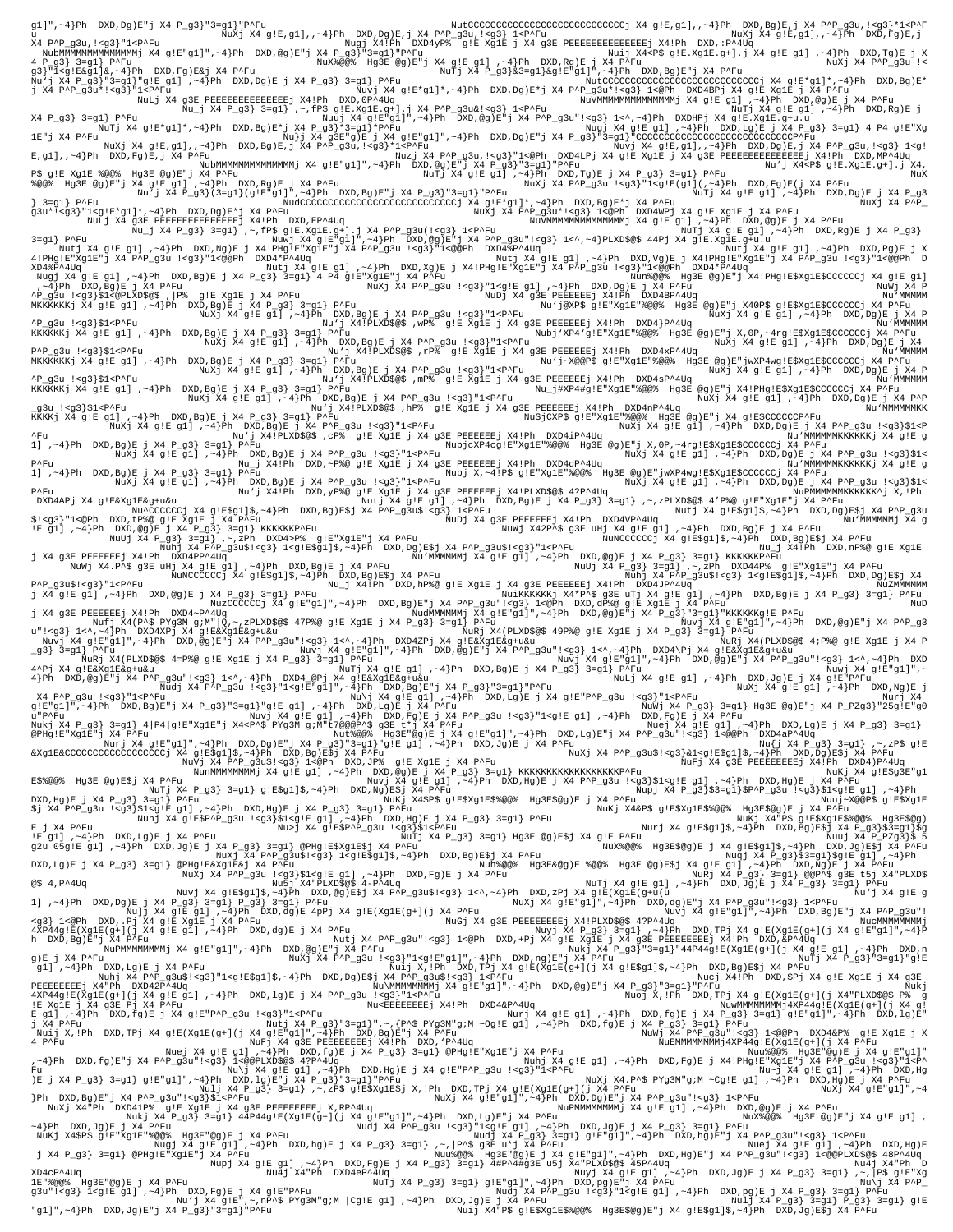g1]",~4}Ph DXD,Dg)E"j X4 P\_g3}"3=g1}"P^Fu NutCCCCCCCCCCCCCCCCCCCCCCCCCCCCj X4 g!E,g1],,~4}Ph DXD,Bg)E,j X4 P^P\_g3u,!<g3}\*1<P^F u NuXj X4 g!E,g1],,~4}Ph DXD,Dg)E,j X4 P^P\_g3u,!<g3} 1<P^Fu NuXj X4 g!E,g1],,~4}Ph DXD,Fg)E,j X4 P^P\_g3u,!<g3}"1<P^Fu Nugj X4!Ph DXD4yP% g!E Xg1E j X4 g3E PEEEEEEEEEEEEEEj X4!Ph DXD,:P^4Uq NubMMMMMMMMMMMMMMj X4 g!E"g1]",~4}Ph DXD,@g)E"j X4 P\_g3}"3=g1}"P^Fu Nuij X4<P\$ g!E.Xg1E.g+].j X4 g!E g1] ,~4}Ph DXD,Tg)E j X 4 P\_g3} 3=g1} P^Fu NuX%@@% Hg3E @g)E"j X4 g!E g1] ,~4}Ph DXD,Rg)E j X4 P^Fu NuXj X4 P^P\_g3u !< g3}"1<g!E&g1]&,~4}Ph DXD,Fg)E&j X4 P^Fu NuTj X4 P\_g3}&3=g1}&g!E"g1]",~4}Ph DXD,Bg)E"j X4 P^Fu Nu'j X4 P\_g3}"3=g1}"g!E g1] ,~4}Ph DXD,Dg)E j X4 P\_g3} 3=g1} P^Fu NutCCCCCCCCCCCCCCCCCCCCCCCCCCCCj X4 g!E\*g1]\*,~4}Ph DXD,Bg)E\* j X4 P^P\_g3u\*!<g3}"1<P^Fu Nuvj X4 g!E\*g1]\*,~4}Ph DXD,Dg)E\*j X4 P^P\_g3u\*!<g3} 1<@Ph DXD4BPj X4 g!E Xg1E j X4 P^Fu NuLj X4 g3E PEEEEEEEEEEEEEEj X4!Ph DXD,0P^4Uq NuVMMMMMMMMMMMMMMj X4 g!E g1] ,~4}Ph DXD,@g)E j X4 P^Fu Nu\_j X4 P\_g3} 3=g1} ,~,fP\$ g!E.Xg1E.g+].j X4 P^P\_g3u&!<g3} 1<P^Fu NuTj X4 g!E g1] ,~4}Ph DXD,Rg)E j X4 P\_g3} 3=g1} P^Fu Nuuj X4 g!E"g1]",~4}Ph DXD,@g)E"j X4 P^P\_g3u"!<g3} 1<^,~4}Ph DXDHPj X4 g!E.Xg1E.g+u.u NuTj X4 g!E\*g1]\*,~4}Ph DXD,Bg)E\*j X4 P\_g3}\*3=g1}\*P^Fu Nugj X4 g!E g1] ,~4}Ph DXD,Lg)E j X4 P\_g3} 3=g1} 4 P4 g!E"Xg 1E"j X4 P^Fu Nu}j X4 g3E"g)E j X4 g!E"g1]",~4}Ph DXD,Dg)E"j X4 P\_g3}"3=g1}"CCCCCCCCCCCCCCCCCCCCCCCCCCCCP^Fu NuXj X4 g!E,g1],,~4}Ph DXD,Bg)E,j X4 P^P\_g3u,!<g3}\*1<P^Fu Nuvj X4 g!E,g1],,~4}Ph DXD,Dg)E,j X4 P^P\_g3u,!<g3} 1<g! E,g1],,~4}Ph DXD,Fg)E,j X4 P^Fu Nuzj X4 P^P\_g3u,!<g3}"1<@Ph DXD4LPj X4 g!E Xg1E j X4 g3E PEEEEEEEEEEEEEEj X4!Ph DXD,MP^4Uq NubMMMMMMMMMMMMMMj X4 g!E"g1]",~4}Ph DXD,@g)E"j X4 P\_g3}"3=g1}"P^Fu Nu'j X4<P\$ g!E.Xg1E.g+].j X4, P\$ g!E Xg1E %@@% Hg3E @g)E"j X4 P^Fu NuTj X4 g!E g1] ,~4}Ph DXD,Tg)E j X4 P\_g3} 3=g1} P^Fu NuX %@@% Hg3E @g)E"j X4 g!E g1] ,~4}Ph DXD,Rg)E j X4 P^Fu NuXj X4 P^P\_g3u !<g3}"1<g!E(g1](,~4}Ph DXD,Fg)E(j X4 P^Fu Nu'j X4 P\_g3}(3=g1}(g!E"g1]",~4}Ph DXD,Bg)E"j X4 P\_g3}"3=g1}"P^Fu NuTj X4 g!E g1] ,~4}Ph DXD,Dg)E j X4 P\_g3 } 3=g1} P^Fu NudCCCCCCCCCCCCCCCCCCCCCCCCCCCCj X4 g!E\*g1]\*,~4}Ph DXD,Bg)E\*j X4 P^Fu NuXj X4 P^P\_ g3u\*!<g3}"1<g!E\*g1]\*,~4}Ph DXD,Dg)E\*j X4 P^Fu NuXj X4 P^P\_g3u\*!<g3} 1<@Ph DXD4WPj X4 g!E Xg1E j X4 P^Fu NuLj X4 g3E PEEEEEEEEEEEEEEj X4!Ph DXD,EP^4Uq NuVMMMMMMMMMMMMMMj X4 g!E g1] ,~4}Ph DXD,@g)E j X4 P^Fu Nu\_j X4 P\_g3} 3=g1} ,~,fP\$ g!E.Xg1E.g+].j X4 P^P\_g3u(!<g3} 1<P^Fu NuTj X4 g!E g1] ,~4}Ph DXD,Rg)E j X4 P\_g3} 3=g1} P^Fu Nuwj X4 g!E"g1]",~4}Ph DXD,@g)E"j X4 P^P\_g3u"!<g3} 1<^,~4}PLXD\$@\$ 44Pj X4 g!E.Xg1E.g+u.u Nutj X4 g!E g1] ,~4}Ph DXD,Ng)E j X4!PHg!E"Xg1E"j X4 P^P\_g3u !<g3}"1<@@Ph DXD4%P^4Uq Nutj X4 g!E g1] ,~4}Ph DXD,Pg)E j X 4!PHg!E"Xg1E"j X4 P^P\_g3u !<g3}"1<@@Ph DXD4\*P^4Uq Nutj X4 g!E g1] ,~4}Ph DXD,Vg)E j X4!PHg!E"Xg1E"j X4 P^P\_g3u !<g3}"1<@@Ph D XD4%P^4Uq Nutj X4 g!E g1] ,~4}Ph DXD,Xg)E j X4!PHg!E"Xg1E"j X4 P^P\_g3u !<g3}"1<@@Ph DXD4\*P^4Uq Nugj X4 g!E g1] ,~4}Ph DXD,Bg)E j X4 P\_g3} 3=g1} 4 P4 g!E"Xg1E"j X4 P^Fu Nun%@@% Hg3E @g)E"j X4!PHg!E\$Xg1E\$CCCCCCj X4 g!E g1] ,~4}Ph DXD,Bg)E j X4 P^Fu NuXj X4 P^P\_g3u !<g3}"1<g!E g1] ,~4}Ph DXD,Dg)E j X4 P^Fu NuWj X4 P ^P\_g3u !<g3}\$1<@PLXD\$@\$ ,|P% g!E Xg1E j X4 P^Fu NuDj X4 g3E PEEEEEEj X4!Ph DXD4BP^4Uq Nu'MMMMM MKKKKKKj X4 g!E g1] ,~4}Ph DXD,Bg)E j X4 P\_g3} 3=g1} P^Fu Nu'j@XP\$ g!E"Xg1E"%@@% Hg3E @g)E"j X40P\$ g!E\$Xg1E\$CCCCCCj X4 P^Fu NuXj X4 g!E g1] ,~4}Ph DXD,Bg)E j X4 P^P\_g3u !<g3}"1<P^Fu NuXj X4 g!E g1] ,~4}Ph DXD,Dg)E j X4 P ^P\_g3u !<g3}\$1<P^Fu Nu'j X4!PLXD\$@\$ ,wP% g!E Xg1E j X4 g3E PEEEEEEj X4!Ph DXD4}P^4Uq Nu'MMMMMM KKKKKKj X4 g!E g1] ,~4}Ph DXD,Bg)E j X4 P\_g3} 3=g1} P^Fu Nubj'XP4'g!E"Xg1E"%@@% Hg3E @g)E"j X,0P,~4rg!E\$Xg1E\$CCCCCCj X4 P^Fu NuXj X4 g!E g1] ,~4}Ph DXD,Bg)E j X4 P^P\_g3u !<g3}"1<P^Fu NuXj X4 g!E g1] ,~4}Ph DXD,Dg)E j X4 P^P\_g3u !<g3}\$1<P^Fu Nu'j X4!PLXD\$@\$ ,rP% g!E Xg1E j X4 g3E PEEEEEEj X4!Ph DXD4xP^4Uq Nu'MMMMM MKKKKKKj X4 g!E g1] ,~4}Ph DXD,Bg)E j X4 P\_g3} 3=g1} P^Fu Nu'j~X@@P\$ g!E"Xg1E"%@@% Hg3E @g)E"jwXP4wg!E\$Xg1E\$CCCCCCj X4 P^Fu NuXj X4 g!E g1] ,~4}Ph DXD,Bg)E j X4 P^P\_g3u !<g3}"1<P^Fu NuXj X4 g!E g1] ,~4}Ph DXD,Dg)E j X4 P ^P\_g3u !<g3}\$1<P^Fu Nu'j X4!PLXD\$@\$ ,mP% g!E Xg1E j X4 g3E PEEEEEEj X4!Ph DXD4sP^4Uq Nu'MMMMMM KKKKKKj X4 g!E g1] ,~4}Ph DXD,Bg)E j X4 P\_g3} 3=g1} P^Fu Nu\_j#XP4#g!E"Xg1E"%@@% Hg3E @g)E"j X4!PHg!E\$Xg1E\$CCCCCCj X4 P^Fu NuXj X4 g!E g1] ,~4}Ph DXD,Bg)E j X4 P^P\_g3u !<g3}"1<P^Fu NuXj X4 g!E g1] ,~4}Ph DXD,Dg)E j X4 P^P \_g3u !<g3}\$1<P^Fu Nu'j X4!PLXD\$@\$ ,hP% g!E Xg1E j X4 g3E PEEEEEEj X4!Ph DXD4nP^4Uq Nu'MMMMMMKK KKKKj X4 g!E g1] ,~4}Ph DXD,Bg)E j X4 P\_g3} 3=g1} P^Fu NuSjCXP\$ g!E"Xg1E"%@@% Hg3E @g)E"j X4 g!E\$CCCCCCP^Fu NuXj X4 g!E g1] ,~4}Ph DXD,Bg)E j X4 P^P\_g3u !<g3}"1<P^Fu NuXj X4 g!E g1] ,~4}Ph DXD,Dg)E j X4 P^P\_g3u !<g3}\$1<P ^Fu Nu'j X4!PLXD\$@\$ ,cP% g!E Xg1E j X4 g3E PEEEEEEj X4!Ph DXD4iP^4Uq Nu'MMMMMMKKKKKKj X4 g!E g 1] ,~4}Ph DXD,Bg)E j X4 P\_g3} 3=g1} P^Fu NubjcXP4cg!E"Xg1E"%@@% Hg3E @g)E"j X,0P,~4rg!E\$Xg1E\$CCCCCCj X4 P^Fu NuXj X4 g!E g1] ,~4}Ph DXD,Bg)E j X4 P^P\_g3u !<g3}"1<P^Fu NuXj X4 g!E g1] ,~4}Ph DXD,Dg)E j X4 P^P\_g3u !<g3}\$1< P^Fu Nu\_j X4!Ph DXD,~P%@ g!E Xg1E j X4 g3E PEEEEEEj X4!Ph DXD4dP^4Uq Nu'MMMMMMKKKKKKj X4 g!E g 1] ,~4}Ph DXD,Bg)E j X4 P\_g3} 3=g1} P^Fu Nubj X,~4!P\$ g!E"Xg1E"%@@% Hg3E @g)E"jwXP4wg!E\$Xg1E\$CCCCCCj X4 P^Fu NuXj X4 g!E g1] ,~4}Ph DXD,Bg)E j X4 P^P\_g3u !<g3}"1<P^Fu NuXj X4 g!E g1] ,~4}Ph DXD,Dg)E j X4 P^P\_g3u !<g3}\$1< P^Fu Nu'j X4!Ph DXD,yP%@ g!E Xg1E j X4 g3E PEEEEEEj X4!PLXD\$@\$ 4?P^4Uq NuPMMMMMMKKKKKK^j X,!Ph DXD4APj X4 g!E&Xg1E&g+u&u Nutj X4 g!E g1] ,~4}Ph DXD,Bg)E j X4 P\_g3} 3=g1} ,~,zPLXD\$@\$ 4'P%@ g!E"Xg1E"j X4 P^Fu Nu^CCCCCCj X4 g!E\$g1]\$,~4}Ph DXD,Bg)E\$j X4 P^P\_g3u\$!<g3} 1<P^Fu Nutj X4 g!E\$g1]\$,~4}Ph DXD,Dg)E\$j X4 P^P\_g3u \$!<g3}"1<@Ph DXD,tP%@ g!E Xg1E j X4 P^Fu NuDj X4 g3E PEEEEEEj X4!Ph DXD4VP^4Uq Nu'MMMMMMj X4 g !E g1] ,~4}Ph DXD,@g)E j X4 P\_g3} 3=g1} KKKKKKP^Fu NuWj X42P^\$ g3E uHj X4 g!E g1] ,~4}Ph DXD,Bg)E j X4 P^Fu NuUj X4 P\_g3} 3=g1} ,~,zPh DXD4>P% g!E"Xg1E"j X4 P^Fu NuNCCCCCCj X4 g!E\$g1]\$,~4}Ph DXD,Bg)E\$j X4 P^Fu Nuhj X4 P^P\_g3u\$!<g3} 1<g!E\$g1]\$,~4}Ph DXD,Dg)E\$j X4 P^P\_g3u\$!<g3}"1<P^Fu Nu\_j X4!Ph DXD,nP%@ g!E Xg1E j X4 g3E PEEEEEEj X4!Ph DXD4PP^4Uq Nu'MMMMMMj X4 g!E g1] ,~4}Ph DXD,@g)E j X4 P\_g3} 3=g1} KKKKKKP^Fu NuWj X4.P^\$ g3E uHj X4 g!E g1] ,~4}Ph DXD,Bg)E j X4 P^Fu NuUj X4 P\_g3} 3=g1} ,~,zPh DXD44P% g!E"Xg1E"j X4 P^Fu NuNCCCCCCj X4 g!E\$g1]\$,~4}Ph DXD,Bg)E\$j X4 P^Fu Nuhj X4 P^P\_g3u\$!<g3} 1<g!E\$g1]\$,~4}Ph DXD,Dg)E\$j X4 P^P\_g3u\$!<g3}"1<P^Fu Nu\_j X4!Ph DXD,hP%@ g!E Xg1E j X4 g3E PEEEEEEj X4!Ph DXD4JP^4Uq NuZMMMMMM j X4 g!E g1] ,~4}Ph DXD,@g)E j X4 P\_g3} 3=g1} P^Fu NuiKKKKKKj X4\*P^\$ g3E uTj X4 g!E g1] ,~4}Ph DXD,Bg)E j X4 P\_g3} 3=g1} P^Fu NuzCCCCCCj X4 g!E"g1]",~4}Ph DXD,Bg)E"j X4 P^P\_g3u"!<g3} 1<@Ph DXD,dP%@ g!E Xg1E j X4 P^Fu NuD j X4 g3E PEEEEEEj X4!Ph DXD4~P^4Uq NudMMMMMMj X4 g!E"g1]",~4}Ph DXD,@g)E"j X4 P\_g3}"3=g1}"KKKKKKg!E P^Fu Nufj X4(P^\$ PYg3M g;M"|Q,~,zPLXD\$@\$ 47P%@ g!E Xg1E j X4 P\_g3} 3=g1} P^Fu Nuvj X4 g!E"g1]",~4}Ph DXD,@g)E"j X4 P^P\_g3 u"!<g3} 1<^,~4}Ph DXD4XPj X4 g!E&Xg1E&g+u&u NuRj X4(PLXD\$@\$ 49P%@ g!E Xg1E j X4 P\_g3} 3=g1} P^Fu Nuvj X4 g!E"g1]",~4}Ph DXD,@g)E"j X4 P^P\_g3u"!<g3} 1<^,~4}Ph DXD4ZPj X4 g!E&Xg1E&g+u&u NuRj X4(PLXD\$@\$ 4;P%@ g!E Xg1E j X4 P \_g3} 3=g1} P^Fu Nuvj X4 g!E"g1]",~4}Ph DXD,@g)E"j X4 P^P\_g3u"!<g3} 1<^,~4}Ph DXD4\Pj X4 g!E&Xg1E&g+u&u NuRj X4(PLXD\$@\$ 4=P%@ g!E Xg1E j X4 P\_g3} 3=g1} P^Fu Nuvj X4 g!E"g1]",~4}Ph DXD,@g)E"j X4 P^P\_g3u"!<g3} 1<^,~4}Ph DXD 4^Pj X4 g!E&Xg1E&g+u&u NuTj X4 g!E g1] ,~4}Ph DXD,Bg)E j X4 P\_g3} 3=g1} P^Fu Nuwj X4 g!E"g1]",~ 4}Ph DXD,@g)E"j X4 P^P\_g3u"!<g3} 1<^,~4}Ph DXD4\_@Pj X4 g!E&Xg1E&g+u&u NuLj X4 g!E g1] ,~4}Ph DXD,Jg)E j X4 g!E"P^Fu Nudj X4 P^P\_g3u !<g3}"1<g!E"g1]",~4}Ph DXD,Bg)E"j X4 P\_g3}"3=g1}"P^Fu NuXj X4 g!E g1] ,~4}Ph DXD,Ng)E j X4 P^P\_g3u !<g3}"1<P^Fu Nu\j X4 g!E g1] ,~4}Ph DXD,Lg)E j X4 g!E"P^P\_g3u !<g3}"1<P^Fu Nurj X4 g!E"g1]",~4}Ph DXD,Bg)E"j X4 P\_g3}"3=g1}"g!E g1] ,~4}Ph DXD,Lg)E j X4 P^Fu NuWj X4 P\_g3} 3=g1} Hg3E @g)E"j X4 P\_PZg3}"25g!E"g0 u"P^Fu Nuvj X4 g!E g1] ,~4}Ph DXD,Fg)E j X4 P^P\_g3u !<g3}"1<g!E g1] ,~4}Ph DXD,Fg)E j X4 P^Fu Nukj X4 P\_g3} 3=g1} 4|P4|g!E"Xg1E"j X4<P^\$ PYg3M g;M"t7@@@P^\$ g3E t\*j X4 P^Fu Nuej X4 g!E g1] ,~4}Ph DXD,Lg)E j X4 P\_g3} 3=g1} @PHg!E"Xg1E"j X4 P^Fu Nut%@@% Hg3E"@g)E j X4 g!E"g1]",~4}Ph DXD,Lg)E"j X4 P^P\_g3u"!<g3} 1<@@Ph DXD4aP^4Uq Nurj X4 g!E"g1]",~4}Ph DXD,Dg)E"j X4 P\_g3}"3=g1}"g!E g1] ,~4}Ph DXD,Jg)E j X4 P^Fu Nu{j X4 P\_g3} 3=g1} ,~,zP\$ g!E &Xg1E&CCCCCCCCCCCCCCCCCCj X4 g!E\$g1]\$,~4}Ph DXD,Bg)E\$j X4 P^Fu NuXj X4 P^P\_g3u\$!<g3}&1<g!E\$g1]\$,~4}Ph DXD,Dg)E\$j X4 P^Fu NuVj X4 P^P\_g3u\$!<g3} 1<@Ph DXD,JP% g!E Xg1E j X4 P^Fu NuFj X4 g3E PEEEEEEEEj X4!Ph DXD4)P^4Uq NunMMMMMMMMj X4 g!E g1] ,~4}Ph DXD,@g)E j X4 P\_g3} 3=g1} KKKKKKKKKKKKKKKKKKP^Fu NuKj X4 g!E\$g3E"g1 E\$%@@% Hg3E @g)E\$j X4 P^Fu Nuvj X4 g!E g1] ,~4}Ph DXD,Hg)E j X4 P^P\_g3u !<g3}\$1<g!E g1] ,~4}Ph DXD,Hg)E j X4 P^Fu NuTj X4 P\_g3} 3=g1} g!E\$g1]\$,~4}Ph DXD,Ng)E\$j X4 P^Fu Nupj X4 P\_g3}\$3=g1}\$P^P\_g3u !<g3}\$1<g!E g1] ,~4}Ph DXD,Hg)E j X4 P\_g3} 3=g1} P^Fu NuKj X4\$P\$ g!E\$Xg1E\$%@@% Hg3E\$@g)E j X4 P^Fu Nuuj~X@@P\$ g!E\$Xg1E \$j X4 P^P\_g3u !<g3}\$1<g!E g1] ,~4}Ph DXD,Hg)E j X4 P\_g3} 3=g1} P^Fu NuKj X4&P\$ g!E\$Xg1E\$%@@% Hg3E\$@g)E j X4 P^Fu Nuhj X4 g!E\$P^P\_g3u !<g3}\$1<g!E g1] ,~4}Ph DXD,Hg)E j X4 P\_g3} 3=g1} P^Fu NuKj X4"P\$ g!E\$Xg1E\$%@@% Hg3E\$@g) E j X4 P^Fu Nu>j X4 g!E\$P^P\_g3u !<g3}\$1<P^Fu Nurj X4 g!E\$g1]\$,~4}Ph DXD,Bg)E\$j X4 P\_g3}\$3=g1}\$g !E g1] ,~4}Ph DXD,Lg)E j X4 P^Fu NuIj X4 P\_g3} 3=g1} Hg3E @g)E\$j X4 g!E P^Fu Nuuj X4 P\_PZg3}\$ 5 g2u 05g!E g1] ,~4}Ph DXD,Jg)E j X4 P\_g3} 3=g1} @PHg!E\$Xg1E\$j X4 P^Fu NuX%@@% Hg3E\$@g)E j X4 g!E\$g1]\$,~4}Ph DXD,Jg)E\$j X4 P^Fu NuXj X4 P^P\_g3u\$!<g3} 1<g!E\$g1]\$,~4}Ph DXD,Bg)E\$j X4 P^Fu Nuqj X4 P\_g3}\$3=g1}\$g!E g1] ,~4}Ph DXD,Lg)E j X4 P\_g3} 3=g1} @PHg!E&Xg1E&j X4 P^Fu Nuh%@@% Hg3E&@g)E %@@% Hg3E @g)E\$j X4 g!E g1] ,~4}Ph DXD,Ng)E j X4 P^Fu NuXj X4 P^P\_g3u !<g3}\$1<g!E g1] ,~4}Ph DXD,Fg)E j X4 P^Fu NuRj X4 P\_g3} 3=g1} @@P^\$ g3E t5j X4"PLXD\$ @\$ 4,P^4Uq Nu5j X4"PLXD\$@\$ 4-P^4Uq NuTj X4 g!E g1] ,~4}Ph DXD,Jg)E j X4 P\_g3} 3=g1} P^Fu Nuvj X4 g!E\$g1]\$,~4}Ph DXD,@g)E\$j X4 P^P\_g3u\$!<g3} 1<^,~4}Ph DXD,zPj X4 g!E(Xg1E(g+u(u Nu'j X4 g!E g 1] ,~4}Ph DXD,Dg)E j X4 P\_g3} 3=g1} P\_g3} 3=g1} P^Fu NuXj X4 g!E"g1]",~4}Ph DXD,dg)E"j X4 P^P\_g3u"!<g3} 1<P^Fu Nu]j X4 g!E g1] ,~4}Ph DXD,dg)E 4pPj X4 g!E(Xg1E(g+](j X4 P^Fu Nuvj X4 g!E"g1]",~4}Ph DXD,Bg)E"j X4 P^P\_g3u"! <g3} 1<@Ph DXD,.Pj X4 g!E Xg1E j X4 P^Fu NuGj X4 g3E PEEEEEEEEj X4!PLXD\$@\$ 4?P^4Uq NucMMMMMMMMj 4XP44g!E(Xg1E(g+](j X4 g!E g1] ,~4}Ph DXD,dg)E j X4 P^Fu Nuyj X4 P\_g3} 3=g1} ,~4}Ph DXD,TPj X4 g!E(Xg1E(g+](j X4 g!E"g1]",~4}P h DXD,Bg)E"j X4 P^Fu Nutj X4 P^P\_g3u"!<g3} 1<@Ph DXD,+Pj X4 g!E Xg1E j X4 g3E PEEEEEEEEj X4!Ph DXD,&P^4Uq NuPMMMMMMMMj X4 g!E"g1]",~4}Ph DXD,@g)E"j X4 P^Fu Nukj X4 P\_g3}"3=g1}"44P44g!E(Xg1E(g+](j X4 g!E g1] ,~4}Ph DXD,n g)E j X4 P^Fu NuXj X4 P^P\_g3u !<g3}"1<g!E"g1]",~4}Ph DXD,ng)E"j X4 P^Fu NuTj X4 P\_g3}"3=g1}"g!E g1] ,~4}Ph DXD,Lg)E j X4 P^Fu Nuij X,!Ph DXD,TPj X4 g!E(Xg1E(g+](j X4 g!E\$g1]\$,~4}Ph DXD,Bg)E\$j X4 P^Fu Nuhj X4 P^P\_g3u\$!<g3}"1<g!E\$g1]\$,~4}Ph DXD,Dg)E\$j X4 P^P\_g3u\$!<g3} 1<P^Fu Nucj X4!Ph DXD,\$Pj X4 g!E Xg1E j X4 g3E PEEEEEEEEj X4"Ph DXD42P^4Uq Nu\MMMMMMMMj X4 g!E"g1]",~4}Ph DXD,@g)E"j X4 P\_g3}"3=g1}"P^Fu Nukj 4XP44g!E(Xg1E(g+](j X4 g!E g1] ,~4}Ph DXD,lg)E j X4 P^P\_g3u !<g3}"1<P^Fu Nuoj X,!Ph DXD,TPj X4 g!E(Xg1E(g+](j X4"PLXD\$@\$ P% g !E Xg1E j X4 g3E Pj X4 P^Fu Nu<EEEEEEEEj X4!Ph DXD4&P^4Uq NuwMMMMMMMMj4XP44g!E(Xg1E(g+](j X4 g! E g1] ,~4}Ph DXD,fg)E j X4 g!E"P^P\_g3u !<g3}"1<P^Fu Nurj X4 g!E g1] ,~4}Ph DXD,fg)E j X4 P\_g3} 3=g1} g!E"g1]",~4}Ph DXD,lg)E" j X4 P^Fu Nutj X4 P\_g3}"3=g1}",~,{P^\$ PYg3M"g;M ~Og!E g1] ,~4}Ph DXD,fg)E j X4 P\_g3} 3=g1} P^Fu Nuij X,!Ph DXD,TPj X4 g!E(Xg1E(g+](j X4 g!E"g1]",~4}Ph DXD,Bg)E"j X4 P^Fu NuWj X4 P^P\_g3u"!<g3} 1<@@Ph DXD4&P% g!E Xg1E j X 4 P^Fu NuFj X4 g3E PEEEEEEEEj X4!Ph DXD,'P^4Uq NuEMMMMMMMMj4XP44g!E(Xg1E(g+](j X4 P^Fu Nuej X4 g!E g1] ,~4}Ph DXD,fg)E j X4 P\_g3} 3=g1} @PHg!E"Xg1E"j X4 P^Fu Nuu%@@% Hg3E"@g)E j X4 g!E"g1]" ,~4}Ph DXD,fg)E"j X4 P^P\_g3u"!<g3} 1<@@PLXD\$@\$ 4?P^4Uq Nuhj X4 g!E g1] ,~4}Ph DXD,Fg)E j X4!PHg!E"Xg1E"j X4 P^P\_g3u !<g3}"1<P^ Fu Nu\j X4 g!E g1] ,~4}Ph DXD,Hg)E j X4 g!E"P^P\_g3u !<g3}"1<P^Fu Nu~j X4 g!E g1] ,~4}Ph DXD,Hg )E j X4 P\_g3} 3=g1} g!E"g1]",~4}Ph DXD,lg)E"j X4 P\_g3}"3=g1}"P^Fu NuXj X4.P^\$ PYg3M"g;M ~Cg!E g1] ,~4}Ph DXD,Hg)E j X4 P^Fu Nulj X4 P\_g3} 3=g1} ,~,zP\$ g!E\$Xg1E\$j X,!Ph DXD,TPj X4 g!E(Xg1E(g+](j X4 P^Fu NuXj X4 g!E"g1]",~4 }Ph DXD,Bg)E"j X4 P^P\_g3u"!<g3}\$1<P^Fu NuXj X4 g!E"g1]",~4}Ph DXD,Dg)E"j X4 P^P\_g3u"!<g3} 1<P^Fu NuXj X4"Ph DXD41P% g!E Xg1E j X4 g3E PEEEEEEEEj X,RP^4Uq NuPMMMMMMMMj X4 g!E g1] ,~4}Ph DXD,@g)E j X4 P^Fu Nukj X4 P\_g3} 3=g1} 44P44g!E(Xg1E(g+](j X4 g!E"g1]",~4}Ph DXD,Lg)E"j X4 P^Fu NuX%@@% Hg3E @g)E"j X4 g!E g1] , ~4}Ph DXD,Jg)E j X4 P^Fu Nudj X4 P^P\_g3u !<g3}"1<g!E g1] ,~4}Ph DXD,Jg)E j X4 P\_g3} 3=g1} P^Fu NuKj X4\$P\$ g!E"Xg1E"%@@% Hg3E"@g)E j X4 P^Fu Nudj X4 P\_g3} 3=g1} g!E"g1]",~4}Ph DXD,hg)E"j X4 P^P\_g3u"!<g3} 1<P^Fu Nugj X4 g!E g1] ,~4}Ph DXD,hg)E j X4 P\_g3} 3=g1} ,~,|P^\$ g3E u\*j X4 P^Fu Nuej X4 g!E g1] ,~4}Ph DXD,Hg)E j X4 P\_g3} 3=g1} @PHg!E"Xg1E"j X4 P^Fu Nuu%@@% Hg3E"@g)E j X4 g!E"g1]",~4}Ph DXD,Hg)E"j X4 P^P\_g3u"!<g3} 1<@@PLXD\$@\$ 48P^4Uq Nupj X4 g!E g1] ,~4}Ph DXD,Fg)E j X4 P\_g3} 3=g1} 4#P^4#g3E u5j X4"PLXD\$@\$ 45P^4Uq Nu4j X4"Ph D XD4cP^4Uq Nu4j X4"Ph DXD4eP^4Uq Nuyj X4 g!E g1] ,~4}Ph DXD,Jg)E j X4 P\_g3} 3=g1} ,~,|P\$ g!E"Xg 1E"%@@% Hg3E"@g)E j X4 P^Fu NuTj X4 P\_g3} 3=g1} g!E"g1]",~4}Ph DXD,pg)E"j X4 P^Fu Nu\j X4 P^P\_ g3u"!<g3} 1<g!E g1] ,~4}Ph DXD,Fg)E j X4 g!E"P^Fu Nudj X4 P^P\_g3u !<g3}"1<g!E g1] ,~4}Ph DXD,pg)E j X4 P\_g3} 3=g1} P^Fu Nu'j X4 g!E",~,nP^\$ PYg3M"g;M |Cg!E g1] ,~4}Ph DXD,Jg)E j X4 P^Fu Nulj X4 P\_g3} 3=g1} P\_g3} 3=g1} g!E "g1]",~4}Ph DXD,Jg)E"j X4 P\_g3}"3=g1}"P^Fu Nuij X4"P\$ g!E\$Xg1E\$%@@% Hg3E\$@g)E"j X4 g!E\$g1]\$,~4}Ph DXD,Jg)E\$j X4 P^Fu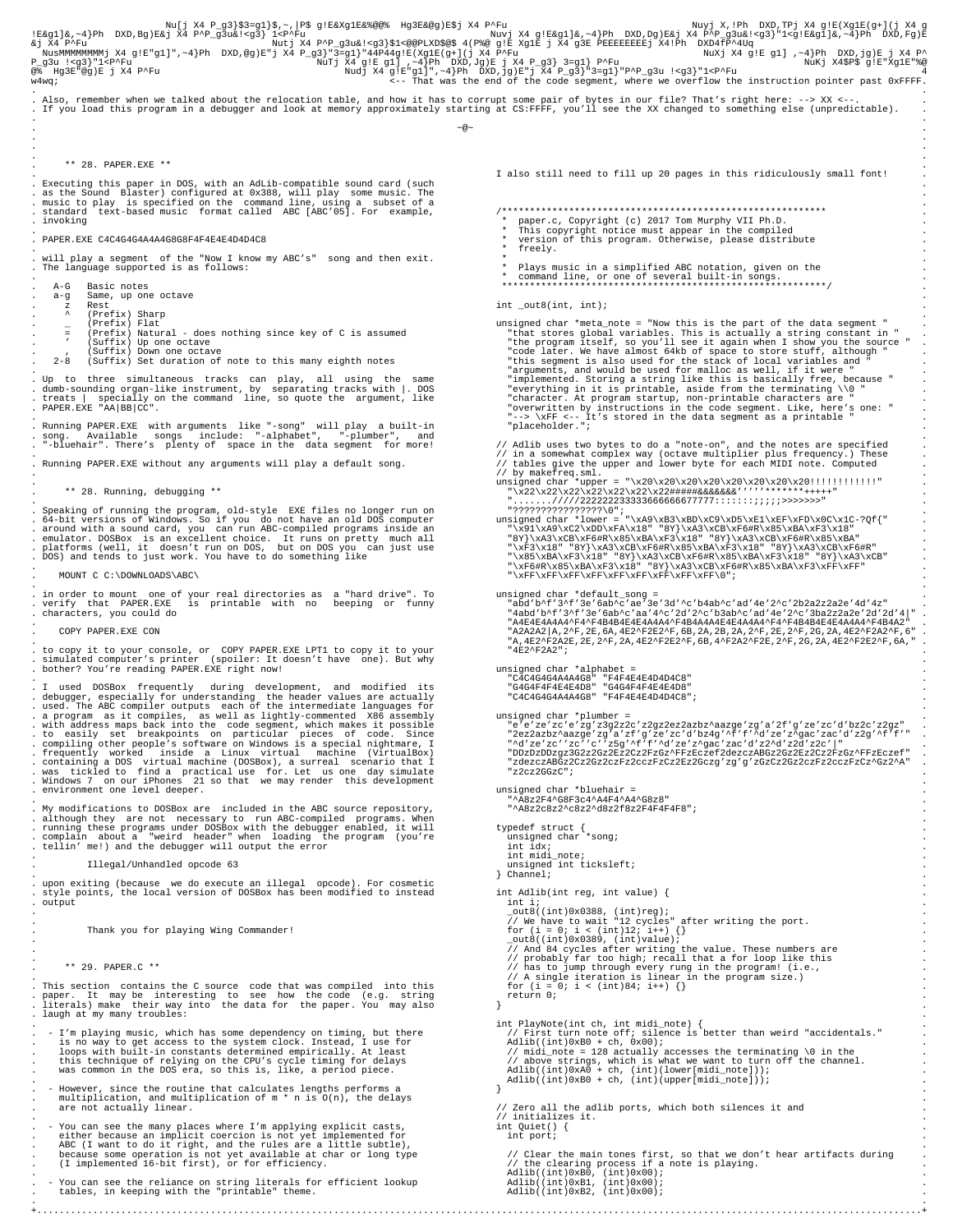Also, remember when we talked about the relocation table, and how it has to corrupt some pair of bytes in our file? That's right here: --> XX <--.<br>If you load this program in a debugger and look at memory approximately sta \*\* 28. PAPER.EXE \*\* I also still need to fill up 20 pages in this ridiculously small font! Executing this paper in DOS, with an AdLib-compatible sound card (such as the Sound Blaster) configured at 0x388, will play some music. The music to play is specified on the command line, using a subset of a standard textinvoking \* paper.c, Copyright (c) 2017 Tom Murphy VII Ph.D.<br>\* This copyright notice must appear in the compiled PAPER.EXE C4C4G4G4A4A4G8G8F4F4E4E4D4D4C8 version of this program. Otherwise, please distribute freely. will play a segment of the "Now I know my ABC's" song and then exit.<br>The language supported is as follows: Basic notes  $A - G$ Same, up one octave  $a-g$  $int out8(int, int);$ Rest Rest<br>(Prefix) Sharp in a power and the set of the data segment "<br>
"Indigned char \*meta\_note = "Now this is the part of the data segment "<br>
"That stores global variables. This is actually a string constant in "<br>
"The program itself, so you'll (Prefix) Blat<br>(Prefix) Flat<br>(Prefix) Natural - does nothing since key of C is assumed (Suffix) Up one octave (Suffix) Down one octave<br>(Suffix) Down one octave<br>(Suffix) Set duration of note to this many eighth notes  $2 - 8$ Up to three simultaneous tracks can play, all using the same dumb-sounding organ-like instrument, by separating tracks with  $|$ . DOS tracks  $|$  specially on the command line, so quote the argument, like PAPER.EXE "AA  $|BB|$ Running PAPER.EXE with arguments like "-song" will play a built-in<br>song. Available songs include: "-alphabet", "-plumber", and<br>"-bluehair". There's plenty of space in the data segment for more! // Adlib uses two bytes to do a "note-on", and the notes are specified<br>// in a somewhat complex way (octave multiplier plus frequency.) These<br>// tables give the upper and lower byte for each MIDI note. Computed Running PAPER.EXE without any arguments will play a default song. // bapase freq.sml.<br>
unsigned char \*upper = "\x20\x20\x20\x20\x20\x20\x20\1:1!!!!!!!!!!!"<br>
"\x22\x22\x22\x222\x222\x224\times\x42\x20\x20\x20\1:1!!!!!!!!!!!"<br>
"\x....../////222222222233333666666677777:::::::;;;;;>>>>>>>"<br> \*\* 28. Running, debugging \*\* Speaking of running the program, old-style EXE files no longer run on 64-bit versions of Windows. So if you do not have an old DOS computer around with a sound card, you can run ABC-compiled programs inside am emulator. DO MOUNT C C:\DOWNLOADS\ABC\ unsigned char \*default\_song =<br>"abd'b^f'3^f'3e'6ab^c'aa'4^c'b4ab^c'ad'4e'2^c'2b2a2z2a2e'4d'4z"<br>"4abd'b^f'3^f'3e'6ab^c'aa'4^c'2d'2^c'b3ab^c'ad'4e'2^c'3ba2z2a2e'2d'2d'4|<br>"A4E4E4A4A4^F4^F4^F4B4B4E4B4AAA4^F4B4AAA4E4E4A4A4^F4^F4 in order to mount one of your real directories as a "hard drive". To verify that PAPER.EXE is printable with no beeping or funny characters, you could do COPY PAPER EXE CON to copy it to your console, or COPY PAPER.EXE LPT1 to copy it to your<br>simulated computer's printer (spoiler: It doesn't have one). But why<br>bother? You're reading PAPER.EXE right now! "4E2^F2A2"; unsigned char \*alphabet =<br>"C4C4G4G4A4A4G8" "F4F4E4E4D4D4C8"<br>"G4G4F4F4E4E4D8" "G4G4F4F4E4E4D8"<br>"C4C4G4G4A4A4G8" "F4F4E4E4D4D4C8"; frequently I used DOSBox frequently during development, and modified its debuger, especially for understanding the header values are actually used. The RAC compiler outputs each of the intermediate languages for a program as it compi used DOSBox during development. and modified unsigned char \*plumber >>yu<br/>=<br/>vumbinding in the set of the set of the set of the set of the set of the<br/>inding in the set of the set of the set of the set of the set of the<br/>set of the set of the set of the set of the set of the se "zdezczABGz2Cz2Gz2czFz2cczFzCz2Ez2Gczg'zg'g'zGzCz2Gz2czFz2cczFzCz^Gz2^A" z2cz2GGzC"; unsigned char \*bluehair "-A8z2F4-G8F3c4-A4F4-A4-G8z8"<br>"-A8z2F4-G8F3c4-A4F4-A4-G8z8"<br>"-A8z2c8z2-c8z2-d8z2f8z2F4F4F4F8"; My modifications to DOSBox are included in the ABC source repository, although they are not necessary to run ABC-compiled programs. When running these programs under DOSBox with the debugger enabled, it will complain about typedef struct {<br>unsigned char \*song;<br>int idx;<br>int midi\_note; Illegal/Unhandled opcode 63 unsigned int ticksleft; } Channel; upon exiting (because we do execute an illegal opcode). For cosmetic<br>style points, the local version of DOSBox has been modified to instead int Adlib(int reg, int value) { output int i.  $\frac{1}{\sqrt{2}}$  out  $\frac{1}{\sqrt{2}}$  (int) 0x0388, (int) reg):<br>  $\frac{1}{\sqrt{2}}$  (int) 0x0388, (int) reg):<br>  $\frac{1}{\sqrt{2}}$  (int) 0x0388, (int) 12:  $i+i$ ) {}<br>
for (i = 0:  $i <$  (int) 0x0389, (int) value):<br>  $\frac{1}{\sqrt{2}}$  and 84 cycl Thank you for playing Wing Commander! \*\* 29. PAPER.C \*\* This section contains the C source code that was compiled into this<br>paper. It may be interesting to see how the code (e.g. string<br>literals) make their way into the data for the paper. You may also<br>laugh at my many troubles  $\rightarrow$ int PlayNote(int ch, int midi\_note) {<br>
// First turn note off; silence is better than weird "accidentals."<br>
Adlib((int)0xB0 + ch, 0x00);<br>
// midi\_note = 128 actually accesses the terminating \0 in the<br>
// above strings, w I'm playing music, which has some dependency on timing, but there<br>is no way to get access to the system clock. Instead, I use for<br>loops with built-in constants determined empirically. At least<br>this technique of relying on However, since the routine that calculates lengths performs a multiplication, and multiplication of  $m * n$  is  $O(n)$ , the delays // Zero all the adlib ports, which both silences it and // initializes it. are not actually linear. You can see the many places where I'm applying explicit casts,<br>either because an implicit coercion is not yet implemented for<br>ABC (I want to do it right, and the rules are a little subtle),<br>because some operation is not ye int Quiet() {<br>int port; // Clear the main tones first, so that we don't hear artifacts during<br>// the clearing process if a note is playing.<br>Adlib((int)0xB0, (int)0x00);<br>Adlib((int)0xB1, (int)0x00);<br>Adlib((int)0xB2, (int)0x00); You can see the reliance on string literals for efficient lookup tables, in keeping with the "printable" theme.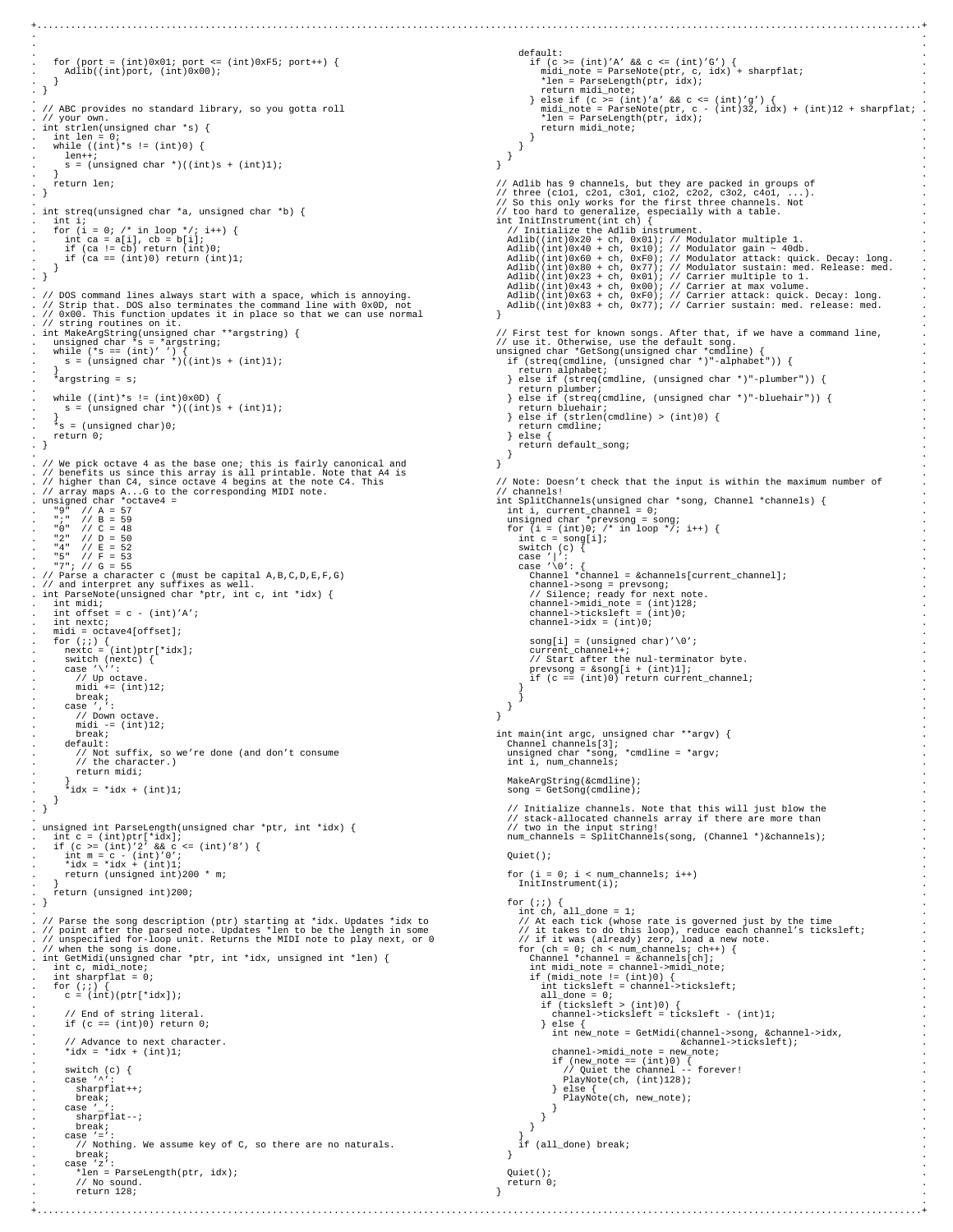```
. for (port = (int)0x01; port <= (int)0xF5; port++) { if (c >= (int)'A' && c <= (int)'G') { .
      \begin{array}{c} \mathbf{1}_{\text{matrix}} \\ \mathbf{1}_{\text{S}} = (\text{unsigned char } *)((\text{int})\mathbf{s} + (\text{int})\mathbf{1}); \end{array} \qquad \qquad \begin{array}{c} \mathbf{1}_{\text{matrix}} \\ \mathbf{1}_{\text{matrix}} \end{array}\stackrel{*}{\star}s = (unsigned char)0;<br>return 0;<br>} else {
     . // E - J.<br>"T" // G = 53<br>"T"; // G = 55<br>Parse a character c (must be capital A,B,C,D,E,F,G) Channel *channel *channel = &channels[current_channel];
    int nextex<br>
midi = octave4[offset];<br>
for (;;) {<br>
nextc = (int)ptr[*idx];<br>
switch (nextc) {<br>
case '\'':
      \begin{array}{ll}\n\text{case} & \wedge'':\\
\hline\n\end{array} \quad \text{(by} \quad \text{0.0000} \\ \text{mid} \quad += \ (\text{int})12;. } MakeArgString(&cmdline); .
   *idx = *idx + (int)1;<br>
\text{song} = \text{Get Song}(\text{cmdline});1 a. - 1 a. + (included int) 200 * m;<br>
<br>
\frac{1}{2} for (i = 0; i < num_channels; i++)<br>
\frac{1}{2}<br>
\frac{1}{2}<br>
\frac{1}{2}<br>
\frac{1}{2}<br>
\frac{1}{2}<br>
\frac{1}{2}<br>
\frac{1}{2}<br>
\frac{1}{2}<br>
\frac{1}{2}<br>
\frac{1}{2}<br>
\frac{1}{2}<br>
\frac{1}{2}<br>
\frac%// End of string literal. \frac{1}{2} if (c == (int)0) return 0; \} else { ...
      \begin{array}{c} \text{int } \text{new\_note} = \text{GetMid}(\text{channel->song, \&\text{channel->idx}, \\ \text{if } \text{new\_note} = \text{GetMid}(\text{channel->clock} = \text{&\text{ichannel->idx}}, \\ * \text{idx} = * \text{idx} + (\text{int})1; \end{array}switch (c) {<br>
case '^': <br>
case '^': PlayNote(ch, (int)128);<br>
sharpflat++;<br>
and the channel --<br>
else {<br>
else {
      . break; PlayNote(ch, new_note); .
. *len = ParseLength(ptr, idx); Quiet(); .
. // No sound. return 0; .
. return 128; } .
. .
```

```
+..............................................................................................................................................................+
. .
. .
. default: .
. Adlib((int)port, (int)0x00); examples are not midi_note = ParseNote(ptr, c, idx) + sharpflat; ...
\begin{array}{c} \begin{array}{c} \text{ } \end{array} & \begin{array}{c} \text{ } \end{array} & \begin{array}{c} \text{ } \end{array} & \begin{array}{c} \text{ } \end{array} & \begin{array}{c} \text{ } \end{array} & \begin{array}{c} \text{ } \end{array} & \begin{array}{c} \text{ } \end{array} & \begin{array}{c} \text{ } \end{array} & \begin{array}{c} \text{ } \end{array} & \begin{array}{c} \text{ } \end{array} & \begin{array}{c} \text{ } \end{array} & \begin{array}{c} \text{ } \end{array} & \begin{array}{c} \text. while ((int)*s != (int)0) { } .
. len++; } .
. } .
. return len; // Adlib has 9 channels, but they are packed in groups of .
. } // three (c1o1, c2o1, c3o1, c1o2, c2o2, c3o2, c4o1, ...). .
. // So this only works for the first three channels. Not .
. int streq(unsigned char *a, unsigned char *b) { // too hard to generalize, especially with a table. .
. int i; int InitInstrument(int ch) { .
. for (i = 0; /* in loop */; i++) { // Initialize the Adlib instrument. .
. int ca = a[i], cb = b[i]; Adlib((int)0x20 + ch, 0x01); // Modulator multiple 1. .
. if (ca != cb) return (int)0; Adlib((int)0x40 + ch, 0x10); // Modulator gain ~ 40db. .
. if (ca == (int)0) return (int)1; Adlib((int)0x60 + ch, 0xF0); // Modulator attack: quick. Decay: long. .
. } Adlib((int)0x80 + ch, 0x77); // Modulator sustain: med. Release: med. .
. } Adlib((int)0x23 + ch, 0x01); // Carrier multiple to 1. .
. Adlib((int)0x43 + ch, 0x00); // Carrier at max volume. .
. // DOS command lines always start with a space, which is annoying. Adlib((int)0x63 + ch, 0xF0); // Carrier attack: quick. Decay: long. .
. // Strip that. DOS also terminates the command line with 0x0D, not Adlib((int)0x83 + ch, 0x77); // Carrier sustain: med. release: med. .
. // 0x00. This function updates it in place so that we can use normal } .
. // string routines on it. .
\begin{array}{l} \begin{array}{r} \text{int MakeArgString(unsigned char **argsstring) } \end{array} & \begin{array}{r} \text{int MakeArgString(unsigned char **argsstring) } \end{array} \\ \begin{array}{r} \text{using MikeArgString(unsigned char **argsstring) } \end{array} & \begin{array}{r} \text{if } \text{list } \text{test for known songs. After that, if we have a command line, \\ \text{usingmed char * (unsigned char *) " - alphabet" )} \end{array} \\ \begin{array}{r} \text{using Mike} \\ \text{if } \text{fstreg(small, (unsigned char *) " - alphabet" )} \end{array} & \begin{array}{r} \text{if } \. return plumber; .
. while ((int)*s != (int)0x0D) { } else if (streq(cmdline, (unsigned char *)"-bluehair")) { .
. s = (unsigned char *)((int)s + (int)1); return bluehair; .
                                                                                         } else if (strlen(cmdline) > (int)0) {<br>return cmdline;
. return 0; {} . {} return 0; {} . {} . {} . {} . {} . {} . {} . {} . {} . {} . {} . {} . {} . {} . {} . {} . {} . {} . {} . {} . {} . {} . {} . {} . {} . {} . {} . {} . {} . {} . {} . {}. } the contraction of the contraction of the contraction of the contraction of \mathbf{r} return default_song; \mathbf{r}. } .
. // We pick octave 4 as the base one; this is fairly canonical and } .
. // benefits us since this array is all printable. Note that A4 is .
. // higher than C4, since octave 4 begins at the note C4. This // Note: Doesn't check that the input is within the maximum number of .
. // array maps A...G to the corresponding MIDI note. \qquad // channels!
                                                                                       . in SplitChannels(unsigned char *song, Channel *channels) {<br>int i, current_channel = 0;<br>unsigned char *prevsong = song;<br>for (i = (int)0; /* in loop */; i++) {<br>int c = song[i];<br>switch (c) {<br>(i) = (i) = (i) = (i) = (i) = (
. "," // A = 59<br>
. "," // A = 59<br>
. "," // C = 48<br>
. "," // C = 48<br>
. "," // C = 50<br>
. "," // E = 52<br>
. "," // E = 52<br>
. "," // E = 53<br>
. "," // G = 55<br>
. ",", / G = 55<br>
. ",", / G = 55<br>
. ",", / G = 55<br>
. ",", / G = 55<br>

. // and interpret any suffixes as well. channel->song = prevsong; .
. int ParseNote(unsigned char *ptr, int c, int *idx) { // Silence; ready for next note. .
. int midi; channel->midi_note = (int)128; .
. int offset = c - (int)'A'; channel->ticksleft = (int)0; .
. int nextc; channel->idx = (int)0; .
. for (;;) { song[i] = (unsigned char)'\0'; .
. nextc = (int)ptr[*idx]; current_channel++; .
. switch (nextc) { // Start after the nul-terminator byte. .
. case '\'': prevsong = &song[i + (int)1]; .
. // Up octave. if (c == (int)0) return current_channel; .
. break; } .
. case ',': } .
. // Down octave. } .
. midi -= (int)12; .
. break; int main(int argc, unsigned char **argv) { .
. default: Channel channels[3]; .
. // Not suffix, so we're done (and don't consume unsigned char *song, *cmdline = *argv; .
. // the character.) int i, num_channels; .
. return midi; .
. } .
. } // Initialize channels. Note that this will just blow the .
. // stack-allocated channels array if there are more than .
\begin{array}{lllllllllllllll} \text{.} & \text{unsigned int ParseLength}(\text{unsigned char *ptr, int *idx}) & \begin{array}{llllll} \text{.} & \text{.} & \text{.} & \text{.} & \text{.} & \text{.} & \text{.} & \text{.} & \text{.} & \text{.} & \text{.} & \text{.} & \text{.} & \text{.} & \text{.} & \text{.} & \text{.} & \text{.} & \text{.} & \text{.} & \text{.} & \text{.} & \text{.} & \text{.} & \text{.} & \text{.} & \text{.} & \text{.} &. return (unsigned int)200; .
. } for (;;) { .
. int ch, all_done = 1; .
%.//Parse the song description (ptr) starting at *idx. Updates *idx to \frac{1}{2} at the startick (whose rate is governed just by the time ...)<br>
\frac{1}{2} on the form is one of the length in some ... (/when the some ...) (a
. int c, midi_note; .<br>
. int sharpflat = 0; .<br>
. for (;;) { . int sharpflat = 0; .<br>
. for (;;) { . int ticksleft = channel->ticksleft; .<br>
\begin{array}{ccc} \text{or} & \text{or} & \text{or} & \text{or} & \text{or} \\ \text{or} & \text{or} & \text{or} & \text{or} \end{array}. if (ticksleft > (int)0) { .
. // End of string literal. channel->ticksleft = ticksleft - (int)1; .
. // Advance to next character. &channel->ticksleft); .
. *idx = *idx + (int)1; channel->midi_note = new_note; .
. if (new_note == (int)0) { .
. switch (c) { // Quiet the channel -- forever! .
. sharpflat++; } else { .
. case '_': \qquad \qquad \}. sharpflat--; {}. break; \qquad \qquad \qquad \}. case '=': } .
. // Nothing. We assume key of C, so there are no naturals. if (all_done) break; .
. break; \hspace{1.6cm} . break; \}. case 'z': \blacksquare
```
+..............................................................................................................................................................+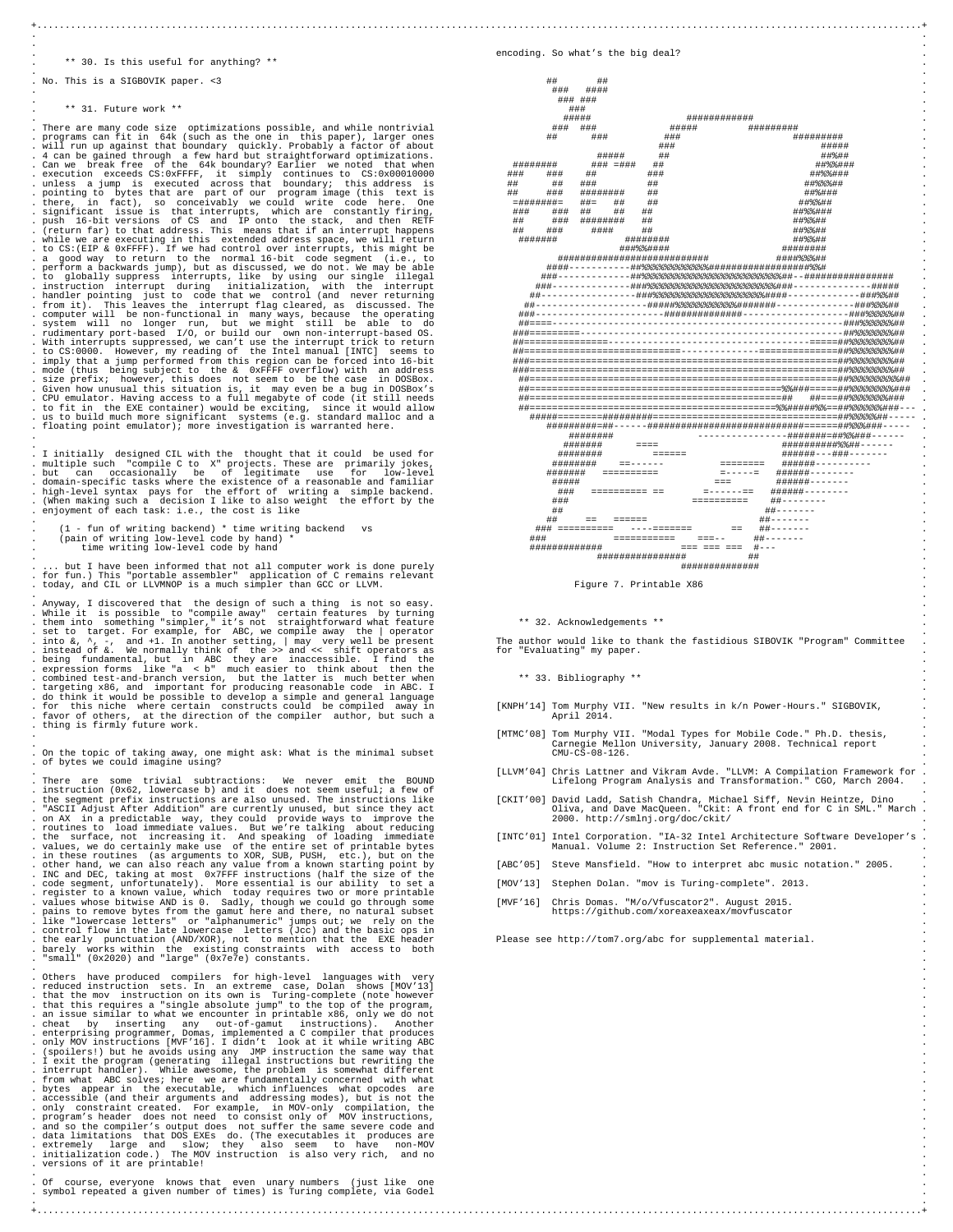# \*\* 30. Is this useful for anything? \*\*

No. This is a SIGBOVIK paper. < 3

## $**$  31 Future work  $**$

\*\* 31. Future work \*\*<br>There are many code size optimizations possible, and while nontrivial<br>programs can fit in this between the state of the conduction of the state of the state of the state of the state of the secution e

I initially designed CIL with the thought that it could be used for multiple such "compile C to X" projects. These are primarily jokes, but can occasionally be of legitimate use for low-level domain-specific tasks where th

(1 - fun of writing backend) \* time writing backend vs<br>(pain of writing low-level code by hand) \*<br>time writing low-level code by hand

but I have been informed that not all computer work is done purely for fun.) This "portable assembler" application of C remains relevant<br>today, and CIL or LLVMNOP is a much simpler than GCC or LLVM.

becausy and the design of such the design of such a finity and the set of such a thing is not so easy.<br>While it is possible to "compile away" certain features by turning them into something "simpler," it's not straightfor

On the topic of taking away, one might ask: What is the minimal subset of bytes we could imagine using?

There are some trivial subtractions: We never emit the BOUND<br>instruction (0x62, lowercase b) and it does not seem useful; a few of<br>the segment prefix instructions are also unused. The instructions like<br>"ASCII Adjust After There are some trivial subtractions: We never emit  $^{\rm the}$ **BOUND** 

"small" (0x2020) and "large" (0x7e7e) constants.<br>
Others have produced compilers for high-level languages with very<br>
chears have produced instruction on its own is Turing-complete (note however<br>
that the mov instruction o

Of course, everyone knows that even unary numbers (just like one symbol repeated a given number of times) is Turing complete, via Godel



The author would like to thank the fastidious SIBOVIK "Program" Committee for "Evaluating" my paper.

\*\* 33. Bibliography \*\*

\*\* 32. Acknowledgements \*\*

- [KNPH'14] Tom Murphy VII. "New results in k/n Power-Hours." SIGBOVIK, April 2014.
- [MTMC'08] Tom Murphy VII. "Modal Types for Mobile Code." Ph.D. thesis,<br>Carnegie Mellon University, January 2008. Technical report<br>CMU-CS-08-126.
- [LLVM'04] Chris Lattner and Vikram Avde. "LLVM: A Compilation Framework for Lifelong Program Analysis and Transformation." CGO, March 2004.
- [CKIT'00] David Ladd, Satish Chandra, Michael Siff, Nevin Heintze, Dino<br>Oliva, and Dave MacQueen. "Ckit: A front end for C in SML." March<br>2000. http://smlnj.org/doc/ckit/
- [INTC'01] Intel Corporation. "IA-32 Intel Architecture Software Developer's Manual. Volume 2: Instruction Set Reference." 2001.
- [ABC'05] Steve Mansfield. "How to interpret abc music notation." 2005.
- [MOV'13] Stephen Dolan. "mov is Turing-complete". 2013.
- [MVF'16] Chris Domas. "M/o/Vfuscator2". August 2015. https://github.com/xoreaxeaxeax/movfuscator

Please see http://tom7.org/abc for supplemental material.

encoding. So what's the big deal?